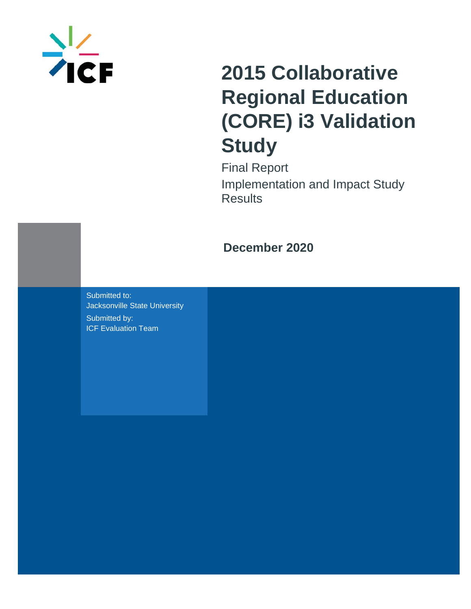

# **2015 Collaborative Regional Education (CORE) i3 Validation Study**

Final Report Implementation and Impact Study **Results** 

## **December 2020**

Submitted to: Jacksonville State University Submitted by: ICF Evaluation Team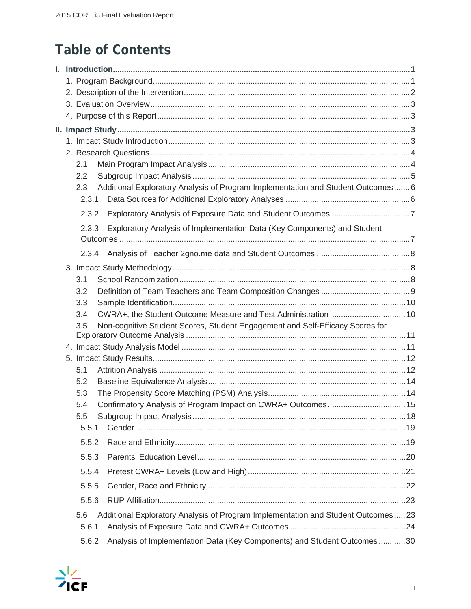## **Table of Contents**

| 2.1                                                                                     |  |
|-----------------------------------------------------------------------------------------|--|
| 2.2                                                                                     |  |
| Additional Exploratory Analysis of Program Implementation and Student Outcomes 6<br>2.3 |  |
| 2.3.1                                                                                   |  |
| 2.3.2                                                                                   |  |
| Exploratory Analysis of Implementation Data (Key Components) and Student<br>2.3.3       |  |
|                                                                                         |  |
| 2.3.4                                                                                   |  |
|                                                                                         |  |
| 3.1                                                                                     |  |
| 3.2                                                                                     |  |
| 3.3                                                                                     |  |
| 3.4                                                                                     |  |
| Non-cognitive Student Scores, Student Engagement and Self-Efficacy Scores for<br>3.5    |  |
|                                                                                         |  |
|                                                                                         |  |
| 5.1                                                                                     |  |
| 5.2                                                                                     |  |
| 5.3                                                                                     |  |
| 5.4                                                                                     |  |
| 5.5                                                                                     |  |
| 5.5.1                                                                                   |  |
| 5.5.2                                                                                   |  |
| 5.5.3                                                                                   |  |
| 5.5.4                                                                                   |  |
| 5.5.5                                                                                   |  |
| 5.5.6                                                                                   |  |
| Additional Exploratory Analysis of Program Implementation and Student Outcomes23<br>5.6 |  |
| 5.6.1                                                                                   |  |
| Analysis of Implementation Data (Key Components) and Student Outcomes30<br>5.6.2        |  |

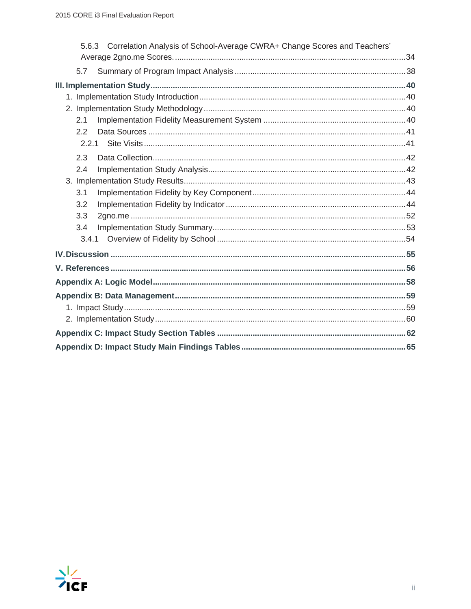| 5.6.3 Correlation Analysis of School-Average CWRA+ Change Scores and Teachers' |  |
|--------------------------------------------------------------------------------|--|
|                                                                                |  |
| 5.7                                                                            |  |
|                                                                                |  |
|                                                                                |  |
|                                                                                |  |
| 2.1                                                                            |  |
| 2.2                                                                            |  |
| 2.2.1                                                                          |  |
| 2.3                                                                            |  |
| 2.4                                                                            |  |
|                                                                                |  |
| 3.1                                                                            |  |
| 3.2                                                                            |  |
| 3.3                                                                            |  |
| 3.4                                                                            |  |
|                                                                                |  |
|                                                                                |  |
|                                                                                |  |
|                                                                                |  |
|                                                                                |  |
|                                                                                |  |
|                                                                                |  |
|                                                                                |  |
|                                                                                |  |
|                                                                                |  |

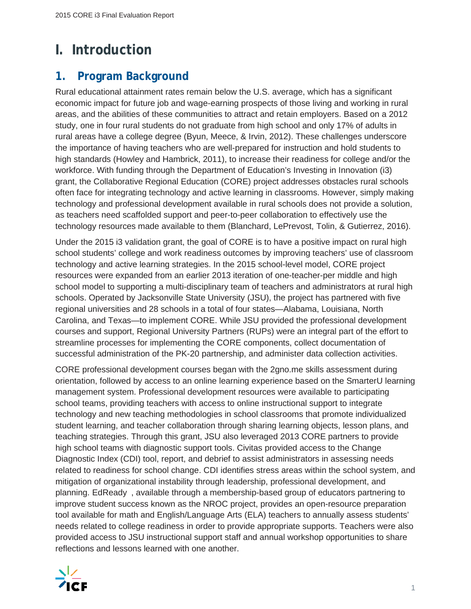## **I. Introduction**

## **1. Program Background**

Rural educational attainment rates remain below the U.S. average, which has a significant economic impact for future job and wage-earning prospects of those living and working in rural areas, and the abilities of these communities to attract and retain employers. Based on a 2012 study, one in four rural students do not graduate from high school and only 17% of adults in rural areas have a college degree (Byun, Meece, & Irvin, 2012). These challenges underscore the importance of having teachers who are well-prepared for instruction and hold students to high standards (Howley and Hambrick, 2011), to increase their readiness for college and/or the workforce. With funding through the Department of Education's Investing in Innovation (i3) grant, the Collaborative Regional Education (CORE) project addresses obstacles rural schools often face for integrating technology and active learning in classrooms. However, simply making technology and professional development available in rural schools does not provide a solution, as teachers need scaffolded support and peer-to-peer collaboration to effectively use the technology resources made available to them (Blanchard, LePrevost, Tolin, & Gutierrez, 2016).

Under the 2015 i3 validation grant, the goal of CORE is to have a positive impact on rural high school students' college and work readiness outcomes by improving teachers' use of classroom technology and active learning strategies. In the 2015 school-level model, CORE project resources were expanded from an earlier 2013 iteration of one-teacher-per middle and high school model to supporting a multi-disciplinary team of teachers and administrators at rural high schools. Operated by Jacksonville State University (JSU), the project has partnered with five regional universities and 28 schools in a total of four states—Alabama, Louisiana, North Carolina, and Texas—to implement CORE. While JSU provided the professional development courses and support, Regional University Partners (RUPs) were an integral part of the effort to streamline processes for implementing the CORE components, collect documentation of successful administration of the PK-20 partnership, and administer data collection activities.

CORE professional development courses began with the 2gno.me skills assessment during orientation, followed by access to an online learning experience based on the SmarterU learning management system. Professional development resources were available to participating school teams, providing teachers with access to online instructional support to integrate technology and new teaching methodologies in school classrooms that promote individualized student learning, and teacher collaboration through sharing learning objects, lesson plans, and teaching strategies. Through this grant, JSU also leveraged 2013 CORE partners to provide high school teams with diagnostic support tools. Civitas provided access to the Change Diagnostic Index (CDI) tool, report, and debrief to assist administrators in assessing needs related to readiness for school change. CDI identifies stress areas within the school system, and mitigation of organizational instability through leadership, professional development, and planning. EdReady, available through a membership-based group of educators partnering to improve student success known as the NROC project, provides an open-resource preparation tool available for math and English/Language Arts (ELA) teachers to annually assess students' needs related to college readiness in order to provide appropriate supports. Teachers were also provided access to JSU instructional support staff and annual workshop opportunities to share reflections and lessons learned with one another.

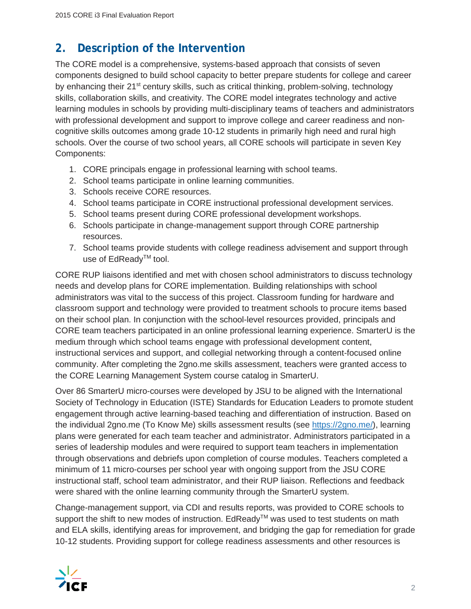## **2. Description of the Intervention**

The CORE model is a comprehensive, systems-based approach that consists of seven components designed to build school capacity to better prepare students for college and career by enhancing their 21<sup>st</sup> century skills, such as critical thinking, problem-solving, technology skills, collaboration skills, and creativity. The CORE model integrates technology and active learning modules in schools by providing multi-disciplinary teams of teachers and administrators with professional development and support to improve college and career readiness and noncognitive skills outcomes among grade 10-12 students in primarily high need and rural high schools. Over the course of two school years, all CORE schools will participate in seven Key Components:

- 1. CORE principals engage in professional learning with school teams.
- 2. School teams participate in online learning communities.
- 3. Schools receive CORE resources.
- 4. School teams participate in CORE instructional professional development services.
- 5. School teams present during CORE professional development workshops.
- 6. Schools participate in change-management support through CORE partnership resources.
- 7. School teams provide students with college readiness advisement and support through use of EdReadv™ tool.

CORE RUP liaisons identified and met with chosen school administrators to discuss technology needs and develop plans for CORE implementation. Building relationships with school administrators was vital to the success of this project. Classroom funding for hardware and classroom support and technology were provided to treatment schools to procure items based on their school plan. In conjunction with the school-level resources provided, principals and CORE team teachers participated in an online professional learning experience. SmarterU is the medium through which school teams engage with professional development content, instructional services and support, and collegial networking through a content-focused online community. After completing the 2gno.me skills assessment, teachers were granted access to the CORE Learning Management System course catalog in SmarterU.

Over 86 SmarterU micro-courses were developed by JSU to be aligned with the International Society of Technology in Education (ISTE) Standards for Education Leaders to promote student engagement through active learning-based teaching and differentiation of instruction. Based on the individual 2gno.me (To Know Me) skills assessment results (see https://2gno.me/), learning plans were generated for each team teacher and administrator. Administrators participated in a series of leadership modules and were required to support team teachers in implementation through observations and debriefs upon completion of course modules. Teachers completed a minimum of 11 micro-courses per school year with ongoing support from the JSU CORE instructional staff, school team administrator, and their RUP liaison. Reflections and feedback were shared with the online learning community through the SmarterU system.

Change-management support, via CDI and results reports, was provided to CORE schools to support the shift to new modes of instruction. EdReady™ was used to test students on math and ELA skills, identifying areas for improvement, and bridging the gap for remediation for grade 10-12 students. Providing support for college readiness assessments and other resources is

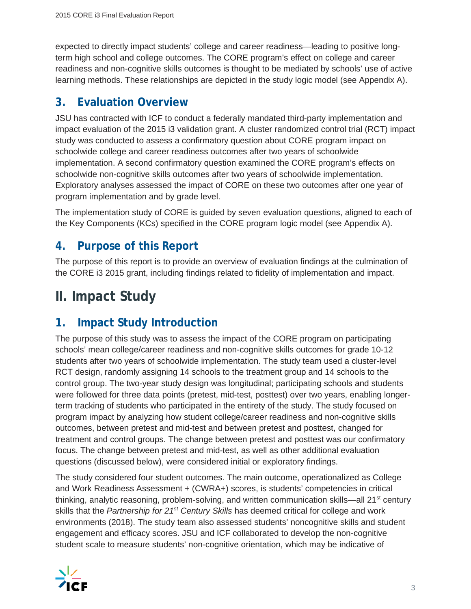expected to directly impact students' college and career readiness—leading to positive longterm high school and college outcomes. The CORE program's effect on college and career readiness and non-cognitive skills outcomes is thought to be mediated by schools' use of active learning methods. These relationships are depicted in the study logic model (see Appendix A).

## **3. Evaluation Overview**

JSU has contracted with ICF to conduct a federally mandated third-party implementation and impact evaluation of the 2015 i3 validation grant. A cluster randomized control trial (RCT) impact study was conducted to assess a confirmatory question about CORE program impact on schoolwide college and career readiness outcomes after two years of schoolwide implementation. A second confirmatory question examined the CORE program's effects on schoolwide non-cognitive skills outcomes after two years of schoolwide implementation. Exploratory analyses assessed the impact of CORE on these two outcomes after one year of program implementation and by grade level.

The implementation study of CORE is guided by seven evaluation questions, aligned to each of the Key Components (KCs) specified in the CORE program logic model (see Appendix A).

## **4. Purpose of this Report**

The purpose of this report is to provide an overview of evaluation findings at the culmination of the CORE i3 2015 grant, including findings related to fidelity of implementation and impact.

## **II. Impact Study**

## **1. Impact Study Introduction**

The purpose of this study was to assess the impact of the CORE program on participating schools' mean college/career readiness and non-cognitive skills outcomes for grade 10-12 students after two years of schoolwide implementation. The study team used a cluster-level RCT design, randomly assigning 14 schools to the treatment group and 14 schools to the control group. The two-year study design was longitudinal; participating schools and students were followed for three data points (pretest, mid-test, posttest) over two years, enabling longerterm tracking of students who participated in the entirety of the study. The study focused on program impact by analyzing how student college/career readiness and non-cognitive skills outcomes, between pretest and mid-test and between pretest and posttest, changed for treatment and control groups. The change between pretest and posttest was our confirmatory focus. The change between pretest and mid-test, as well as other additional evaluation questions (discussed below), were considered initial or exploratory findings.

The study considered four student outcomes. The main outcome, operationalized as College and Work Readiness Assessment + (CWRA+) scores, is students' competencies in critical thinking, analytic reasoning, problem-solving, and written communication skills—all  $21<sup>st</sup>$  century skills that the *Partnership for 21st Century Skills* has deemed critical for college and work environments (2018). The study team also assessed students' noncognitive skills and student engagement and efficacy scores. JSU and ICF collaborated to develop the non-cognitive student scale to measure students' non-cognitive orientation, which may be indicative of

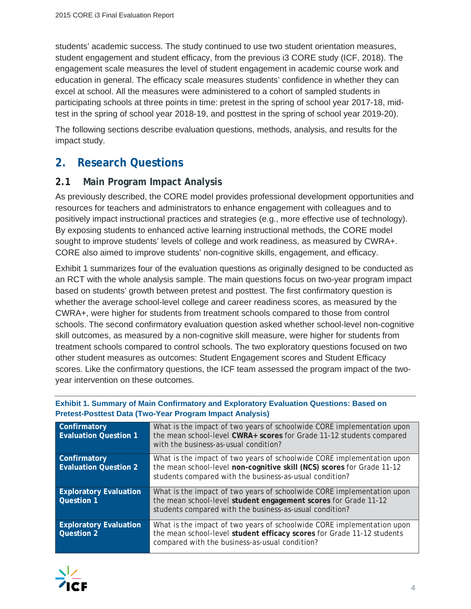students' academic success. The study continued to use two student orientation measures, student engagement and student efficacy, from the previous i3 CORE study (ICF, 2018). The engagement scale measures the level of student engagement in academic course work and education in general. The efficacy scale measures students' confidence in whether they can excel at school. All the measures were administered to a cohort of sampled students in participating schools at three points in time: pretest in the spring of school year 2017-18, midtest in the spring of school year 2018-19, and posttest in the spring of school year 2019-20).

The following sections describe evaluation questions, methods, analysis, and results for the impact study.

## **2. Research Questions**

#### **2.1 Main Program Impact Analysis**

As previously described, the CORE model provides professional development opportunities and resources for teachers and administrators to enhance engagement with colleagues and to positively impact instructional practices and strategies (e.g., more effective use of technology). By exposing students to enhanced active learning instructional methods, the CORE model sought to improve students' levels of college and work readiness, as measured by CWRA+. CORE also aimed to improve students' non-cognitive skills, engagement, and efficacy.

Exhibit 1 summarizes four of the evaluation questions as originally designed to be conducted as an RCT with the whole analysis sample. The main questions focus on two-year program impact based on students' growth between pretest and posttest. The first confirmatory question is whether the average school-level college and career readiness scores, as measured by the CWRA+, were higher for students from treatment schools compared to those from control schools. The second confirmatory evaluation question asked whether school-level non-cognitive skill outcomes, as measured by a non-cognitive skill measure, were higher for students from treatment schools compared to control schools. The two exploratory questions focused on two other student measures as outcomes: Student Engagement scores and Student Efficacy scores. Like the confirmatory questions, the ICF team assessed the program impact of the twoyear intervention on these outcomes.

| Confirmatory<br><b>Evaluation Question 1</b> | What is the impact of two years of schoolwide CORE implementation upon<br>the mean school-level CWRA+ scores for Grade 11-12 students compared<br>with the business-as-usual condition?                     |
|----------------------------------------------|-------------------------------------------------------------------------------------------------------------------------------------------------------------------------------------------------------------|
| Confirmatory<br><b>Evaluation Question 2</b> | What is the impact of two years of schoolwide CORE implementation upon<br>the mean school-level non-cognitive skill (NCS) scores for Grade 11-12<br>students compared with the business-as-usual condition? |
| <b>Exploratory Evaluation</b><br>Question 1  | What is the impact of two years of schoolwide CORE implementation upon<br>the mean school-level student engagement scores for Grade 11-12<br>students compared with the business-as-usual condition?        |
| <b>Exploratory Evaluation</b><br>Question 2  | What is the impact of two years of schoolwide CORE implementation upon<br>the mean school-level student efficacy scores for Grade 11-12 students<br>compared with the business-as-usual condition?          |

#### **Exhibit 1. Summary of Main Confirmatory and Exploratory Evaluation Questions: Based on Pretest-Posttest Data (Two-Year Program Impact Analysis)**

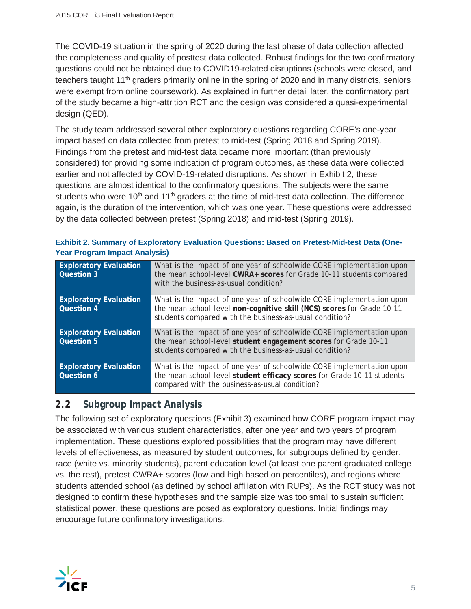The COVID-19 situation in the spring of 2020 during the last phase of data collection affected the completeness and quality of posttest data collected. Robust findings for the two confirmatory questions could not be obtained due to COVID19-related disruptions (schools were closed, and teachers taught 11<sup>th</sup> graders primarily online in the spring of 2020 and in many districts, seniors were exempt from online coursework). As explained in further detail later, the confirmatory part of the study became a high-attrition RCT and the design was considered a quasi-experimental design (QED).

The study team addressed several other exploratory questions regarding CORE's one-year impact based on data collected from pretest to mid-test (Spring 2018 and Spring 2019). Findings from the pretest and mid-test data became more important (than previously considered) for providing some indication of program outcomes, as these data were collected earlier and not affected by COVID-19-related disruptions. As shown in Exhibit 2, these questions are almost identical to the confirmatory questions. The subjects were the same students who were  $10<sup>th</sup>$  and  $11<sup>th</sup>$  graders at the time of mid-test data collection. The difference, again, is the duration of the intervention, which was one year. These questions were addressed by the data collected between pretest (Spring 2018) and mid-test (Spring 2019).

| <b>Exploratory Evaluation</b><br><b>Question 3</b> | What is the impact of one year of schoolwide CORE implementation upon<br>the mean school-level CWRA+ scores for Grade 10-11 students compared<br>with the business-as-usual condition?                     |
|----------------------------------------------------|------------------------------------------------------------------------------------------------------------------------------------------------------------------------------------------------------------|
| <b>Exploratory Evaluation</b><br><b>Question 4</b> | What is the impact of one year of schoolwide CORE implementation upon<br>the mean school-level non-cognitive skill (NCS) scores for Grade 10-11<br>students compared with the business-as-usual condition? |
| <b>Exploratory Evaluation</b><br><b>Question 5</b> | What is the impact of one year of schoolwide CORE implementation upon<br>the mean school-level student engagement scores for Grade 10-11<br>students compared with the business-as-usual condition?        |
| <b>Exploratory Evaluation</b><br><b>Question 6</b> | What is the impact of one year of schoolwide CORE implementation upon<br>the mean school-level student efficacy scores for Grade 10-11 students<br>compared with the business-as-usual condition?          |

| Exhibit 2. Summary of Exploratory Evaluation Questions: Based on Pretest-Mid-test Data (One- |  |
|----------------------------------------------------------------------------------------------|--|
| <b>Year Program Impact Analysis)</b>                                                         |  |

## **2.2 Subgroup Impact Analysis**

The following set of exploratory questions (Exhibit 3) examined how CORE program impact may be associated with various student characteristics, after one year and two years of program implementation. These questions explored possibilities that the program may have different levels of effectiveness, as measured by student outcomes, for subgroups defined by gender, race (white vs. minority students), parent education level (at least one parent graduated college vs. the rest), pretest CWRA+ scores (low and high based on percentiles), and regions where students attended school (as defined by school affiliation with RUPs). As the RCT study was not designed to confirm these hypotheses and the sample size was too small to sustain sufficient statistical power, these questions are posed as exploratory questions. Initial findings may encourage future confirmatory investigations.

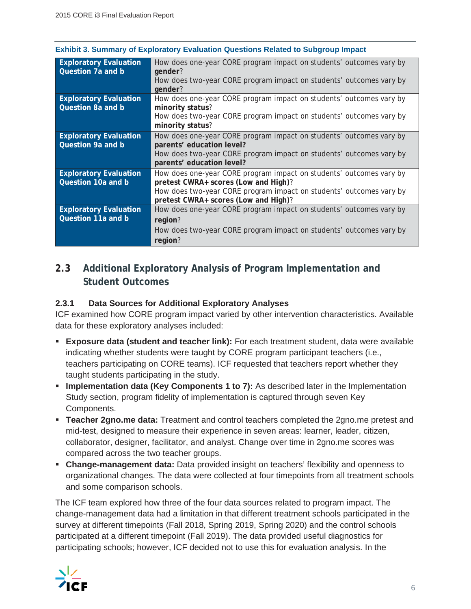|  | Exhibit 3. Summary of Exploratory Evaluation Questions Related to Subgroup Impact |  |  |  |
|--|-----------------------------------------------------------------------------------|--|--|--|
|  |                                                                                   |  |  |  |

| <b>Exploratory Evaluation</b><br>Question 7a and b | How does one-year CORE program impact on students' outcomes vary by<br>gender? |
|----------------------------------------------------|--------------------------------------------------------------------------------|
|                                                    | How does two-year CORE program impact on students' outcomes vary by<br>gender? |
| <b>Exploratory Evaluation</b>                      | How does one-year CORE program impact on students' outcomes vary by            |
| Question 8a and b                                  | minority status?                                                               |
|                                                    | How does two-year CORE program impact on students' outcomes vary by            |
|                                                    | minority status?                                                               |
| <b>Exploratory Evaluation</b>                      | How does one-year CORE program impact on students' outcomes vary by            |
| Question 9a and b                                  | parents' education level?                                                      |
|                                                    | How does two-year CORE program impact on students' outcomes vary by            |
|                                                    | parents' education level?                                                      |
| <b>Exploratory Evaluation</b>                      | How does one-year CORE program impact on students' outcomes vary by            |
| Question 10a and b                                 | pretest CWRA+ scores (Low and High)?                                           |
|                                                    | How does two-year CORE program impact on students' outcomes vary by            |
|                                                    | pretest CWRA+ scores (Low and High)?                                           |
| <b>Exploratory Evaluation</b>                      | How does one-year CORE program impact on students' outcomes vary by            |
| Question 11a and b                                 | region?                                                                        |
|                                                    | How does two-year CORE program impact on students' outcomes vary by            |
|                                                    | region?                                                                        |

## **2.3 Additional Exploratory Analysis of Program Implementation and Student Outcomes**

#### **2.3.1 Data Sources for Additional Exploratory Analyses**

ICF examined how CORE program impact varied by other intervention characteristics. Available data for these exploratory analyses included:

- **Exposure data (student and teacher link):** For each treatment student, data were available indicating whether students were taught by CORE program participant teachers (i.e., teachers participating on CORE teams). ICF requested that teachers report whether they taught students participating in the study.
- **Implementation data (Key Components 1 to 7):** As described later in the Implementation Study section, program fidelity of implementation is captured through seven Key Components.
- **Teacher 2gno.me data:** Treatment and control teachers completed the 2gno.me pretest and mid-test, designed to measure their experience in seven areas: learner, leader, citizen, collaborator, designer, facilitator, and analyst. Change over time in 2gno.me scores was compared across the two teacher groups.
- **Change-management data:** Data provided insight on teachers' flexibility and openness to organizational changes. The data were collected at four timepoints from all treatment schools and some comparison schools.

The ICF team explored how three of the four data sources related to program impact. The change-management data had a limitation in that different treatment schools participated in the survey at different timepoints (Fall 2018, Spring 2019, Spring 2020) and the control schools participated at a different timepoint (Fall 2019). The data provided useful diagnostics for participating schools; however, ICF decided not to use this for evaluation analysis. In the

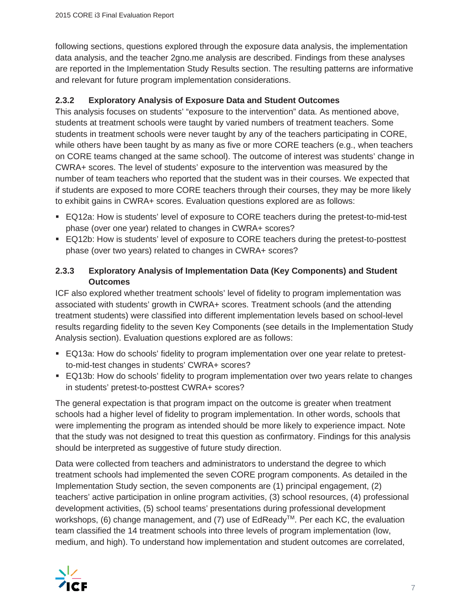following sections, questions explored through the exposure data analysis, the implementation data analysis, and the teacher 2gno.me analysis are described. Findings from these analyses are reported in the Implementation Study Results section. The resulting patterns are informative and relevant for future program implementation considerations.

#### **2.3.2 Exploratory Analysis of Exposure Data and Student Outcomes**

This analysis focuses on students' "exposure to the intervention" data. As mentioned above, students at treatment schools were taught by varied numbers of treatment teachers. Some students in treatment schools were never taught by any of the teachers participating in CORE, while others have been taught by as many as five or more CORE teachers (e.g., when teachers on CORE teams changed at the same school). The outcome of interest was students' change in CWRA+ scores. The level of students' exposure to the intervention was measured by the number of team teachers who reported that the student was in their courses. We expected that if students are exposed to more CORE teachers through their courses, they may be more likely to exhibit gains in CWRA+ scores. Evaluation questions explored are as follows:

- EQ12a: How is students' level of exposure to CORE teachers during the pretest-to-mid-test phase (over one year) related to changes in CWRA+ scores?
- EQ12b: How is students' level of exposure to CORE teachers during the pretest-to-posttest phase (over two years) related to changes in CWRA+ scores?

#### **2.3.3 Exploratory Analysis of Implementation Data (Key Components) and Student Outcomes**

ICF also explored whether treatment schools' level of fidelity to program implementation was associated with students' growth in CWRA+ scores. Treatment schools (and the attending treatment students) were classified into different implementation levels based on school-level results regarding fidelity to the seven Key Components (see details in the Implementation Study Analysis section). Evaluation questions explored are as follows:

- EQ13a: How do schools' fidelity to program implementation over one year relate to pretestto-mid-test changes in students' CWRA+ scores?
- EQ13b: How do schools' fidelity to program implementation over two years relate to changes in students' pretest-to-posttest CWRA+ scores?

The general expectation is that program impact on the outcome is greater when treatment schools had a higher level of fidelity to program implementation. In other words, schools that were implementing the program as intended should be more likely to experience impact. Note that the study was not designed to treat this question as confirmatory. Findings for this analysis should be interpreted as suggestive of future study direction.

Data were collected from teachers and administrators to understand the degree to which treatment schools had implemented the seven CORE program components. As detailed in the Implementation Study section, the seven components are (1) principal engagement, (2) teachers' active participation in online program activities, (3) school resources, (4) professional development activities, (5) school teams' presentations during professional development workshops, (6) change management, and (7) use of EdReady<sup>™</sup>. Per each KC, the evaluation team classified the 14 treatment schools into three levels of program implementation (low, medium, and high). To understand how implementation and student outcomes are correlated,

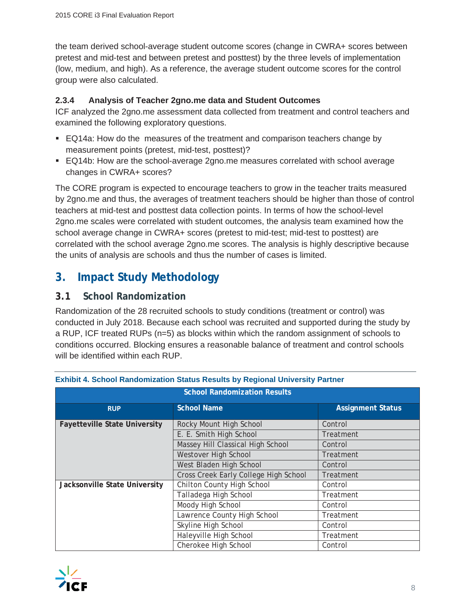the team derived school-average student outcome scores (change in CWRA+ scores between pretest and mid-test and between pretest and posttest) by the three levels of implementation (low, medium, and high). As a reference, the average student outcome scores for the control group were also calculated.

#### **2.3.4 Analysis of Teacher 2gno.me data and Student Outcomes**

ICF analyzed the 2gno.me assessment data collected from treatment and control teachers and examined the following exploratory questions.

- **EQ14a: How do the measures of the treatment and comparison teachers change by** measurement points (pretest, mid-test, posttest)?
- EQ14b: How are the school-average 2gno.me measures correlated with school average changes in CWRA+ scores?

The CORE program is expected to encourage teachers to grow in the teacher traits measured by 2gno.me and thus, the averages of treatment teachers should be higher than those of control teachers at mid-test and posttest data collection points. In terms of how the school-level 2gno.me scales were correlated with student outcomes, the analysis team examined how the school average change in CWRA+ scores (pretest to mid-test; mid-test to posttest) are correlated with the school average 2gno.me scores. The analysis is highly descriptive because the units of analysis are schools and thus the number of cases is limited.

## **3. Impact Study Methodology**

### **3.1 School Randomization**

Randomization of the 28 recruited schools to study conditions (treatment or control) was conducted in July 2018. Because each school was recruited and supported during the study by a RUP, ICF treated RUPs (n=5) as blocks within which the random assignment of schools to conditions occurred. Blocking ensures a reasonable balance of treatment and control schools will be identified within each RUP.

| <b>School Randomization Results</b>  |                                       |                          |  |  |  |  |  |
|--------------------------------------|---------------------------------------|--------------------------|--|--|--|--|--|
| <b>RUP</b>                           | <b>School Name</b>                    | <b>Assignment Status</b> |  |  |  |  |  |
| <b>Fayetteville State University</b> | Rocky Mount High School               | Control                  |  |  |  |  |  |
|                                      | E. E. Smith High School               | Treatment                |  |  |  |  |  |
|                                      | Massey Hill Classical High School     | Control                  |  |  |  |  |  |
|                                      | Westover High School                  | Treatment                |  |  |  |  |  |
|                                      | West Bladen High School               | Control                  |  |  |  |  |  |
|                                      | Cross Creek Early College High School | Treatment                |  |  |  |  |  |
| Jacksonville State University        | Chilton County High School            | Control                  |  |  |  |  |  |
|                                      | Talladega High School                 | Treatment                |  |  |  |  |  |
|                                      | Moody High School                     | Control                  |  |  |  |  |  |
|                                      | Lawrence County High School           | Treatment                |  |  |  |  |  |
|                                      | Skyline High School                   | Control                  |  |  |  |  |  |
|                                      | Haleyville High School                | Treatment                |  |  |  |  |  |
|                                      | Cherokee High School                  | Control                  |  |  |  |  |  |

#### **Exhibit 4. School Randomization Status Results by Regional University Partner**

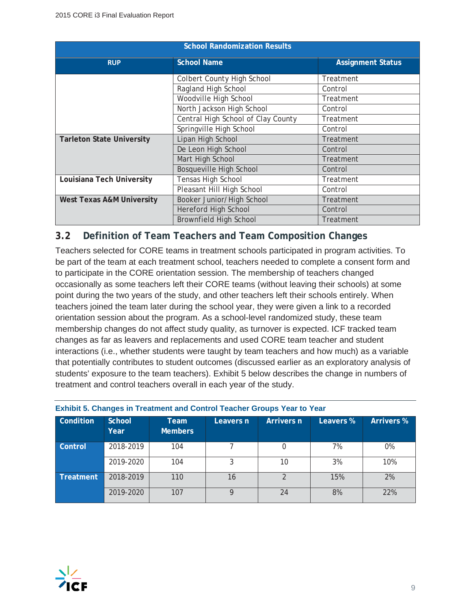| <b>School Randomization Results</b>  |                                    |           |  |  |  |  |  |
|--------------------------------------|------------------------------------|-----------|--|--|--|--|--|
| <b>RUP</b>                           | <b>Assignment Status</b>           |           |  |  |  |  |  |
|                                      | Colbert County High School         | Treatment |  |  |  |  |  |
|                                      | Ragland High School                | Control   |  |  |  |  |  |
|                                      | Woodville High School              | Treatment |  |  |  |  |  |
|                                      | North Jackson High School          | Control   |  |  |  |  |  |
|                                      | Central High School of Clay County | Treatment |  |  |  |  |  |
|                                      | Control                            |           |  |  |  |  |  |
| <b>Tarleton State University</b>     | Lipan High School                  | Treatment |  |  |  |  |  |
|                                      | De Leon High School                | Control   |  |  |  |  |  |
|                                      | Mart High School                   | Treatment |  |  |  |  |  |
|                                      | <b>Bosqueville High School</b>     | Control   |  |  |  |  |  |
| Louisiana Tech University            | Tensas High School                 | Treatment |  |  |  |  |  |
|                                      | Pleasant Hill High School          | Control   |  |  |  |  |  |
| <b>West Texas A&amp;M University</b> | Booker Junior/High School          | Treatment |  |  |  |  |  |
|                                      | Hereford High School               | Control   |  |  |  |  |  |
|                                      | <b>Brownfield High School</b>      | Treatment |  |  |  |  |  |

## **3.2 Definition of Team Teachers and Team Composition Changes**

Teachers selected for CORE teams in treatment schools participated in program activities. To be part of the team at each treatment school, teachers needed to complete a consent form and to participate in the CORE orientation session. The membership of teachers changed occasionally as some teachers left their CORE teams (without leaving their schools) at some point during the two years of the study, and other teachers left their schools entirely. When teachers joined the team later during the school year, they were given a link to a recorded orientation session about the program. As a school-level randomized study, these team membership changes do not affect study quality, as turnover is expected. ICF tracked team changes as far as leavers and replacements and used CORE team teacher and student interactions (i.e., whether students were taught by team teachers and how much) as a variable that potentially contributes to student outcomes (discussed earlier as an exploratory analysis of students' exposure to the team teachers). Exhibit 5 below describes the change in numbers of treatment and control teachers overall in each year of the study.

| Condition | School<br>Year | Team<br><b>Members</b> | Leavers n | Arrivers n | Leavers % | <b>Arrivers %</b> |
|-----------|----------------|------------------------|-----------|------------|-----------|-------------------|
| Control   | 2018-2019      | 104                    |           |            | 7%        | 0%                |
|           | 2019-2020      | 104                    | 3         | 10         | 3%        | 10%               |
| Treatment | 2018-2019      | 110                    | 16        |            | 15%       | 2%                |
|           | 2019-2020      | 107                    | 9         | 24         | 8%        | 22%               |

#### **Exhibit 5. Changes in Treatment and Control Teacher Groups Year to Year**

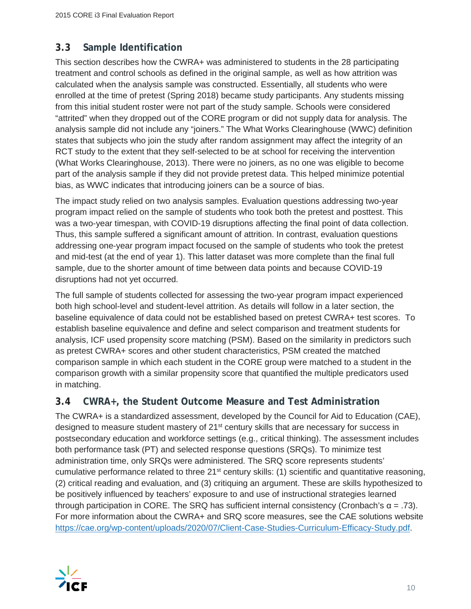## **3.3 Sample Identification**

This section describes how the CWRA+ was administered to students in the 28 participating treatment and control schools as defined in the original sample, as well as how attrition was calculated when the analysis sample was constructed. Essentially, all students who were enrolled at the time of pretest (Spring 2018) became study participants. Any students missing from this initial student roster were not part of the study sample. Schools were considered "attrited" when they dropped out of the CORE program or did not supply data for analysis. The analysis sample did not include any "joiners." The What Works Clearinghouse (WWC) definition states that subjects who join the study after random assignment may affect the integrity of an RCT study to the extent that they self-selected to be at school for receiving the intervention (What Works Clearinghouse, 2013). There were no joiners, as no one was eligible to become part of the analysis sample if they did not provide pretest data. This helped minimize potential bias, as WWC indicates that introducing joiners can be a source of bias.

The impact study relied on two analysis samples. Evaluation questions addressing two-year program impact relied on the sample of students who took both the pretest and posttest. This was a two-year timespan, with COVID-19 disruptions affecting the final point of data collection. Thus, this sample suffered a significant amount of attrition. In contrast, evaluation questions addressing one-year program impact focused on the sample of students who took the pretest and mid-test (at the end of year 1). This latter dataset was more complete than the final full sample, due to the shorter amount of time between data points and because COVID-19 disruptions had not yet occurred.

The full sample of students collected for assessing the two-year program impact experienced both high school-level and student-level attrition. As details will follow in a later section, the baseline equivalence of data could not be established based on pretest CWRA+ test scores. To establish baseline equivalence and define and select comparison and treatment students for analysis, ICF used propensity score matching (PSM). Based on the similarity in predictors such as pretest CWRA+ scores and other student characteristics, PSM created the matched comparison sample in which each student in the CORE group were matched to a student in the comparison growth with a similar propensity score that quantified the multiple predicators used in matching.

#### **3.4 CWRA+, the Student Outcome Measure and Test Administration**

The CWRA+ is a standardized assessment, developed by the Council for Aid to Education (CAE), designed to measure student mastery of 21<sup>st</sup> century skills that are necessary for success in postsecondary education and workforce settings (e.g., critical thinking). The assessment includes both performance task (PT) and selected response questions (SRQs). To minimize test administration time, only SRQs were administered. The SRQ score represents students' cumulative performance related to three 21<sup>st</sup> century skills: (1) scientific and quantitative reasoning, (2) critical reading and evaluation, and (3) critiquing an argument. These are skills hypothesized to be positively influenced by teachers' exposure to and use of instructional strategies learned through participation in CORE. The SRQ has sufficient internal consistency (Cronbach's  $\alpha = .73$ ). For more information about the CWRA+ and SRQ score measures, see the CAE solutions website https://cae.org/wp-content/uploads/2020/07/Client-Case-Studies-Curriculum-Efficacy-Study.pdf.

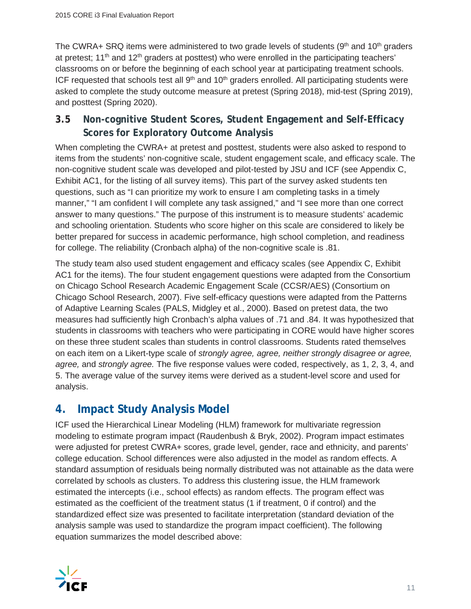The CWRA+ SRQ items were administered to two grade levels of students (9<sup>th</sup> and 10<sup>th</sup> graders at pretest; 11<sup>th</sup> and 12<sup>th</sup> graders at posttest) who were enrolled in the participating teachers' classrooms on or before the beginning of each school year at participating treatment schools. ICF requested that schools test all  $9<sup>th</sup>$  and  $10<sup>th</sup>$  graders enrolled. All participating students were asked to complete the study outcome measure at pretest (Spring 2018), mid-test (Spring 2019), and posttest (Spring 2020).

## **3.5 Non-cognitive Student Scores, Student Engagement and Self-Efficacy Scores for Exploratory Outcome Analysis**

When completing the CWRA+ at pretest and posttest, students were also asked to respond to items from the students' non-cognitive scale, student engagement scale, and efficacy scale. The non-cognitive student scale was developed and pilot-tested by JSU and ICF (see Appendix C, Exhibit AC1, for the listing of all survey items). This part of the survey asked students ten questions, such as "I can prioritize my work to ensure I am completing tasks in a timely manner," "I am confident I will complete any task assigned," and "I see more than one correct answer to many questions." The purpose of this instrument is to measure students' academic and schooling orientation. Students who score higher on this scale are considered to likely be better prepared for success in academic performance, high school completion, and readiness for college. The reliability (Cronbach alpha) of the non-cognitive scale is .81.

The study team also used student engagement and efficacy scales (see Appendix C, Exhibit AC1 for the items). The four student engagement questions were adapted from the Consortium on Chicago School Research Academic Engagement Scale (CCSR/AES) (Consortium on Chicago School Research, 2007). Five self-efficacy questions were adapted from the Patterns of Adaptive Learning Scales (PALS, Midgley et al., 2000). Based on pretest data, the two measures had sufficiently high Cronbach's alpha values of .71 and .84. It was hypothesized that students in classrooms with teachers who were participating in CORE would have higher scores on these three student scales than students in control classrooms. Students rated themselves on each item on a Likert-type scale of *strongly agree, agree, neither strongly disagree or agree, agree,* and *strongly agree.* The five response values were coded, respectively, as 1, 2, 3, 4, and 5. The average value of the survey items were derived as a student-level score and used for analysis.

## **4. Impact Study Analysis Model**

ICF used the Hierarchical Linear Modeling (HLM) framework for multivariate regression modeling to estimate program impact (Raudenbush & Bryk, 2002). Program impact estimates were adjusted for pretest CWRA+ scores, grade level, gender, race and ethnicity, and parents' college education. School differences were also adjusted in the model as random effects. A standard assumption of residuals being normally distributed was not attainable as the data were correlated by schools as clusters. To address this clustering issue, the HLM framework estimated the intercepts (i.e., school effects) as random effects. The program effect was estimated as the coefficient of the treatment status (1 if treatment, 0 if control) and the standardized effect size was presented to facilitate interpretation (standard deviation of the analysis sample was used to standardize the program impact coefficient). The following equation summarizes the model described above:

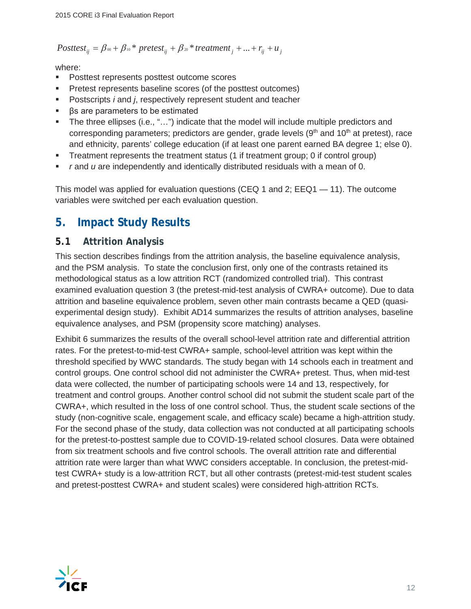Posttest<sub>ij</sub> = 
$$
\beta_{00} + \beta_{10} * \text{pretest}_{ij} + \beta_{20} * \text{treatment}_{j} + ... + r_{ij} + u_{j}
$$

where:

- **Posttest represents posttest outcome scores**
- Pretest represents baseline scores (of the posttest outcomes)
- Postscripts *i* and *j*, respectively represent student and teacher
- $\mathsf{PS}$  are parameters to be estimated
- The three ellipses (i.e., "…") indicate that the model will include multiple predictors and corresponding parameters; predictors are gender, grade levels  $(9<sup>th</sup>$  and  $10<sup>th</sup>$  at pretest), race and ethnicity, parents' college education (if at least one parent earned BA degree 1; else 0).
- Treatment represents the treatment status (1 if treatment group; 0 if control group)
- *r* and *u* are independently and identically distributed residuals with a mean of 0.

This model was applied for evaluation questions (CEQ 1 and 2; EEQ1 — 11). The outcome variables were switched per each evaluation question.

## **5. Impact Study Results**

#### **5.1 Attrition Analysis**

This section describes findings from the attrition analysis, the baseline equivalence analysis, and the PSM analysis. To state the conclusion first, only one of the contrasts retained its methodological status as a low attrition RCT (randomized controlled trial). This contrast examined evaluation question 3 (the pretest-mid-test analysis of CWRA+ outcome). Due to data attrition and baseline equivalence problem, seven other main contrasts became a QED (quasiexperimental design study). Exhibit AD14 summarizes the results of attrition analyses, baseline equivalence analyses, and PSM (propensity score matching) analyses.

Exhibit 6 summarizes the results of the overall school-level attrition rate and differential attrition rates. For the pretest-to-mid-test CWRA+ sample, school-level attrition was kept within the threshold specified by WWC standards. The study began with 14 schools each in treatment and control groups. One control school did not administer the CWRA+ pretest. Thus, when mid-test data were collected, the number of participating schools were 14 and 13, respectively, for treatment and control groups. Another control school did not submit the student scale part of the CWRA+, which resulted in the loss of one control school. Thus, the student scale sections of the study (non-cognitive scale, engagement scale, and efficacy scale) became a high-attrition study. For the second phase of the study, data collection was not conducted at all participating schools for the pretest-to-posttest sample due to COVID-19-related school closures. Data were obtained from six treatment schools and five control schools. The overall attrition rate and differential attrition rate were larger than what WWC considers acceptable. In conclusion, the pretest-midtest CWRA+ study is a low-attrition RCT, but all other contrasts (pretest-mid-test student scales and pretest-posttest CWRA+ and student scales) were considered high-attrition RCTs.

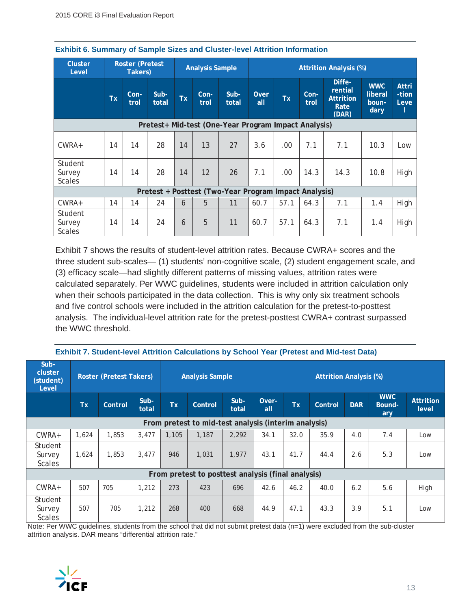| <b>Cluster</b><br><b>Roster (Pretest</b><br>Level<br>Takers) |                                                       |              | <b>Analysis Sample</b> |           | <b>Attrition Analysis (%)</b> |                                                      |             |           |              |                                                        |                                        |                        |
|--------------------------------------------------------------|-------------------------------------------------------|--------------|------------------------|-----------|-------------------------------|------------------------------------------------------|-------------|-----------|--------------|--------------------------------------------------------|----------------------------------------|------------------------|
|                                                              | <b>Tx</b>                                             | Con-<br>trol | Sub-<br>total          | <b>Tx</b> | Con-<br>trol                  | $Sub-$<br>total                                      | Over<br>all | <b>Tx</b> | Con-<br>trol | Diffe-<br>rential<br><b>Attrition</b><br>Rate<br>(DAR) | <b>WWC</b><br>liberal<br>boun-<br>dary | Attri<br>-tion<br>Leve |
|                                                              |                                                       |              |                        |           |                               | Pretest+ Mid-test (One-Year Program Impact Analysis) |             |           |              |                                                        |                                        |                        |
| $CWRA+$                                                      | 14                                                    | 14           | 28                     | 14        | 13                            | 27                                                   | 3.6         | .00       | 7.1          | 7.1                                                    | 10.3                                   | Low                    |
| Student<br>Survey<br><b>Scales</b>                           | 14                                                    | 14           | 28                     | 14        | 12                            | 26                                                   | 7.1         | .00       | 14.3         | 14.3                                                   | 10.8                                   | High                   |
|                                                              | Pretest + Posttest (Two-Year Program Impact Analysis) |              |                        |           |                               |                                                      |             |           |              |                                                        |                                        |                        |
| $CWRA+$                                                      | 14                                                    | 14           | 24                     | 6         | 5                             | 11                                                   | 60.7        | 57.1      | 64.3         | 7.1                                                    | 1.4                                    | High                   |
| Student<br>Survey<br><b>Scales</b>                           | 14                                                    | 14           | 24                     | 6         | 5                             | 11                                                   | 60.7        | 57.1      | 64.3         | 7.1                                                    | 1.4                                    | High                   |

Exhibit 7 shows the results of student-level attrition rates. Because CWRA+ scores and the three student sub-scales— (1) students' non-cognitive scale, (2) student engagement scale, and (3) efficacy scale—had slightly different patterns of missing values, attrition rates were calculated separately. Per WWC guidelines, students were included in attrition calculation only when their schools participated in the data collection. This is why only six treatment schools and five control schools were included in the attrition calculation for the pretest-to-posttest analysis. The individual-level attrition rate for the pretest-posttest CWRA+ contrast surpassed the WWC threshold.

| Sub-<br>cluster<br>(student)<br>Level |           | <b>Roster (Pretest Takers)</b> |               | <b>Analysis Sample</b> |                                                      |                 | <b>Attrition Analysis (%)</b> |      |         |            |                             |                           |
|---------------------------------------|-----------|--------------------------------|---------------|------------------------|------------------------------------------------------|-----------------|-------------------------------|------|---------|------------|-----------------------------|---------------------------|
|                                       | <b>Tx</b> | Control                        | Sub-<br>total | <b>Tx</b>              | Control                                              | $Sub-$<br>total | Over-<br>all                  | Tx   | Control | <b>DAR</b> | <b>WWC</b><br>Bound-<br>ary | <b>Attrition</b><br>level |
|                                       |           |                                |               |                        | From pretest to mid-test analysis (interim analysis) |                 |                               |      |         |            |                             |                           |
| CWRA+                                 | 1.624     | 1,853                          | 3.477         | 1,105                  | 1,187                                                | 2.292           | 34.1                          | 32.0 | 35.9    | 4.0        | 7.4                         | Low                       |
| Student<br>Survey<br><b>Scales</b>    | 1,624     | 1,853                          | 3.477         | 946                    | 1,031                                                | 1.977           | 43.1                          | 41.7 | 44.4    | 2.6        | 5.3                         | Low                       |
|                                       |           |                                |               |                        | From pretest to posttest analysis (final analysis)   |                 |                               |      |         |            |                             |                           |
| CWRA+                                 | 507       | 705                            | 1,212         | 273                    | 423                                                  | 696             | 42.6                          | 46.2 | 40.0    | 6.2        | 5.6                         | High                      |
| Student<br>Survey<br><b>Scales</b>    | 507       | 705                            | 1,212         | 268                    | 400                                                  | 668             | 44.9                          | 47.1 | 43.3    | 3.9        | 5.1                         | Low                       |

**Exhibit 7. Student-level Attrition Calculations by School Year (Pretest and Mid-test Data)**

Note: Per WWC guidelines, students from the school that did not submit pretest data (n=1) were excluded from the sub-cluster attrition analysis. DAR means "differential attrition rate."

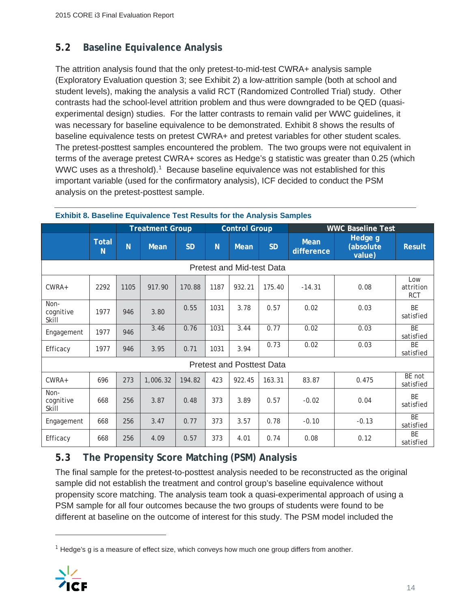## **5.2 Baseline Equivalence Analysis**

The attrition analysis found that the only pretest-to-mid-test CWRA+ analysis sample (Exploratory Evaluation question 3; see Exhibit 2) a low-attrition sample (both at school and student levels), making the analysis a valid RCT (Randomized Controlled Trial) study. Other contrasts had the school-level attrition problem and thus were downgraded to be QED (quasiexperimental design) studies. For the latter contrasts to remain valid per WWC guidelines, it was necessary for baseline equivalence to be demonstrated. Exhibit 8 shows the results of baseline equivalence tests on pretest CWRA+ and pretest variables for other student scales. The pretest-posttest samples encountered the problem. The two groups were not equivalent in terms of the average pretest CWRA+ scores as Hedge's g statistic was greater than 0.25 (which WWC uses as a threshold).<sup>1</sup> Because baseline equivalence was not established for this important variable (used for the confirmatory analysis), ICF decided to conduct the PSM analysis on the pretest-posttest sample.

|                                  |                   |      | <b>Treatment Group</b> |           |      | <b>Control Group</b>             |           |                           | <b>WWC Baseline Test</b>       |                                |  |
|----------------------------------|-------------------|------|------------------------|-----------|------|----------------------------------|-----------|---------------------------|--------------------------------|--------------------------------|--|
|                                  | <b>Total</b><br>N | N    | <b>Mean</b>            | <b>SD</b> | N    | Mean                             | <b>SD</b> | <b>Mean</b><br>difference | Hedge g<br>(absolute<br>value) | <b>Result</b>                  |  |
| <b>Pretest and Mid-test Data</b> |                   |      |                        |           |      |                                  |           |                           |                                |                                |  |
| CWRA+                            | 2292              | 1105 | 917.90                 | 170.88    | 1187 | 932.21                           | 175.40    | $-14.31$                  | 0.08                           | Low<br>attrition<br><b>RCT</b> |  |
| Non-<br>cognitive<br>Skill       | 1977              | 946  | 3.80                   | 0.55      | 1031 | 3.78                             | 0.57      | 0.02                      | 0.03                           | <b>BE</b><br>satisfied         |  |
| Engagement                       | 1977              | 946  | 3.46                   | 0.76      | 1031 | 3.44                             | 0.77      | 0.02                      | 0.03                           | BE<br>satisfied                |  |
| Efficacy                         | 1977              | 946  | 3.95                   | 0.71      | 1031 | 3.94                             | 0.73      | 0.02                      | 0.03                           | BE<br>satisfied                |  |
|                                  |                   |      |                        |           |      | <b>Pretest and Posttest Data</b> |           |                           |                                |                                |  |
| CWRA+                            | 696               | 273  | 1,006.32               | 194.82    | 423  | 922.45                           | 163.31    | 83.87                     | 0.475                          | BE not<br>satisfied            |  |
| Non-<br>cognitive<br>Skill       | 668               | 256  | 3.87                   | 0.48      | 373  | 3.89                             | 0.57      | $-0.02$                   | 0.04                           | <b>BE</b><br>satisfied         |  |
| Engagement                       | 668               | 256  | 3.47                   | 0.77      | 373  | 3.57                             | 0.78      | $-0.10$                   | $-0.13$                        | <b>BE</b><br>satisfied         |  |
| Efficacy                         | 668               | 256  | 4.09                   | 0.57      | 373  | 4.01                             | 0.74      | 0.08                      | 0.12                           | <b>BF</b><br>satisfied         |  |

#### **Exhibit 8. Baseline Equivalence Test Results for the Analysis Samples**

## **5.3 The Propensity Score Matching (PSM) Analysis**

The final sample for the pretest-to-posttest analysis needed to be reconstructed as the original sample did not establish the treatment and control group's baseline equivalence without propensity score matching. The analysis team took a quasi-experimental approach of using a PSM sample for all four outcomes because the two groups of students were found to be different at baseline on the outcome of interest for this study. The PSM model included the

 $<sup>1</sup>$  Hedge's g is a measure of effect size, which conveys how much one group differs from another.</sup>

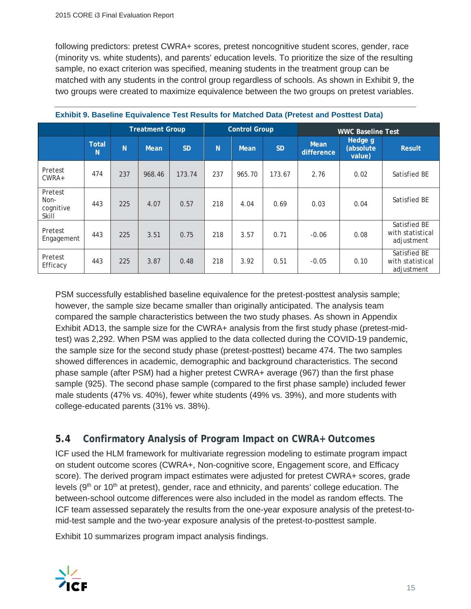following predictors: pretest CWRA+ scores, pretest noncognitive student scores, gender, race (minority vs. white students), and parents' education levels. To prioritize the size of the resulting sample, no exact criterion was specified, meaning students in the treatment group can be matched with any students in the control group regardless of schools. As shown in Exhibit 9, the two groups were created to maximize equivalence between the two groups on pretest variables.

|                                       |                   |     | <b>Treatment Group</b> |           |                | <b>Control Group</b> |           |                           | <b>WWC Baseline Test</b>       |                                                |
|---------------------------------------|-------------------|-----|------------------------|-----------|----------------|----------------------|-----------|---------------------------|--------------------------------|------------------------------------------------|
|                                       | <b>Total</b><br>N | N   | Mean                   | <b>SD</b> | N <sub>1</sub> | <b>Mean</b>          | <b>SD</b> | <b>Mean</b><br>difference | Hedge g<br>(absolute<br>value) | <b>Result</b>                                  |
| Pretest<br>$CWRA+$                    | 474               | 237 | 968.46                 | 173.74    | 237            | 965.70               | 173.67    | 2.76                      | 0.02                           | Satisfied BE                                   |
| Pretest<br>Non-<br>cognitive<br>Skill | 443               | 225 | 4.07                   | 0.57      | 218            | 4.04                 | 0.69      | 0.03                      | 0.04                           | Satisfied BE                                   |
| Pretest<br>Engagement                 | 443               | 225 | 3.51                   | 0.75      | 218            | 3.57                 | 0.71      | $-0.06$                   | 0.08                           | Satisfied BE<br>with statistical<br>adjustment |
| Pretest<br>Efficacy                   | 443               | 225 | 3.87                   | 0.48      | 218            | 3.92                 | 0.51      | $-0.05$                   | 0.10                           | Satisfied BE<br>with statistical<br>adjustment |

|  |  | Exhibit 9. Baseline Equivalence Test Results for Matched Data (Pretest and Posttest Data) |  |
|--|--|-------------------------------------------------------------------------------------------|--|
|  |  |                                                                                           |  |
|  |  |                                                                                           |  |

PSM successfully established baseline equivalence for the pretest-posttest analysis sample; however, the sample size became smaller than originally anticipated. The analysis team compared the sample characteristics between the two study phases. As shown in Appendix Exhibit AD13, the sample size for the CWRA+ analysis from the first study phase (pretest-midtest) was 2,292. When PSM was applied to the data collected during the COVID-19 pandemic, the sample size for the second study phase (pretest-posttest) became 474. The two samples showed differences in academic, demographic and background characteristics. The second phase sample (after PSM) had a higher pretest CWRA+ average (967) than the first phase sample (925). The second phase sample (compared to the first phase sample) included fewer male students (47% vs. 40%), fewer white students (49% vs. 39%), and more students with college-educated parents (31% vs. 38%).

## **5.4 Confirmatory Analysis of Program Impact on CWRA+ Outcomes**

ICF used the HLM framework for multivariate regression modeling to estimate program impact on student outcome scores (CWRA+, Non-cognitive score, Engagement score, and Efficacy score). The derived program impact estimates were adjusted for pretest CWRA+ scores, grade levels ( $9<sup>th</sup>$  or 10<sup>th</sup> at pretest), gender, race and ethnicity, and parents' college education. The between-school outcome differences were also included in the model as random effects. The ICF team assessed separately the results from the one-year exposure analysis of the pretest-tomid-test sample and the two-year exposure analysis of the pretest-to-posttest sample.

Exhibit 10 summarizes program impact analysis findings.

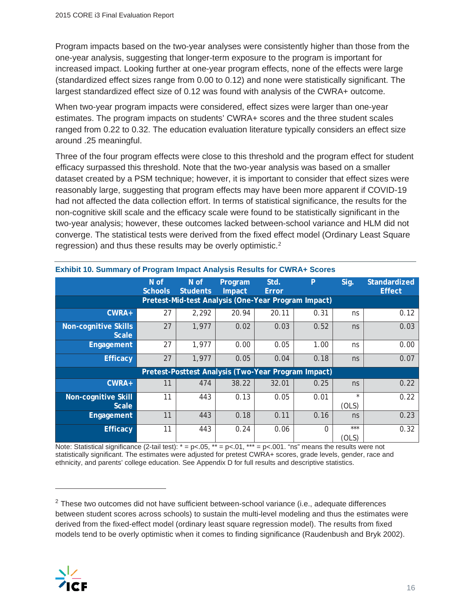Program impacts based on the two-year analyses were consistently higher than those from the one-year analysis, suggesting that longer-term exposure to the program is important for increased impact. Looking further at one-year program effects, none of the effects were large (standardized effect sizes range from 0.00 to 0.12) and none were statistically significant. The largest standardized effect size of 0.12 was found with analysis of the CWRA+ outcome.

When two-year program impacts were considered, effect sizes were larger than one-year estimates. The program impacts on students' CWRA+ scores and the three student scales ranged from 0.22 to 0.32. The education evaluation literature typically considers an effect size around .25 meaningful.

Three of the four program effects were close to this threshold and the program effect for student efficacy surpassed this threshold. Note that the two-year analysis was based on a smaller dataset created by a PSM technique; however, it is important to consider that effect sizes were reasonably large, suggesting that program effects may have been more apparent if COVID-19 had not affected the data collection effort. In terms of statistical significance, the results for the non-cognitive skill scale and the efficacy scale were found to be statistically significant in the two-year analysis; however, these outcomes lacked between-school variance and HLM did not converge. The statistical tests were derived from the fixed effect model (Ordinary Least Square regression) and thus these results may be overly optimistic.<sup>2</sup>

|                                                                                | N of<br><b>Schools</b> | $N$ of<br><b>Students</b>                           | Program<br>Impact | Std.<br>Error | P        | Sig.             | Standardized<br><b>Effect</b> |  |  |  |  |  |  |
|--------------------------------------------------------------------------------|------------------------|-----------------------------------------------------|-------------------|---------------|----------|------------------|-------------------------------|--|--|--|--|--|--|
| Pretest-Mid-test Analysis (One-Year Program Impact)<br>2,292<br>20.94<br>20.11 |                        |                                                     |                   |               |          |                  |                               |  |  |  |  |  |  |
| CWRA+                                                                          | ns                     | 0.12                                                |                   |               |          |                  |                               |  |  |  |  |  |  |
| Non-cognitive Skills<br><b>Scale</b>                                           | 27                     | 1,977                                               | 0.02              | 0.03          | 0.52     | ns               | 0.03                          |  |  |  |  |  |  |
| Engagement                                                                     | 27                     | 1,977                                               | 0.00              | 0.05          | 1.00     | ns               | 0.00                          |  |  |  |  |  |  |
| <b>Efficacy</b>                                                                | 27                     | 1,977                                               | 0.05              | 0.04          | 0.18     | ns               | 0.07                          |  |  |  |  |  |  |
|                                                                                |                        | Pretest-Posttest Analysis (Two-Year Program Impact) |                   |               |          |                  |                               |  |  |  |  |  |  |
| $CWRA+$                                                                        | 11                     | 474                                                 | 38.22             | 32.01         | 0.25     | ns               | 0.22                          |  |  |  |  |  |  |
| Non-cognitive Skill<br><b>Scale</b>                                            | 11                     | 443                                                 | 0.13              | 0.05          | 0.01     | $\star$<br>(OLS) | 0.22                          |  |  |  |  |  |  |
| Engagement                                                                     | 11                     | 443                                                 | 0.18              | 0.11          | 0.16     | ns               | 0.23                          |  |  |  |  |  |  |
| <b>Efficacy</b>                                                                | 11                     | 443                                                 | 0.24              | 0.06          | $\Omega$ | $***$<br>(OLS)   | 0.32                          |  |  |  |  |  |  |

**Exhibit 10. Summary of Program Impact Analysis Results for CWRA+ Scores**

Note: Statistical significance (2-tail test):  $* = p < .05$ ,  $** = p < .01$ ,  $*** = p < .001$ . "ns" means the results were not statistically significant. The estimates were adjusted for pretest CWRA+ scores, grade levels, gender, race and ethnicity, and parents' college education. See Appendix D for full results and descriptive statistics.

 $2$  These two outcomes did not have sufficient between-school variance (i.e., adequate differences between student scores across schools) to sustain the multi-level modeling and thus the estimates were derived from the fixed-effect model (ordinary least square regression model). The results from fixed models tend to be overly optimistic when it comes to finding significance (Raudenbush and Bryk 2002).

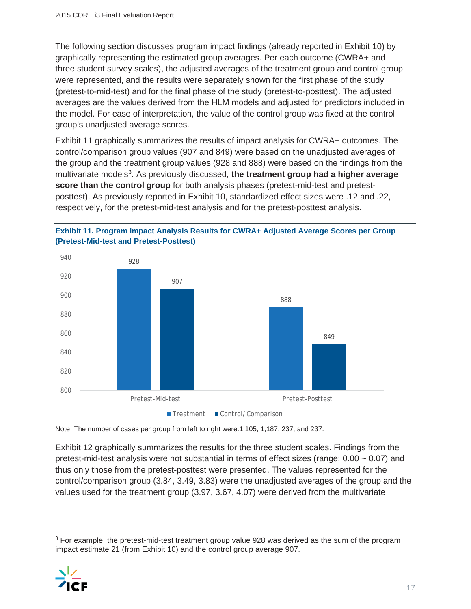The following section discusses program impact findings (already reported in Exhibit 10) by graphically representing the estimated group averages. Per each outcome (CWRA+ and three student survey scales), the adjusted averages of the treatment group and control group were represented, and the results were separately shown for the first phase of the study (pretest-to-mid-test) and for the final phase of the study (pretest-to-posttest). The adjusted averages are the values derived from the HLM models and adjusted for predictors included in the model. For ease of interpretation, the value of the control group was fixed at the control group's unadjusted average scores.

Exhibit 11 graphically summarizes the results of impact analysis for CWRA+ outcomes. The control/comparison group values (907 and 849) were based on the unadjusted averages of the group and the treatment group values (928 and 888) were based on the findings from the multivariate models<sup>3</sup>. As previously discussed, the treatment group had a higher average **score than the control group** for both analysis phases (pretest-mid-test and pretestposttest). As previously reported in Exhibit 10, standardized effect sizes were .12 and .22, respectively, for the pretest-mid-test analysis and for the pretest-posttest analysis.





Note: The number of cases per group from left to right were:1,105, 1,187, 237, and 237.

Exhibit 12 graphically summarizes the results for the three student scales. Findings from the pretest-mid-test analysis were not substantial in terms of effect sizes (range:  $0.00 \sim 0.07$ ) and thus only those from the pretest-posttest were presented. The values represented for the control/comparison group (3.84, 3.49, 3.83) were the unadjusted averages of the group and the values used for the treatment group (3.97, 3.67, 4.07) were derived from the multivariate

<sup>&</sup>lt;sup>3</sup> For example, the pretest-mid-test treatment group value 928 was derived as the sum of the program impact estimate 21 (from Exhibit 10) and the control group average 907.

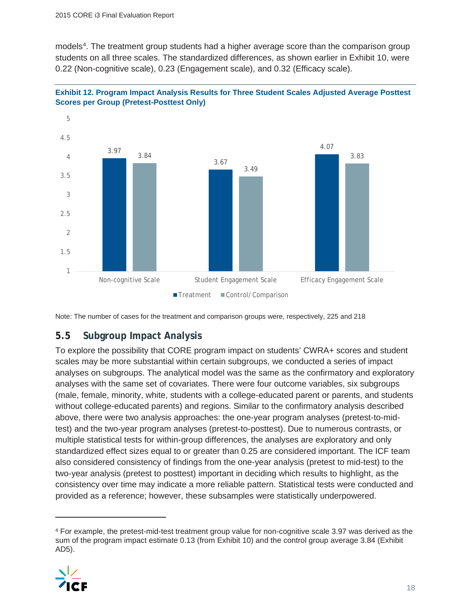models<sup>4</sup>. The treatment group students had a higher average score than the comparison group students on all three scales. The standardized differences, as shown earlier in Exhibit 10, were 0.22 (Non-cognitive scale), 0.23 (Engagement scale), and 0.32 (Efficacy scale).





Note: The number of cases for the treatment and comparison groups were, respectively, 225 and 218

## **5.5 Subgroup Impact Analysis**

To explore the possibility that CORE program impact on students' CWRA+ scores and student scales may be more substantial within certain subgroups, we conducted a series of impact analyses on subgroups. The analytical model was the same as the confirmatory and exploratory analyses with the same set of covariates. There were four outcome variables, six subgroups (male, female, minority, white, students with a college-educated parent or parents, and students without college-educated parents) and regions. Similar to the confirmatory analysis described above, there were two analysis approaches: the one-year program analyses (pretest-to-midtest) and the two-year program analyses (pretest-to-posttest). Due to numerous contrasts, or multiple statistical tests for within-group differences, the analyses are exploratory and only standardized effect sizes equal to or greater than 0.25 are considered important. The ICF team also considered consistency of findings from the one-year analysis (pretest to mid-test) to the two-year analysis (pretest to posttest) important in deciding which results to highlight, as the consistency over time may indicate a more reliable pattern. Statistical tests were conducted and provided as a reference; however, these subsamples were statistically underpowered.

<sup>4</sup> For example, the pretest-mid-test treatment group value for non-cognitive scale 3.97 was derived as the sum of the program impact estimate 0.13 (from Exhibit 10) and the control group average 3.84 (Exhibit AD5).

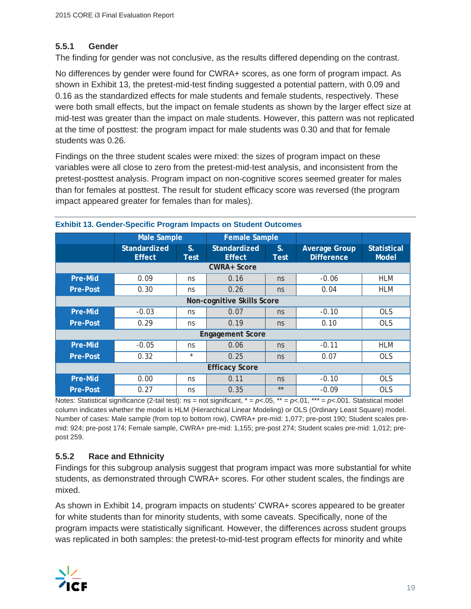#### **5.5.1 Gender**

The finding for gender was not conclusive, as the results differed depending on the contrast.

No differences by gender were found for CWRA+ scores, as one form of program impact. As shown in Exhibit 13, the pretest-mid-test finding suggested a potential pattern, with 0.09 and 0.16 as the standardized effects for male students and female students, respectively. These were both small effects, but the impact on female students as shown by the larger effect size at mid-test was greater than the impact on male students. However, this pattern was not replicated at the time of posttest: the program impact for male students was 0.30 and that for female students was 0.26.

Findings on the three student scales were mixed: the sizes of program impact on these variables were all close to zero from the pretest-mid-test analysis, and inconsistent from the pretest-posttest analysis. Program impact on non-cognitive scores seemed greater for males than for females at posttest. The result for student efficacy score was reversed (the program impact appeared greater for females than for males).

|                 | <b>Male Sample</b>                   |            | <b>Female Sample</b>          |                            |                                           |                                    |  |  |  |  |
|-----------------|--------------------------------------|------------|-------------------------------|----------------------------|-------------------------------------------|------------------------------------|--|--|--|--|
|                 | <b>Standardized</b><br><b>Effect</b> | S.<br>Test | Standardized<br><b>Effect</b> | $S_{\cdot}$<br><b>Test</b> | <b>Average Group</b><br><b>Difference</b> | <b>Statistical</b><br><b>Model</b> |  |  |  |  |
| CWRA+ Score     |                                      |            |                               |                            |                                           |                                    |  |  |  |  |
| Pre-Mid         | 0.09                                 | ns         | 0.16                          | ns                         | $-0.06$                                   | <b>HLM</b>                         |  |  |  |  |
| <b>Pre-Post</b> | 0.30                                 | ns         | 0.26                          | ns                         | 0.04                                      | <b>HLM</b>                         |  |  |  |  |
|                 |                                      |            | Non-cognitive Skills Score    |                            |                                           |                                    |  |  |  |  |
| Pre-Mid         | $-0.03$                              | ns         | 0.07                          | ns                         | $-0.10$                                   | <b>OLS</b>                         |  |  |  |  |
| <b>Pre-Post</b> | 0.29                                 | ns         | 0.19                          | ns                         | 0.10                                      | <b>OLS</b>                         |  |  |  |  |
|                 |                                      |            | <b>Engagement Score</b>       |                            |                                           |                                    |  |  |  |  |
| Pre-Mid         | $-0.05$                              | ns         | 0.06                          | ns                         | $-0.11$                                   | <b>HLM</b>                         |  |  |  |  |
| <b>Pre-Post</b> | 0.32                                 | $\star$    | 0.25                          | ns                         | 0.07                                      | <b>OLS</b>                         |  |  |  |  |
|                 |                                      |            | <b>Efficacy Score</b>         |                            |                                           |                                    |  |  |  |  |
| Pre-Mid         | 0.00                                 | ns         | 0.11                          | ns                         | $-0.10$                                   | <b>OLS</b>                         |  |  |  |  |
| <b>Pre-Post</b> | 0.27                                 | ns         | 0.35                          | $**$                       | $-0.09$                                   | <b>OLS</b>                         |  |  |  |  |

#### **Exhibit 13. Gender-Specific Program Impacts on Student Outcomes**

Notes: Statistical significance (2-tail test): ns = not significant,  $* = p<.05$ ,  $** = p<.01$ ,  $*** = p<.001$ . Statistical model column indicates whether the model is HLM (Hierarchical Linear Modeling) or OLS (Ordinary Least Square) model. Number of cases: Male sample (from top to bottom row), CWRA+ pre-mid: 1,077; pre-post 190; Student scales premid: 924; pre-post 174; Female sample, CWRA+ pre-mid: 1,155; pre-post 274; Student scales pre-mid: 1,012; prepost 259.

#### **5.5.2 Race and Ethnicity**

Findings for this subgroup analysis suggest that program impact was more substantial for white students, as demonstrated through CWRA+ scores. For other student scales, the findings are mixed.

As shown in Exhibit 14, program impacts on students' CWRA+ scores appeared to be greater for white students than for minority students, with some caveats. Specifically, none of the program impacts were statistically significant. However, the differences across student groups was replicated in both samples: the pretest-to-mid-test program effects for minority and white

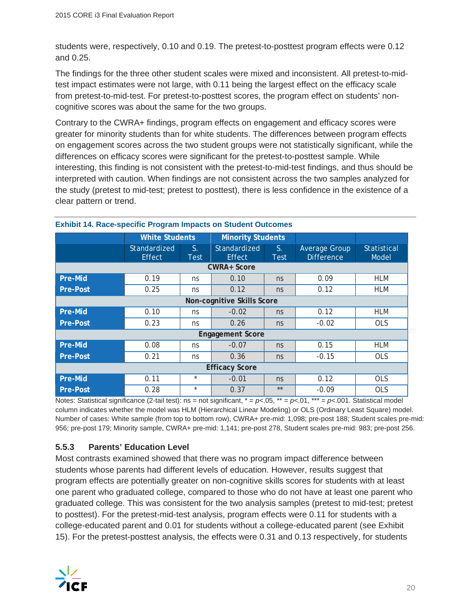students were, respectively, 0.10 and 0.19. The pretest-to-posttest program effects were 0.12 and 0.25.

The findings for the three other student scales were mixed and inconsistent. All pretest-to-midtest impact estimates were not large, with 0.11 being the largest effect on the efficacy scale from pretest-to-mid-test. For pretest-to-posttest scores, the program effect on students' noncognitive scores was about the same for the two groups.

Contrary to the CWRA+ findings, program effects on engagement and efficacy scores were greater for minority students than for white students. The differences between program effects on engagement scores across the two student groups were not statistically significant, while the differences on efficacy scores were significant for the pretest-to-posttest sample. While interesting, this finding is not consistent with the pretest-to-mid-test findings, and thus should be interpreted with caution. When findings are not consistent across the two samples analyzed for the study (pretest to mid-test; pretest to posttest), there is less confidence in the existence of a clear pattern or trend.

|                 | <b>White Students</b>         |                   | <b>Minority Students</b>      |                   |                                    |                             |
|-----------------|-------------------------------|-------------------|-------------------------------|-------------------|------------------------------------|-----------------------------|
|                 | Standardized<br><b>Effect</b> | S.<br><b>Test</b> | Standardized<br><b>Effect</b> | S.<br><b>Test</b> | Average Group<br><b>Difference</b> | <b>Statistical</b><br>Model |
|                 |                               |                   | <b>CWRA+ Score</b>            |                   |                                    |                             |
| <b>Pre-Mid</b>  | 0.19                          | ns                | 0.10                          | ns                | 0.09                               | <b>HLM</b>                  |
| <b>Pre-Post</b> | 0.25                          | ns                | 0.12                          | ns                | 0.12                               | <b>HLM</b>                  |
|                 |                               |                   | Non-cognitive Skills Score    |                   |                                    |                             |
| Pre-Mid         | 0.10                          | ns                | $-0.02$                       | ns                | 0.12                               | <b>HLM</b>                  |
| <b>Pre-Post</b> | 0.23                          | ns                | 0.26                          | ns                | $-0.02$                            | <b>OLS</b>                  |
|                 |                               |                   | <b>Engagement Score</b>       |                   |                                    |                             |
| Pre-Mid         | 0.08                          | ns                | $-0.07$                       | ns                | 0.15                               | <b>HLM</b>                  |
| <b>Pre-Post</b> | 0.21                          | ns                | 0.36                          | ns                | $-0.15$                            | <b>OLS</b>                  |
|                 |                               |                   | <b>Efficacy Score</b>         |                   |                                    |                             |
| <b>Pre-Mid</b>  | 0.11                          | $\star$           | $-0.01$                       | ns                | 0.12                               | <b>OLS</b>                  |
| <b>Pre-Post</b> | 0.28                          | $\star$           | 0.37                          | $**$              | $-0.09$                            | <b>OLS</b>                  |

#### **Exhibit 14. Race-specific Program Impacts on Student Outcomes**

Notes: Statistical significance (2-tail test): ns = not significant, \* = *p<*.05, \*\* = *p<*.01, \*\*\* = *p<*.001. Statistical model column indicates whether the model was HLM (Hierarchical Linear Modeling) or OLS (Ordinary Least Square) model. Number of cases: White sample (from top to bottom row), CWRA+ pre-mid: 1,098; pre-post 188; Student scales pre-mid: 956; pre-post 179; Minority sample, CWRA+ pre-mid: 1,141; pre-post 278, Student scales pre-mid: 983; pre-post 256.

#### **5.5.3 Parents' Education Level**

Most contrasts examined showed that there was no program impact difference between students whose parents had different levels of education. However, results suggest that program effects are potentially greater on non-cognitive skills scores for students with at least one parent who graduated college, compared to those who do not have at least one parent who graduated college. This was consistent for the two analysis samples (pretest to mid-test; pretest to posttest). For the pretest-mid-test analysis, program effects were 0.11 for students with a college-educated parent and 0.01 for students without a college-educated parent (see Exhibit 15). For the pretest-posttest analysis, the effects were 0.31 and 0.13 respectively, for students

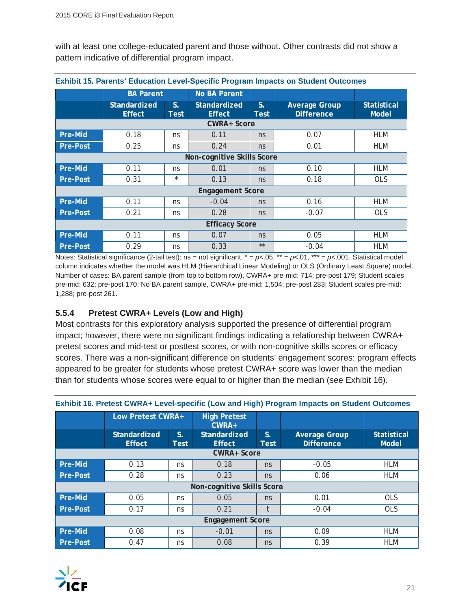with at least one college-educated parent and those without. Other contrasts did not show a pattern indicative of differential program impact.

|                            | <u>Exhibit 19. Parents Education Lever-Specific Program impacts on Student Outcomes</u> |                     |                               |                     |                                           |                                    |  |  |  |  |  |
|----------------------------|-----------------------------------------------------------------------------------------|---------------------|-------------------------------|---------------------|-------------------------------------------|------------------------------------|--|--|--|--|--|
|                            | <b>BA Parent</b>                                                                        |                     | <b>No BA Parent</b>           |                     |                                           |                                    |  |  |  |  |  |
|                            | Standardized<br><b>Effect</b>                                                           | $S_{\cdot}$<br>Test | Standardized<br><b>Effect</b> | $S_{\odot}$<br>Test | <b>Average Group</b><br><b>Difference</b> | <b>Statistical</b><br><b>Model</b> |  |  |  |  |  |
|                            |                                                                                         |                     | <b>CWRA+ Score</b>            |                     |                                           |                                    |  |  |  |  |  |
| Pre-Mid                    | 0.18                                                                                    | ns                  | 0.11                          | ns                  | 0.07                                      | <b>HLM</b>                         |  |  |  |  |  |
| <b>Pre-Post</b>            | 0.25                                                                                    | ns                  | 0.24                          | ns                  | 0.01                                      | <b>HLM</b>                         |  |  |  |  |  |
| Non-cognitive Skills Score |                                                                                         |                     |                               |                     |                                           |                                    |  |  |  |  |  |
| Pre-Mid                    | 0.11                                                                                    | ns                  | 0.01                          | ns                  | 0.10                                      | HLM                                |  |  |  |  |  |
| <b>Pre-Post</b>            | 0.31                                                                                    | $\star$             | 0.13                          | ns                  | 0.18                                      | <b>OLS</b>                         |  |  |  |  |  |
|                            |                                                                                         |                     | <b>Engagement Score</b>       |                     |                                           |                                    |  |  |  |  |  |
| Pre-Mid                    | 0.11                                                                                    | ns                  | $-0.04$                       | ns                  | 0.16                                      | HLM                                |  |  |  |  |  |
| <b>Pre-Post</b>            | 0.21                                                                                    | ns                  | 0.28                          | ns                  | $-0.07$                                   | <b>OLS</b>                         |  |  |  |  |  |
|                            |                                                                                         |                     | <b>Efficacy Score</b>         |                     |                                           |                                    |  |  |  |  |  |
| Pre-Mid                    | 0.11                                                                                    | ns                  | 0.07                          | ns                  | 0.05                                      | <b>HLM</b>                         |  |  |  |  |  |
| <b>Pre-Post</b>            | 0.29                                                                                    | ns                  | 0.33                          | $***$               | $-0.04$                                   | <b>HLM</b>                         |  |  |  |  |  |

**Exhibit 15. Parents' Education Level-Specific Program Impacts on Student Outcomes**

Notes: Statistical significance (2-tail test): ns = not significant,  $* = p< 0.05$ ,  $** = p< 0.01$ ,  $*** = p< 0.01$ . Statistical model column indicates whether the model was HLM (Hierarchical Linear Modeling) or OLS (Ordinary Least Square) model. Number of cases: BA parent sample (from top to bottom row), CWRA+ pre-mid: 714; pre-post 179; Student scales pre-mid: 632; pre-post 170; No BA parent sample, CWRA+ pre-mid: 1,504; pre-post 283; Student scales pre-mid: 1,288; pre-post 261.

#### **5.5.4 Pretest CWRA+ Levels (Low and High)**

Most contrasts for this exploratory analysis supported the presence of differential program impact; however, there were no significant findings indicating a relationship between CWRA+ pretest scores and mid-test or posttest scores, or with non-cognitive skills scores or efficacy scores. There was a non-significant difference on students' engagement scores: program effects appeared to be greater for students whose pretest CWRA+ score was lower than the median than for students whose scores were equal to or higher than the median (see Exhibit 16).

|                 | Low Pretest CWRA+                                       |    | <b>High Pretest</b><br>$CWRA+$       |                     |                                           |                                    |
|-----------------|---------------------------------------------------------|----|--------------------------------------|---------------------|-------------------------------------------|------------------------------------|
|                 | <b>Standardized</b><br>$S_{-}$<br><b>Effect</b><br>Test |    | <b>Standardized</b><br><b>Effect</b> | $S_{\odot}$<br>Test | <b>Average Group</b><br><b>Difference</b> | <b>Statistical</b><br><b>Model</b> |
|                 |                                                         |    | <b>CWRA+ Score</b>                   |                     |                                           |                                    |
| <b>Pre-Mid</b>  | 0.13                                                    | ns | 0.18                                 | ns                  | $-0.05$                                   | <b>HLM</b>                         |
| <b>Pre-Post</b> | 0.28                                                    | ns | 0.23                                 | ns                  | 0.06                                      | <b>HLM</b>                         |
|                 |                                                         |    | Non-cognitive Skills Score           |                     |                                           |                                    |
| Pre-Mid         | 0.05                                                    | ns | 0.05                                 | ns                  | 0.01                                      | <b>OLS</b>                         |
| <b>Pre-Post</b> | 0.17                                                    | ns | 0.21                                 | t                   | $-0.04$                                   | <b>OLS</b>                         |
|                 |                                                         |    | <b>Engagement Score</b>              |                     |                                           |                                    |
| <b>Pre-Mid</b>  | 0.08                                                    | ns | $-0.01$                              | ns                  | 0.09                                      | <b>HLM</b>                         |
| <b>Pre-Post</b> | 0.47                                                    | ns | 0.08                                 | ns                  | 0.39                                      | <b>HLM</b>                         |

#### **Exhibit 16. Pretest CWRA+ Level-specific (Low and High) Program Impacts on Student Outcomes**

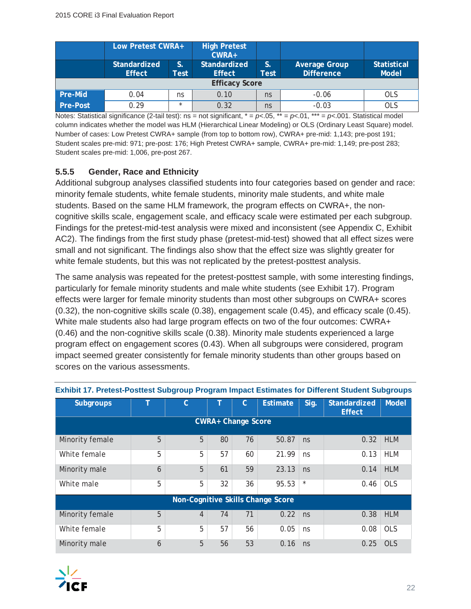|                 | Low Pretest CWRA+                                  |         | <b>High Pretest</b><br>$CWRA+$ |            |                                           |                                    |
|-----------------|----------------------------------------------------|---------|--------------------------------|------------|-------------------------------------------|------------------------------------|
|                 | S.<br>Standardized<br><b>Effect</b><br><b>Test</b> |         | Standardized<br><b>Effect</b>  | S.<br>Test | <b>Average Group</b><br><b>Difference</b> | <b>Statistical</b><br><b>Model</b> |
|                 |                                                    |         | <b>Efficacy Score</b>          |            |                                           |                                    |
| Pre-Mid         | 0.04                                               | ns      | 0.10                           | ns         | $-0.06$                                   | <b>OLS</b>                         |
| <b>Pre-Post</b> | 0.29                                               | $\star$ | 0.32                           | ns         | $-0.03$                                   | OLS                                |

Notes: Statistical significance (2-tail test): ns = not significant, \* = *p<*.05, \*\* = *p<*.01, \*\*\* = *p<*.001. Statistical model column indicates whether the model was HLM (Hierarchical Linear Modeling) or OLS (Ordinary Least Square) model. Number of cases: Low Pretest CWRA+ sample (from top to bottom row), CWRA+ pre-mid: 1,143; pre-post 191; Student scales pre-mid: 971; pre-post: 176; High Pretest CWRA+ sample, CWRA+ pre-mid: 1,149; pre-post 283; Student scales pre-mid: 1,006, pre-post 267.

#### **5.5.5 Gender, Race and Ethnicity**

Additional subgroup analyses classified students into four categories based on gender and race: minority female students, white female students, minority male students, and white male students. Based on the same HLM framework, the program effects on CWRA+, the noncognitive skills scale, engagement scale, and efficacy scale were estimated per each subgroup. Findings for the pretest-mid-test analysis were mixed and inconsistent (see Appendix C, Exhibit AC2). The findings from the first study phase (pretest-mid-test) showed that all effect sizes were small and not significant. The findings also show that the effect size was slightly greater for white female students, but this was not replicated by the pretest-posttest analysis.

The same analysis was repeated for the pretest-posttest sample, with some interesting findings, particularly for female minority students and male white students (see Exhibit 17). Program effects were larger for female minority students than most other subgroups on CWRA+ scores (0.32), the non-cognitive skills scale (0.38), engagement scale (0.45), and efficacy scale (0.45). White male students also had large program effects on two of the four outcomes: CWRA+ (0.46) and the non-cognitive skills scale (0.38). Minority male students experienced a large program effect on engagement scores (0.43). When all subgroups were considered, program impact seemed greater consistently for female minority students than other groups based on scores on the various assessments.

| <b>Subgroups</b>          |   | $\mathcal{C}$  |    | C  | <b>Estimate</b>                   | Sig.    | Standardized<br><b>Effect</b> | <b>Model</b> |  |  |  |  |
|---------------------------|---|----------------|----|----|-----------------------------------|---------|-------------------------------|--------------|--|--|--|--|
| <b>CWRA+ Change Score</b> |   |                |    |    |                                   |         |                               |              |  |  |  |  |
| Minority female           | 5 | 5              | 80 | 76 | 50.87                             | ns      | 0.32                          | <b>HLM</b>   |  |  |  |  |
| White female              | 5 | 5              | 57 | 60 | 21.99                             | ns      | 0.13                          | <b>HLM</b>   |  |  |  |  |
| Minority male             | 6 | 5              | 61 | 59 | 23.13                             | ns      | 0.14                          | <b>HLM</b>   |  |  |  |  |
| White male                | 5 | 5              | 32 | 36 | 95.53                             | $\star$ | 0.46                          | <b>OLS</b>   |  |  |  |  |
|                           |   |                |    |    | Non-Cognitive Skills Change Score |         |                               |              |  |  |  |  |
| Minority female           | 5 | $\overline{4}$ | 74 | 71 | 0.22                              | ns      | 0.38                          | <b>HLM</b>   |  |  |  |  |
| White female              | 5 | 5              | 57 | 56 | 0.05                              | ns      | 0.08                          | OLS          |  |  |  |  |
| Minority male             | 6 | 5              | 56 | 53 | 0.16                              | ns      | 0.25                          | OLS          |  |  |  |  |

#### **Exhibit 17. Pretest-Posttest Subgroup Program Impact Estimates for Different Student Subgroups**

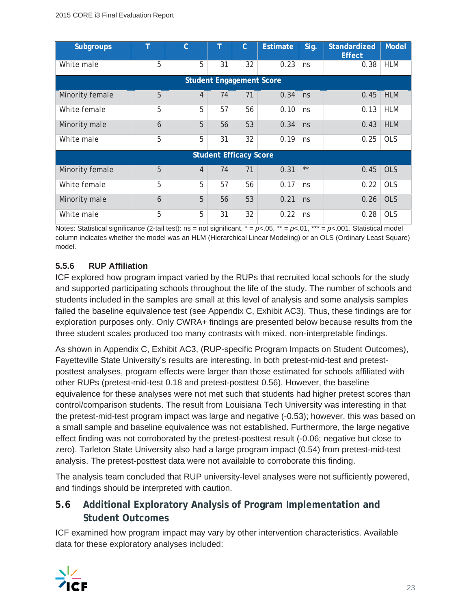| <b>Subgroups</b>                |   | $\mathcal{C}$  |    | C                             | <b>Estimate</b> | Sig. | <b>Standardized</b><br><b>Effect</b> | Model      |  |  |  |
|---------------------------------|---|----------------|----|-------------------------------|-----------------|------|--------------------------------------|------------|--|--|--|
| White male                      | 5 | 5              | 31 | 32                            | 0.23            | ns   | 0.38                                 | <b>HLM</b> |  |  |  |
| <b>Student Engagement Score</b> |   |                |    |                               |                 |      |                                      |            |  |  |  |
| Minority female                 | 5 | $\overline{4}$ | 74 | 71                            | 0.34            | ns   | 0.45                                 | <b>HLM</b> |  |  |  |
| White female                    | 5 | 5              | 57 | 56                            | 0.10            | ns   | 0.13                                 | <b>HLM</b> |  |  |  |
| Minority male                   | 6 | 5              | 56 | 53                            | 0.34            | ns   | 0.43                                 | <b>HLM</b> |  |  |  |
| White male                      | 5 | 5              | 31 | 32                            | 0.19            | ns   | 0.25                                 | <b>OLS</b> |  |  |  |
|                                 |   |                |    | <b>Student Efficacy Score</b> |                 |      |                                      |            |  |  |  |
| Minority female                 | 5 | $\overline{4}$ | 74 | 71                            | 0.31            | $**$ | 0.45                                 | <b>OLS</b> |  |  |  |
| White female                    | 5 | 5              | 57 | 56                            | 0.17            | ns   | 0.22                                 | <b>OLS</b> |  |  |  |
| Minority male                   | 6 | 5              | 56 | 53                            | 0.21            | ns   | 0.26                                 | <b>OLS</b> |  |  |  |
| White male                      | 5 | 5              | 31 | 32                            | 0.22            | ns   | 0.28                                 | <b>OLS</b> |  |  |  |

Notes: Statistical significance (2-tail test): ns = not significant,  $* = p< 0.05$ ,  $** = p< 0.01$ ,  $*** = p< 0.001$ . Statistical model column indicates whether the model was an HLM (Hierarchical Linear Modeling) or an OLS (Ordinary Least Square) model.

#### **5.5.6 RUP Affiliation**

ICF explored how program impact varied by the RUPs that recruited local schools for the study and supported participating schools throughout the life of the study. The number of schools and students included in the samples are small at this level of analysis and some analysis samples failed the baseline equivalence test (see Appendix C, Exhibit AC3). Thus, these findings are for exploration purposes only. Only CWRA+ findings are presented below because results from the three student scales produced too many contrasts with mixed, non-interpretable findings.

As shown in Appendix C, Exhibit AC3, (RUP-specific Program Impacts on Student Outcomes), Fayetteville State University's results are interesting. In both pretest-mid-test and pretestposttest analyses, program effects were larger than those estimated for schools affiliated with other RUPs (pretest-mid-test 0.18 and pretest-posttest 0.56). However, the baseline equivalence for these analyses were not met such that students had higher pretest scores than control/comparison students. The result from Louisiana Tech University was interesting in that the pretest-mid-test program impact was large and negative (-0.53); however, this was based on a small sample and baseline equivalence was not established. Furthermore, the large negative effect finding was not corroborated by the pretest-posttest result (-0.06; negative but close to zero). Tarleton State University also had a large program impact (0.54) from pretest-mid-test analysis. The pretest-posttest data were not available to corroborate this finding.

The analysis team concluded that RUP university-level analyses were not sufficiently powered, and findings should be interpreted with caution.

## **5.6 Additional Exploratory Analysis of Program Implementation and Student Outcomes**

ICF examined how program impact may vary by other intervention characteristics. Available data for these exploratory analyses included:

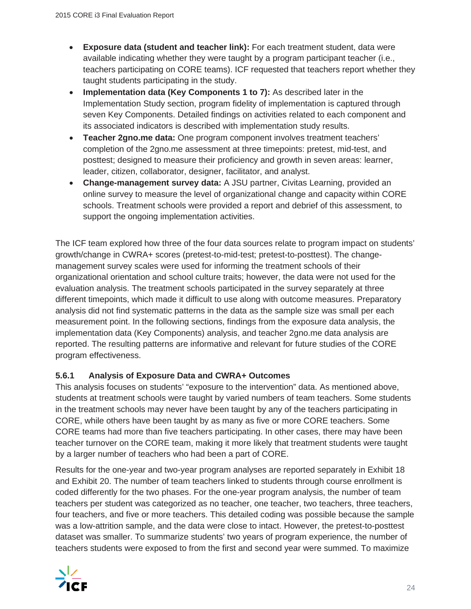- **Exposure data (student and teacher link):** For each treatment student, data were available indicating whether they were taught by a program participant teacher (i.e., teachers participating on CORE teams). ICF requested that teachers report whether they taught students participating in the study.
- **Implementation data (Key Components 1 to 7):** As described later in the Implementation Study section, program fidelity of implementation is captured through seven Key Components. Detailed findings on activities related to each component and its associated indicators is described with implementation study results.
- **Example 2gno.me data:** One program component involves treatment teachers' completion of the 2gno.me assessment at three timepoints: pretest, mid-test, and posttest; designed to measure their proficiency and growth in seven areas: learner, leader, citizen, collaborator, designer, facilitator, and analyst.
- **Change-management survey data:** A JSU partner, Civitas Learning, provided an online survey to measure the level of organizational change and capacity within CORE schools. Treatment schools were provided a report and debrief of this assessment, to support the ongoing implementation activities.

The ICF team explored how three of the four data sources relate to program impact on students' growth/change in CWRA+ scores (pretest-to-mid-test; pretest-to-posttest). The changemanagement survey scales were used for informing the treatment schools of their organizational orientation and school culture traits; however, the data were not used for the evaluation analysis. The treatment schools participated in the survey separately at three different timepoints, which made it difficult to use along with outcome measures. Preparatory analysis did not find systematic patterns in the data as the sample size was small per each measurement point. In the following sections, findings from the exposure data analysis, the implementation data (Key Components) analysis, and teacher 2gno.me data analysis are reported. The resulting patterns are informative and relevant for future studies of the CORE program effectiveness.

#### **5.6.1 Analysis of Exposure Data and CWRA+ Outcomes**

This analysis focuses on students' "exposure to the intervention" data. As mentioned above, students at treatment schools were taught by varied numbers of team teachers. Some students in the treatment schools may never have been taught by any of the teachers participating in CORE, while others have been taught by as many as five or more CORE teachers. Some CORE teams had more than five teachers participating. In other cases, there may have been teacher turnover on the CORE team, making it more likely that treatment students were taught by a larger number of teachers who had been a part of CORE.

Results for the one-year and two-year program analyses are reported separately in Exhibit 18 and Exhibit 20. The number of team teachers linked to students through course enrollment is coded differently for the two phases. For the one-year program analysis, the number of team teachers per student was categorized as no teacher, one teacher, two teachers, three teachers, four teachers, and five or more teachers. This detailed coding was possible because the sample was a low-attrition sample, and the data were close to intact. However, the pretest-to-posttest dataset was smaller. To summarize students' two years of program experience, the number of teachers students were exposed to from the first and second year were summed. To maximize

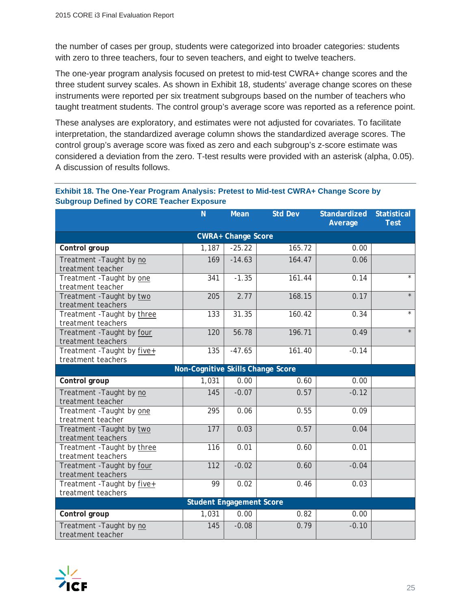the number of cases per group, students were categorized into broader categories: students with zero to three teachers, four to seven teachers, and eight to twelve teachers.

The one-year program analysis focused on pretest to mid-test CWRA+ change scores and the three student survey scales. As shown in Exhibit 18, students' average change scores on these instruments were reported per six treatment subgroups based on the number of teachers who taught treatment students. The control group's average score was reported as a reference point.

These analyses are exploratory, and estimates were not adjusted for covariates. To facilitate interpretation, the standardized average column shows the standardized average scores. The control group's average score was fixed as zero and each subgroup's z-score estimate was considered a deviation from the zero. T-test results were provided with an asterisk (alpha, 0.05). A discussion of results follows.

#### **Exhibit 18. The One-Year Program Analysis: Pretest to Mid-test CWRA+ Change Score by Subgroup Defined by CORE Teacher Exposure**

|                                                   | N <sub>1</sub>                    | <b>Mean</b> | <b>Std Dev</b> | <b>Standardized</b><br>Average | <b>Statistical</b><br><b>Test</b> |  |  |  |  |
|---------------------------------------------------|-----------------------------------|-------------|----------------|--------------------------------|-----------------------------------|--|--|--|--|
| <b>CWRA+ Change Score</b>                         |                                   |             |                |                                |                                   |  |  |  |  |
| Control group                                     | 1,187                             | $-25.22$    | 165.72         | 0.00                           |                                   |  |  |  |  |
| Treatment - Taught by no<br>treatment teacher     | 169                               | $-14.63$    | 164.47         | 0.06                           |                                   |  |  |  |  |
| Treatment - Taught by one<br>treatment teacher    | 341                               | $-1.35$     | 161.44         | 0.14                           | $\star$                           |  |  |  |  |
| Treatment - Taught by two<br>treatment teachers   | 205                               | 2.77        | 168.15         | 0.17                           | $\star$                           |  |  |  |  |
| Treatment - Taught by three<br>treatment teachers | 133                               | 31.35       | 160.42         | 0.34                           | $\star$                           |  |  |  |  |
| Treatment - Taught by four<br>treatment teachers  | 120                               | 56.78       | 196.71         | 0.49                           | $\star$                           |  |  |  |  |
| Treatment - Taught by five+<br>treatment teachers | 135                               | $-47.65$    | 161.40         | $-0.14$                        |                                   |  |  |  |  |
|                                                   | Non-Cognitive Skills Change Score |             |                |                                |                                   |  |  |  |  |
| Control group                                     | 1,031                             | 0.00        | 0.60           | 0.00                           |                                   |  |  |  |  |
| Treatment - Taught by no<br>treatment teacher     | 145                               | $-0.07$     | 0.57           | $-0.12$                        |                                   |  |  |  |  |
| Treatment - Taught by one<br>treatment teacher    | 295                               | 0.06        | 0.55           | 0.09                           |                                   |  |  |  |  |
| Treatment - Taught by two<br>treatment teachers   | 177                               | 0.03        | 0.57           | 0.04                           |                                   |  |  |  |  |
| Treatment - Taught by three<br>treatment teachers | 116                               | 0.01        | 0.60           | 0.01                           |                                   |  |  |  |  |
| Treatment - Taught by four<br>treatment teachers  | 112                               | $-0.02$     | 0.60           | $-0.04$                        |                                   |  |  |  |  |
| Treatment - Taught by five+<br>treatment teachers | 99                                | 0.02        | 0.46           | 0.03                           |                                   |  |  |  |  |
| <b>Student Engagement Score</b>                   |                                   |             |                |                                |                                   |  |  |  |  |
| Control group                                     | 1,031                             | 0.00        | 0.82           | 0.00                           |                                   |  |  |  |  |
| Treatment - Taught by no<br>treatment teacher     | 145                               | $-0.08$     | 0.79           | $-0.10$                        |                                   |  |  |  |  |

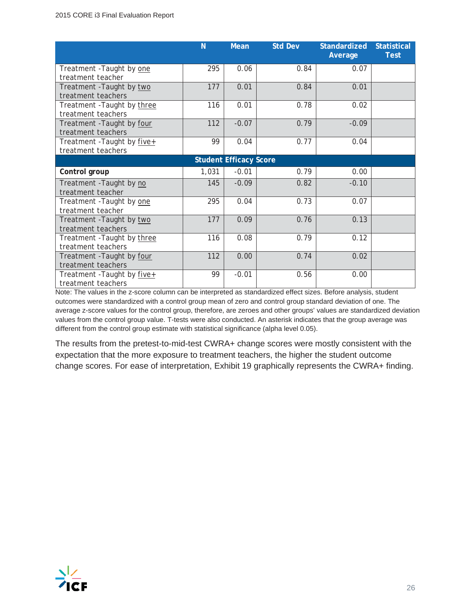|                                                   | N     | <b>Mean</b>                   | <b>Std Dev</b> | Standardized<br>Average | <b>Statistical</b><br><b>Test</b> |
|---------------------------------------------------|-------|-------------------------------|----------------|-------------------------|-----------------------------------|
| Treatment - Taught by one<br>treatment teacher    | 295   | 0.06                          | 0.84           | 0.07                    |                                   |
| Treatment - Taught by two<br>treatment teachers   | 177   | 0.01                          | 0.84           | 0.01                    |                                   |
| Treatment - Taught by three<br>treatment teachers | 116   | 0.01                          | 0.78           | 0.02                    |                                   |
| Treatment - Taught by four<br>treatment teachers  | 112   | $-0.07$                       | 0.79           | $-0.09$                 |                                   |
| Treatment - Taught by five+<br>treatment teachers | 99    | 0.04                          | 0.77           | 0.04                    |                                   |
|                                                   |       | <b>Student Efficacy Score</b> |                |                         |                                   |
| Control group                                     | 1,031 | $-0.01$                       | 0.79           | 0.00                    |                                   |
| Treatment - Taught by no<br>treatment teacher     | 145   | $-0.09$                       | 0.82           | $-0.10$                 |                                   |
| Treatment - Taught by one<br>treatment teacher    | 295   | 0.04                          | 0.73           | 0.07                    |                                   |
| Treatment - Taught by two<br>treatment teachers   | 177   | 0.09                          | 0.76           | 0.13                    |                                   |
| Treatment - Taught by three<br>treatment teachers | 116   | 0.08                          | 0.79           | 0.12                    |                                   |
| Treatment - Taught by four<br>treatment teachers  | 112   | 0.00                          | 0.74           | 0.02                    |                                   |
| Treatment - Taught by five+<br>treatment teachers | 99    | $-0.01$                       | 0.56           | 0.00                    |                                   |

Note: The values in the z-score column can be interpreted as standardized effect sizes. Before analysis, student outcomes were standardized with a control group mean of zero and control group standard deviation of one. The average z-score values for the control group, therefore, are zeroes and other groups' values are standardized deviation values from the control group value. T-tests were also conducted. An asterisk indicates that the group average was different from the control group estimate with statistical significance (alpha level 0.05).

The results from the pretest-to-mid-test CWRA+ change scores were mostly consistent with the expectation that the more exposure to treatment teachers, the higher the student outcome change scores. For ease of interpretation, Exhibit 19 graphically represents the CWRA+ finding.

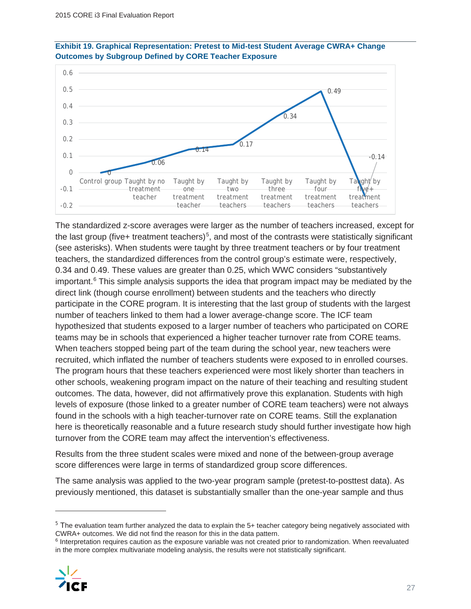



The standardized z-score averages were larger as the number of teachers increased, except for the last group (five+ treatment teachers)<sup>5</sup>, and most of the contrasts were statistically significant (see asterisks). When students were taught by three treatment teachers or by four treatment teachers, the standardized differences from the control group's estimate were, respectively, 0.34 and 0.49. These values are greater than 0.25, which WWC considers "substantively important. $6$  This simple analysis supports the idea that program impact may be mediated by the direct link (though course enrollment) between students and the teachers who directly participate in the CORE program. It is interesting that the last group of students with the largest number of teachers linked to them had a lower average-change score. The ICF team hypothesized that students exposed to a larger number of teachers who participated on CORE teams may be in schools that experienced a higher teacher turnover rate from CORE teams. When teachers stopped being part of the team during the school year, new teachers were recruited, which inflated the number of teachers students were exposed to in enrolled courses. The program hours that these teachers experienced were most likely shorter than teachers in other schools, weakening program impact on the nature of their teaching and resulting student outcomes. The data, however, did not affirmatively prove this explanation. Students with high levels of exposure (those linked to a greater number of CORE team teachers) were not always found in the schools with a high teacher-turnover rate on CORE teams. Still the explanation here is theoretically reasonable and a future research study should further investigate how high turnover from the CORE team may affect the intervention's effectiveness.

Results from the three student scales were mixed and none of the between-group average score differences were large in terms of standardized group score differences.

The same analysis was applied to the two-year program sample (pretest-to-posttest data). As previously mentioned, this dataset is substantially smaller than the one-year sample and thus

<sup>6</sup> Interpretation requires caution as the exposure variable was not created prior to randomization. When reevaluated in the more complex multivariate modeling analysis, the results were not statistically significant.



<sup>5</sup> The evaluation team further analyzed the data to explain the 5+ teacher category being negatively associated with CWRA+ outcomes. We did not find the reason for this in the data pattern.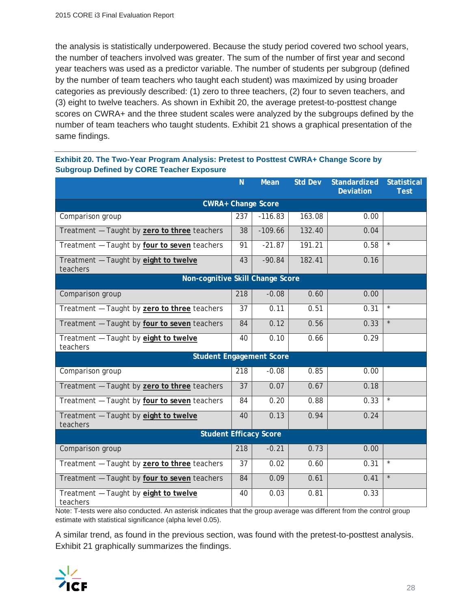the analysis is statistically underpowered. Because the study period covered two school years, the number of teachers involved was greater. The sum of the number of first year and second year teachers was used as a predictor variable. The number of students per subgroup (defined by the number of team teachers who taught each student) was maximized by using broader categories as previously described: (1) zero to three teachers, (2) four to seven teachers, and (3) eight to twelve teachers. As shown in Exhibit 20, the average pretest-to-posttest change scores on CWRA+ and the three student scales were analyzed by the subgroups defined by the number of team teachers who taught students. Exhibit 21 shows a graphical presentation of the same findings.

|                                                   | N   | <b>Mean</b> | <b>Std Dev</b> | Standardized<br><b>Deviation</b> | <b>Statistical</b><br><b>Test</b> |  |  |  |
|---------------------------------------------------|-----|-------------|----------------|----------------------------------|-----------------------------------|--|--|--|
| <b>CWRA+ Change Score</b>                         |     |             |                |                                  |                                   |  |  |  |
| Comparison group                                  | 237 | $-116.83$   | 163.08         | 0.00                             |                                   |  |  |  |
| Treatment - Taught by zero to three teachers      | 38  | $-109.66$   | 132.40         | 0.04                             |                                   |  |  |  |
| Treatment - Taught by four to seven teachers      | 91  | $-21.87$    | 191.21         | 0.58                             |                                   |  |  |  |
| Treatment - Taught by eight to twelve<br>teachers | 43  | $-90.84$    | 182.41         | 0.16                             |                                   |  |  |  |
| Non-cognitive Skill Change Score                  |     |             |                |                                  |                                   |  |  |  |
| Comparison group                                  | 218 | $-0.08$     | 0.60           | 0.00                             |                                   |  |  |  |
| Treatment - Taught by zero to three teachers      | 37  | 0.11        | 0.51           | 0.31                             | $^\star$                          |  |  |  |
| Treatment - Taught by four to seven teachers      | 84  | 0.12        | 0.56           | 0.33                             |                                   |  |  |  |
| Treatment - Taught by eight to twelve<br>teachers | 40  | 0.10        | 0.66           | 0.29                             |                                   |  |  |  |
| <b>Student Engagement Score</b>                   |     |             |                |                                  |                                   |  |  |  |
| Comparison group                                  | 218 | $-0.08$     | 0.85           | 0.00                             |                                   |  |  |  |
| Treatment - Taught by zero to three teachers      | 37  | 0.07        | 0.67           | 0.18                             |                                   |  |  |  |
| Treatment - Taught by four to seven teachers      | 84  | 0.20        | 0.88           | 0.33                             | $\star$                           |  |  |  |
| Treatment - Taught by eight to twelve<br>teachers | 40  | 0.13        | 0.94           | 0.24                             |                                   |  |  |  |
| <b>Student Efficacy Score</b>                     |     |             |                |                                  |                                   |  |  |  |
| Comparison group                                  | 218 | $-0.21$     | 0.73           | 0.00                             |                                   |  |  |  |
| Treatment - Taught by zero to three teachers      | 37  | 0.02        | 0.60           | 0.31                             | $^{\star}$                        |  |  |  |
| Treatment - Taught by four to seven teachers      | 84  | 0.09        | 0.61           | 0.41                             | $\star$                           |  |  |  |
| Treatment - Taught by eight to twelve<br>teachers | 40  | 0.03        | 0.81           | 0.33                             |                                   |  |  |  |

#### **Exhibit 20. The Two-Year Program Analysis: Pretest to Posttest CWRA+ Change Score by Subgroup Defined by CORE Teacher Exposure**

Note: T-tests were also conducted. An asterisk indicates that the group average was different from the control group estimate with statistical significance (alpha level 0.05).

A similar trend, as found in the previous section, was found with the pretest-to-posttest analysis. Exhibit 21 graphically summarizes the findings.

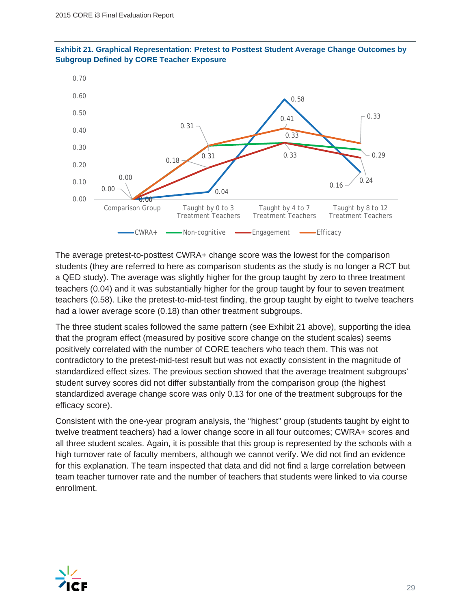



The average pretest-to-posttest CWRA+ change score was the lowest for the comparison students (they are referred to here as comparison students as the study is no longer a RCT but a QED study). The average was slightly higher for the group taught by zero to three treatment teachers (0.04) and it was substantially higher for the group taught by four to seven treatment teachers (0.58). Like the pretest-to-mid-test finding, the group taught by eight to twelve teachers had a lower average score (0.18) than other treatment subgroups.

The three student scales followed the same pattern (see Exhibit 21 above), supporting the idea that the program effect (measured by positive score change on the student scales) seems positively correlated with the number of CORE teachers who teach them. This was not contradictory to the pretest-mid-test result but was not exactly consistent in the magnitude of standardized effect sizes. The previous section showed that the average treatment subgroups' student survey scores did not differ substantially from the comparison group (the highest standardized average change score was only 0.13 for one of the treatment subgroups for the efficacy score).

Consistent with the one-year program analysis, the "highest" group (students taught by eight to twelve treatment teachers) had a lower change score in all four outcomes; CWRA+ scores and all three student scales. Again, it is possible that this group is represented by the schools with a high turnover rate of faculty members, although we cannot verify. We did not find an evidence for this explanation. The team inspected that data and did not find a large correlation between team teacher turnover rate and the number of teachers that students were linked to via course enrollment.

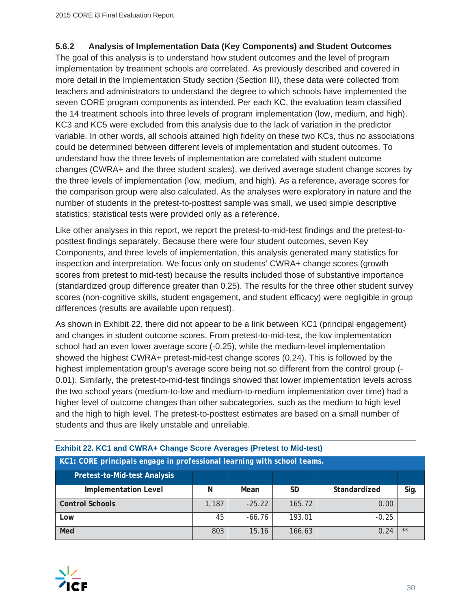#### **5.6.2 Analysis of Implementation Data (Key Components) and Student Outcomes**

The goal of this analysis is to understand how student outcomes and the level of program implementation by treatment schools are correlated. As previously described and covered in more detail in the Implementation Study section (Section III), these data were collected from teachers and administrators to understand the degree to which schools have implemented the seven CORE program components as intended. Per each KC, the evaluation team classified the 14 treatment schools into three levels of program implementation (low, medium, and high). KC3 and KC5 were excluded from this analysis due to the lack of variation in the predictor variable. In other words, all schools attained high fidelity on these two KCs, thus no associations could be determined between different levels of implementation and student outcomes. To understand how the three levels of implementation are correlated with student outcome changes (CWRA+ and the three student scales), we derived average student change scores by the three levels of implementation (low, medium, and high). As a reference, average scores for the comparison group were also calculated. As the analyses were exploratory in nature and the number of students in the pretest-to-posttest sample was small, we used simple descriptive statistics; statistical tests were provided only as a reference.

Like other analyses in this report, we report the pretest-to-mid-test findings and the pretest-toposttest findings separately. Because there were four student outcomes, seven Key Components, and three levels of implementation, this analysis generated many statistics for inspection and interpretation. We focus only on students' CWRA+ change scores (growth scores from pretest to mid-test) because the results included those of substantive importance (standardized group difference greater than 0.25). The results for the three other student survey scores (non-cognitive skills, student engagement, and student efficacy) were negligible in group differences (results are available upon request).

As shown in Exhibit 22, there did not appear to be a link between KC1 (principal engagement) and changes in student outcome scores. From pretest-to-mid-test, the low implementation school had an even lower average score (-0.25), while the medium-level implementation showed the highest CWRA+ pretest-mid-test change scores (0.24). This is followed by the highest implementation group's average score being not so different from the control group (- 0.01). Similarly, the pretest-to-mid-test findings showed that lower implementation levels across the two school years (medium-to-low and medium-to-medium implementation over time) had a higher level of outcome changes than other subcategories, such as the medium to high level and the high to high level. The pretest-to-posttest estimates are based on a small number of students and thus are likely unstable and unreliable.

| KC1: CORE principals engage in professional learning with school teams. |       |          |           |              |      |  |  |
|-------------------------------------------------------------------------|-------|----------|-----------|--------------|------|--|--|
| <b>Pretest-to-Mid-test Analysis</b>                                     |       |          |           |              |      |  |  |
| <b>Implementation Level</b>                                             | Ν     | Mean     | <b>SD</b> | Standardized | Sig. |  |  |
| <b>Control Schools</b>                                                  | 1,187 | $-25.22$ | 165.72    | 0.00         |      |  |  |
| Low                                                                     | 45    | $-66.76$ | 193.01    | $-0.25$      |      |  |  |
| Med                                                                     | 803   | 15.16    | 166.63    | 0.24         | **   |  |  |

#### **Exhibit 22. KC1 and CWRA+ Change Score Averages (Pretest to Mid-test)**

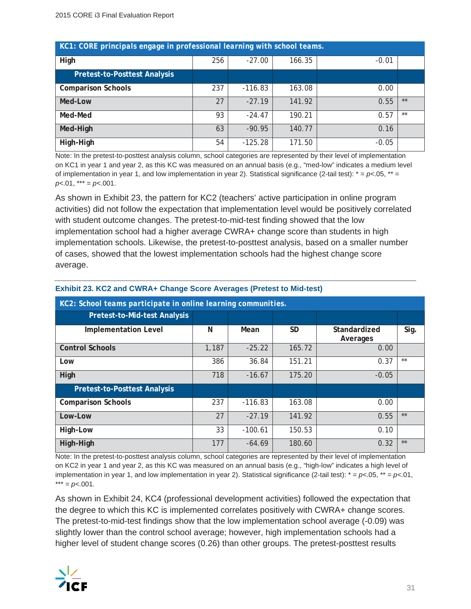| KC1: CORE principals engage in professional learning with school teams. |     |           |        |         |      |  |  |
|-------------------------------------------------------------------------|-----|-----------|--------|---------|------|--|--|
| High                                                                    | 256 | $-27.00$  | 166.35 | $-0.01$ |      |  |  |
| <b>Pretest-to-Posttest Analysis</b>                                     |     |           |        |         |      |  |  |
| <b>Comparison Schools</b>                                               | 237 | $-116.83$ | 163.08 | 0.00    |      |  |  |
| Med-Low                                                                 | 27  | $-27.19$  | 141.92 | 0.55    | $**$ |  |  |
| Med-Med                                                                 | 93  | $-24.47$  | 190.21 | 0.57    | **   |  |  |
| Med-High                                                                | 63  | $-90.95$  | 140.77 | 0.16    |      |  |  |
| High-High                                                               | 54  | $-125.28$ | 171.50 | $-0.05$ |      |  |  |

Note: In the pretest-to-posttest analysis column, school categories are represented by their level of implementation on KC1 in year 1 and year 2, as this KC was measured on an annual basis (e.g., "med-low" indicates a medium level of implementation in year 1, and low implementation in year 2). Statistical significance (2-tail test):  $* = p < 0.05$ ,  $* =$  $p<.01$ , \*\*\* =  $p<.001$ .

As shown in Exhibit 23, the pattern for KC2 (teachers' active participation in online program activities) did not follow the expectation that implementation level would be positively correlated with student outcome changes. The pretest-to-mid-test finding showed that the low implementation school had a higher average CWRA+ change score than students in high implementation schools. Likewise, the pretest-to-posttest analysis, based on a smaller number of cases, showed that the lowest implementation schools had the highest change score average.

| KC2: School teams participate in online learning communities. |       |           |           |                          |       |  |  |  |
|---------------------------------------------------------------|-------|-----------|-----------|--------------------------|-------|--|--|--|
| Pretest-to-Mid-test Analysis                                  |       |           |           |                          |       |  |  |  |
| <b>Implementation Level</b>                                   | N     | Mean      | <b>SD</b> | Standardized<br>Averages | Sig.  |  |  |  |
| <b>Control Schools</b>                                        | 1,187 | $-25.22$  | 165.72    | 0.00                     |       |  |  |  |
| Low                                                           | 386   | 36.84     | 151.21    | 0.37                     | $***$ |  |  |  |
| High                                                          | 718   | $-16.67$  | 175.20    | $-0.05$                  |       |  |  |  |
| <b>Pretest-to-Posttest Analysis</b>                           |       |           |           |                          |       |  |  |  |
| <b>Comparison Schools</b>                                     | 237   | $-116.83$ | 163.08    | 0.00                     |       |  |  |  |
| Low-Low                                                       | 27    | $-27.19$  | 141.92    | 0.55                     | $**$  |  |  |  |
| High-Low                                                      | 33    | $-100.61$ | 150.53    | 0.10                     |       |  |  |  |
| High-High                                                     | 177   | $-64.69$  | 180.60    | 0.32                     | $**$  |  |  |  |

#### **Exhibit 23. KC2 and CWRA+ Change Score Averages (Pretest to Mid-test)**

Note: In the pretest-to-posttest analysis column, school categories are represented by their level of implementation on KC2 in year 1 and year 2, as this KC was measured on an annual basis (e.g., "high-low" indicates a high level of implementation in year 1, and low implementation in year 2). Statistical significance (2-tail test): \* = *p<*.05, \*\* = *p<*.01,  $*** = p<.001$ .

As shown in Exhibit 24, KC4 (professional development activities) followed the expectation that the degree to which this KC is implemented correlates positively with CWRA+ change scores. The pretest-to-mid-test findings show that the low implementation school average (-0.09) was slightly lower than the control school average; however, high implementation schools had a higher level of student change scores (0.26) than other groups. The pretest-posttest results

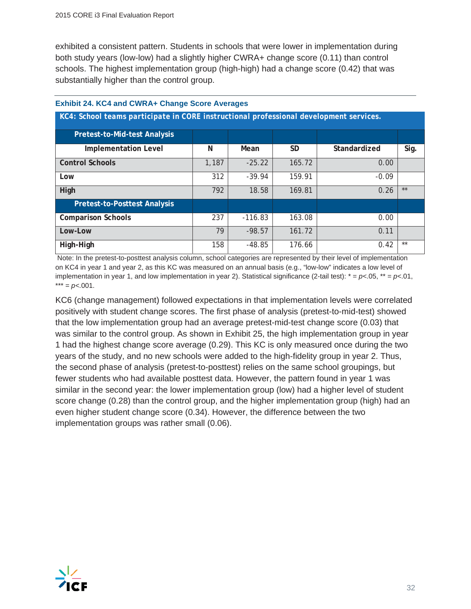exhibited a consistent pattern. Students in schools that were lower in implementation during both study years (low-low) had a slightly higher CWRA+ change score (0.11) than control schools. The highest implementation group (high-high) had a change score (0.42) that was substantially higher than the control group.

**KC4:** *School teams participate in CORE instructional professional development services.*

| KU4: SCHOOL LEAHIS DALTICIDATE III CORE TIISTI UCTIONAL DI OLESSIONAL QEVEIODINENT SEI VICES. |       |           |           |              |      |  |  |  |
|-----------------------------------------------------------------------------------------------|-------|-----------|-----------|--------------|------|--|--|--|
| <b>Pretest-to-Mid-test Analysis</b>                                                           |       |           |           |              |      |  |  |  |
| <b>Implementation Level</b>                                                                   | N     | Mean      | <b>SD</b> | Standardized | Sig. |  |  |  |
| <b>Control Schools</b>                                                                        | 1,187 | $-25.22$  | 165.72    | 0.00         |      |  |  |  |
| Low                                                                                           | 312   | $-39.94$  | 159.91    | $-0.09$      |      |  |  |  |
| High                                                                                          | 792   | 18.58     | 169.81    | 0.26         | $**$ |  |  |  |
| <b>Pretest-to-Posttest Analysis</b>                                                           |       |           |           |              |      |  |  |  |
| <b>Comparison Schools</b>                                                                     | 237   | $-116.83$ | 163.08    | 0.00         |      |  |  |  |
| Low-Low                                                                                       | 79    | $-98.57$  | 161.72    | 0.11         |      |  |  |  |
| High-High                                                                                     | 158   | $-48.85$  | 176.66    | 0.42         | $**$ |  |  |  |

#### **Exhibit 24. KC4 and CWRA+ Change Score Averages**

Note: In the pretest-to-posttest analysis column, school categories are represented by their level of implementation on KC4 in year 1 and year 2, as this KC was measured on an annual basis (e.g., "low-low" indicates a low level of implementation in year 1, and low implementation in year 2). Statistical significance (2-tail test): \* = *p<*.05, \*\* = *p<*.01,  $*** = p<.001$ .

KC6 (change management) followed expectations in that implementation levels were correlated positively with student change scores. The first phase of analysis (pretest-to-mid-test) showed that the low implementation group had an average pretest-mid-test change score (0.03) that was similar to the control group. As shown in Exhibit 25, the high implementation group in year 1 had the highest change score average (0.29). This KC is only measured once during the two years of the study, and no new schools were added to the high-fidelity group in year 2. Thus, the second phase of analysis (pretest-to-posttest) relies on the same school groupings, but fewer students who had available posttest data. However, the pattern found in year 1 was similar in the second year: the lower implementation group (low) had a higher level of student score change (0.28) than the control group, and the higher implementation group (high) had an even higher student change score (0.34). However, the difference between the two implementation groups was rather small (0.06).

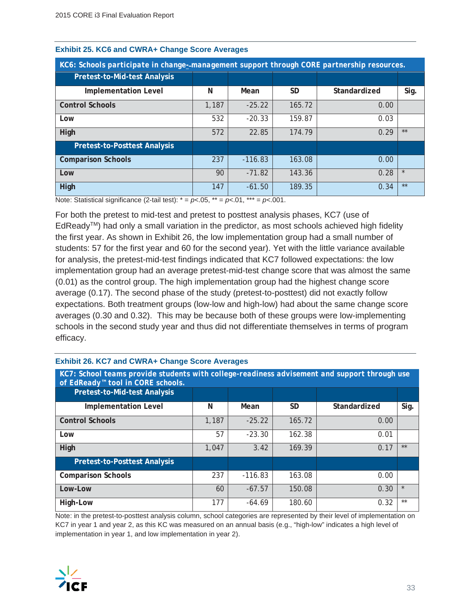| KC6: Schools participate in change--management support through CORE partnership resources. |       |           |        |              |         |  |
|--------------------------------------------------------------------------------------------|-------|-----------|--------|--------------|---------|--|
| <b>Pretest-to-Mid-test Analysis</b>                                                        |       |           |        |              |         |  |
| <b>Implementation Level</b>                                                                | N     | Mean      | SD     | Standardized | Sig.    |  |
| <b>Control Schools</b>                                                                     | 1,187 | $-25.22$  | 165.72 | 0.00         |         |  |
| Low                                                                                        | 532   | $-20.33$  | 159.87 | 0.03         |         |  |
| High                                                                                       | 572   | 22.85     | 174.79 | 0.29         | $**$    |  |
| <b>Pretest-to-Posttest Analysis</b>                                                        |       |           |        |              |         |  |
| <b>Comparison Schools</b>                                                                  | 237   | $-116.83$ | 163.08 | 0.00         |         |  |
| Low                                                                                        | 90    | $-71.82$  | 143.36 | 0.28         | $\star$ |  |
| High                                                                                       | 147   | $-61.50$  | 189.35 | 0.34         | $**$    |  |

#### **Exhibit 25. KC6 and CWRA+ Change Score Averages**

Note: Statistical significance  $(2\times \text{tail test})$ :  $* = p<.05$ ,  $** = p<.01$ ,  $*** = p<.001$ .

For both the pretest to mid-test and pretest to posttest analysis phases, KC7 (use of  $EdReady<sup>TM</sup>$  had only a small variation in the predictor, as most schools achieved high fidelity the first year. As shown in Exhibit 26, the low implementation group had a small number of students: 57 for the first year and 60 for the second year). Yet with the little variance available for analysis, the pretest-mid-test findings indicated that KC7 followed expectations: the low implementation group had an average pretest-mid-test change score that was almost the same (0.01) as the control group. The high implementation group had the highest change score average (0.17). The second phase of the study (pretest-to-posttest) did not exactly follow expectations. Both treatment groups (low-low and high-low) had about the same change score averages (0.30 and 0.32). This may be because both of these groups were low-implementing schools in the second study year and thus did not differentiate themselves in terms of program efficacy.

| KC7: School teams provide students with college-readiness advisement and support through use<br>of EdReady <sup>™</sup> tool in CORE schools. |       |           |        |              |         |  |
|-----------------------------------------------------------------------------------------------------------------------------------------------|-------|-----------|--------|--------------|---------|--|
| <b>Pretest-to-Mid-test Analysis</b>                                                                                                           |       |           |        |              |         |  |
| <b>Implementation Level</b>                                                                                                                   | N     | Mean      | SD     | Standardized | Sig.    |  |
| <b>Control Schools</b>                                                                                                                        | 1,187 | $-25.22$  | 165.72 | 0.00         |         |  |
| Low                                                                                                                                           | 57    | $-23.30$  | 162.38 | 0.01         |         |  |
| High                                                                                                                                          | 1.047 | 3.42      | 169.39 | 0.17         | $**$    |  |
| <b>Pretest-to-Posttest Analysis</b>                                                                                                           |       |           |        |              |         |  |
| <b>Comparison Schools</b>                                                                                                                     | 237   | $-116.83$ | 163.08 | 0.00         |         |  |
| Low-Low                                                                                                                                       | 60    | $-67.57$  | 150.08 | 0.30         | $\star$ |  |
| High-Low                                                                                                                                      | 177   | $-64.69$  | 180.60 | 0.32         | $***$   |  |

#### **Exhibit 26. KC7 and CWRA+ Change Score Averages**

Note: in the pretest-to-posttest analysis column, school categories are represented by their level of implementation on KC7 in year 1 and year 2, as this KC was measured on an annual basis (e.g., "high-low" indicates a high level of implementation in year 1, and low implementation in year 2).

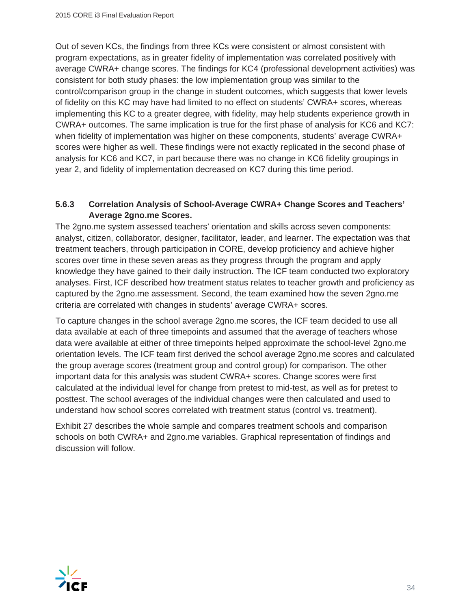Out of seven KCs, the findings from three KCs were consistent or almost consistent with program expectations, as in greater fidelity of implementation was correlated positively with average CWRA+ change scores. The findings for KC4 (professional development activities) was consistent for both study phases: the low implementation group was similar to the control/comparison group in the change in student outcomes, which suggests that lower levels of fidelity on this KC may have had limited to no effect on students' CWRA+ scores, whereas implementing this KC to a greater degree, with fidelity, may help students experience growth in CWRA+ outcomes. The same implication is true for the first phase of analysis for KC6 and KC7: when fidelity of implementation was higher on these components, students' average CWRA+ scores were higher as well. These findings were not exactly replicated in the second phase of analysis for KC6 and KC7, in part because there was no change in KC6 fidelity groupings in year 2, and fidelity of implementation decreased on KC7 during this time period.

#### **5.6.3 Correlation Analysis of School-Average CWRA+ Change Scores and Teachers' Average 2gno.me Scores.**

The 2gno.me system assessed teachers' orientation and skills across seven components: analyst, citizen, collaborator, designer, facilitator, leader, and learner. The expectation was that treatment teachers, through participation in CORE, develop proficiency and achieve higher scores over time in these seven areas as they progress through the program and apply knowledge they have gained to their daily instruction. The ICF team conducted two exploratory analyses. First, ICF described how treatment status relates to teacher growth and proficiency as captured by the 2gno.me assessment. Second, the team examined how the seven 2gno.me criteria are correlated with changes in students' average CWRA+ scores.

To capture changes in the school average 2gno.me scores, the ICF team decided to use all data available at each of three timepoints and assumed that the average of teachers whose data were available at either of three timepoints helped approximate the school-level 2gno.me orientation levels. The ICF team first derived the school average 2gno.me scores and calculated the group average scores (treatment group and control group) for comparison. The other important data for this analysis was student CWRA+ scores. Change scores were first calculated at the individual level for change from pretest to mid-test, as well as for pretest to posttest. The school averages of the individual changes were then calculated and used to understand how school scores correlated with treatment status (control vs. treatment).

Exhibit 27 describes the whole sample and compares treatment schools and comparison schools on both CWRA+ and 2gno.me variables. Graphical representation of findings and discussion will follow.

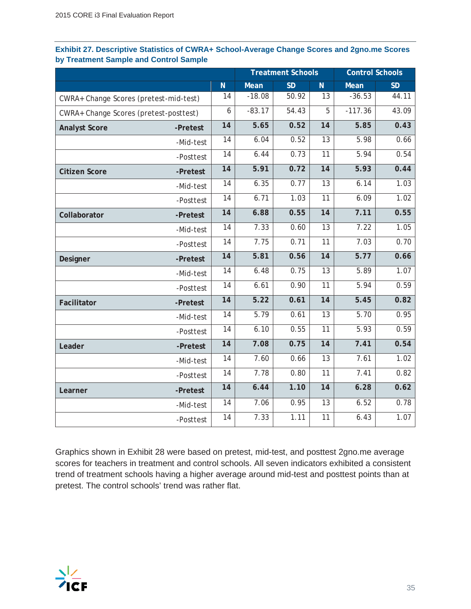|                                        |           |                 |          | <b>Treatment Schools</b> |                 | <b>Control Schools</b> |           |
|----------------------------------------|-----------|-----------------|----------|--------------------------|-----------------|------------------------|-----------|
|                                        |           | N               | Mean     | <b>SD</b>                | N.              | Mean                   | <b>SD</b> |
| CWRA+ Change Scores (pretest-mid-test) |           | 14              | $-18.08$ | 50.92                    | 13              | $-36.53$               | 44.11     |
| CWRA+ Change Scores (pretest-posttest) |           | 6               | $-83.17$ | 54.43                    | 5               | $-117.36$              | 43.09     |
| <b>Analyst Score</b>                   | -Pretest  | $\overline{14}$ | 5.65     | 0.52                     | $\overline{14}$ | 5.85                   | 0.43      |
|                                        | -Mid-test | 14              | 6.04     | 0.52                     | 13              | 5.98                   | 0.66      |
|                                        | -Posttest | $\overline{14}$ | 6.44     | 0.73                     | $\overline{11}$ | 5.94                   | 0.54      |
| <b>Citizen Score</b>                   | -Pretest  | 14              | 5.91     | 0.72                     | 14              | 5.93                   | 0.44      |
|                                        | -Mid-test | 14              | 6.35     | 0.77                     | $\overline{13}$ | 6.14                   | 1.03      |
|                                        | -Posttest | 14              | 6.71     | 1.03                     | 11              | 6.09                   | 1.02      |
| Collaborator                           | -Pretest  | 14              | 6.88     | 0.55                     | 14              | 7.11                   | 0.55      |
|                                        | -Mid-test | 14              | 7.33     | 0.60                     | 13              | 7.22                   | 1.05      |
|                                        | -Posttest | 14              | 7.75     | 0.71                     | 11              | 7.03                   | 0.70      |
| Designer                               | -Pretest  | $\overline{14}$ | 5.81     | 0.56                     | $\overline{14}$ | 5.77                   | 0.66      |
|                                        | -Mid-test | 14              | 6.48     | 0.75                     | 13              | 5.89                   | 1.07      |
|                                        | -Posttest | 14              | 6.61     | 0.90                     | $\overline{11}$ | 5.94                   | 0.59      |
| Facilitator                            | -Pretest  | 14              | 5.22     | 0.61                     | 14              | 5.45                   | 0.82      |
|                                        | -Mid-test | 14              | 5.79     | 0.61                     | $\overline{13}$ | 5.70                   | 0.95      |
|                                        | -Posttest | 14              | 6.10     | 0.55                     | 11              | 5.93                   | 0.59      |
| Leader                                 | -Pretest  | $\overline{14}$ | 7.08     | 0.75                     | $\overline{14}$ | 7.41                   | 0.54      |
|                                        | -Mid-test | 14              | 7.60     | 0.66                     | 13              | 7.61                   | 1.02      |
|                                        | -Posttest | $\overline{14}$ | 7.78     | 0.80                     | $\overline{11}$ | 7.41                   | 0.82      |
| Learner                                | -Pretest  | $\overline{14}$ | 6.44     | 1.10                     | $\overline{14}$ | 6.28                   | 0.62      |
|                                        | -Mid-test | 14              | 7.06     | 0.95                     | 13              | 6.52                   | 0.78      |
|                                        | -Posttest | 14              | 7.33     | 1.11                     | 11              | 6.43                   | 1.07      |

#### **Exhibit 27. Descriptive Statistics of CWRA+ School-Average Change Scores and 2gno.me Scores by Treatment Sample and Control Sample**

Graphics shown in Exhibit 28 were based on pretest, mid-test, and posttest 2gno.me average scores for teachers in treatment and control schools. All seven indicators exhibited a consistent trend of treatment schools having a higher average around mid-test and posttest points than at pretest. The control schools' trend was rather flat.

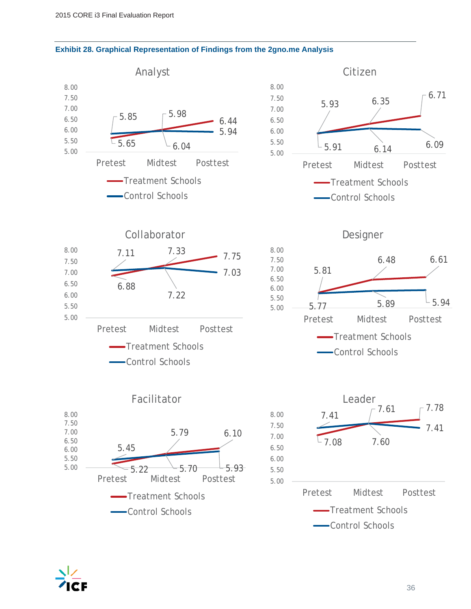



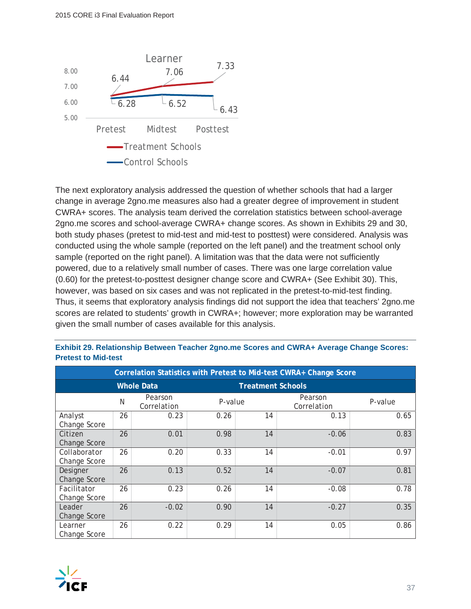

The next exploratory analysis addressed the question of whether schools that had a larger change in average 2gno.me measures also had a greater degree of improvement in student CWRA+ scores. The analysis team derived the correlation statistics between school-average 2gno.me scores and school-average CWRA+ change scores. As shown in Exhibits 29 and 30, both study phases (pretest to mid-test and mid-test to posttest) were considered. Analysis was conducted using the whole sample (reported on the left panel) and the treatment school only sample (reported on the right panel). A limitation was that the data were not sufficiently powered, due to a relatively small number of cases. There was one large correlation value (0.60) for the pretest-to-posttest designer change score and CWRA+ (See Exhibit 30). This, however, was based on six cases and was not replicated in the pretest-to-mid-test finding. Thus, it seems that exploratory analysis findings did not support the idea that teachers' 2gno.me scores are related to students' growth in CWRA+; however; more exploration may be warranted given the small number of cases available for this analysis.

|                              | Correlation Statistics with Pretest to Mid-test CWRA+ Change Score |                        |         |                          |                        |         |
|------------------------------|--------------------------------------------------------------------|------------------------|---------|--------------------------|------------------------|---------|
|                              |                                                                    | <b>Whole Data</b>      |         | <b>Treatment Schools</b> |                        |         |
|                              | N                                                                  | Pearson<br>Correlation | P-value |                          | Pearson<br>Correlation | P-value |
| Analyst<br>Change Score      | 26                                                                 | 0.23                   | 0.26    | 14                       | 0.13                   | 0.65    |
| Citizen<br>Change Score      | 26                                                                 | 0.01                   | 0.98    | 14                       | $-0.06$                | 0.83    |
| Collaborator<br>Change Score | 26                                                                 | 0.20                   | 0.33    | 14                       | $-0.01$                | 0.97    |
| Designer<br>Change Score     | 26                                                                 | 0.13                   | 0.52    | 14                       | $-0.07$                | 0.81    |
| Facilitator<br>Change Score  | 26                                                                 | 0.23                   | 0.26    | 14                       | $-0.08$                | 0.78    |
| Leader<br>Change Score       | 26                                                                 | $-0.02$                | 0.90    | 14                       | $-0.27$                | 0.35    |
| Learner<br>Change Score      | 26                                                                 | 0.22                   | 0.29    | 14                       | 0.05                   | 0.86    |

| Exhibit 29. Relationship Between Teacher 2gno.me Scores and CWRA+ Average Change Scores: |  |  |  |
|------------------------------------------------------------------------------------------|--|--|--|
| <b>Pretest to Mid-test</b>                                                               |  |  |  |

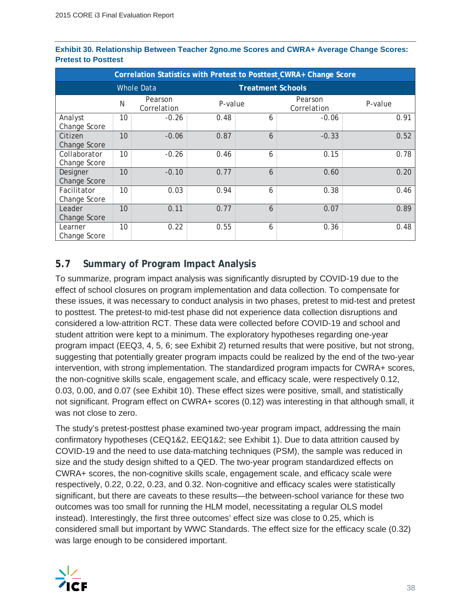| Correlation Statistics with Pretest to Posttest CWRA+ Change Score |    |                        |         |                          |                        |         |
|--------------------------------------------------------------------|----|------------------------|---------|--------------------------|------------------------|---------|
|                                                                    |    | <b>Whole Data</b>      |         | <b>Treatment Schools</b> |                        |         |
|                                                                    | N  | Pearson<br>Correlation | P-value |                          | Pearson<br>Correlation | P-value |
| Analyst<br>Change Score                                            | 10 | $-0.26$                | 0.48    | 6                        | $-0.06$                | 0.91    |
| Citizen<br>Change Score                                            | 10 | $-0.06$                | 0.87    | 6                        | $-0.33$                | 0.52    |
| Collaborator<br>Change Score                                       | 10 | $-0.26$                | 0.46    | 6                        | 0.15                   | 0.78    |
| Designer<br>Change Score                                           | 10 | $-0.10$                | 0.77    | 6                        | 0.60                   | 0.20    |
| Facilitator<br>Change Score                                        | 10 | 0.03                   | 0.94    | 6                        | 0.38                   | 0.46    |
| Leader<br>Change Score                                             | 10 | 0.11                   | 0.77    | 6                        | 0.07                   | 0.89    |
| Learner<br>Change Score                                            | 10 | 0.22                   | 0.55    | 6                        | 0.36                   | 0.48    |

#### **Exhibit 30. Relationship Between Teacher 2gno.me Scores and CWRA+ Average Change Scores: Pretest to Posttest**

#### **5.7 Summary of Program Impact Analysis**

To summarize, program impact analysis was significantly disrupted by COVID-19 due to the effect of school closures on program implementation and data collection. To compensate for these issues, it was necessary to conduct analysis in two phases, pretest to mid-test and pretest to posttest. The pretest-to mid-test phase did not experience data collection disruptions and considered a low-attrition RCT. These data were collected before COVID-19 and school and student attrition were kept to a minimum. The exploratory hypotheses regarding one-year program impact (EEQ3, 4, 5, 6; see Exhibit 2) returned results that were positive, but not strong, suggesting that potentially greater program impacts could be realized by the end of the two-year intervention, with strong implementation. The standardized program impacts for CWRA+ scores, the non-cognitive skills scale, engagement scale, and efficacy scale, were respectively 0.12, 0.03, 0.00, and 0.07 (see Exhibit 10). These effect sizes were positive, small, and statistically not significant. Program effect on CWRA+ scores (0.12) was interesting in that although small, it was not close to zero.

The study's pretest-posttest phase examined two-year program impact, addressing the main confirmatory hypotheses (CEQ1&2, EEQ1&2; see Exhibit 1). Due to data attrition caused by COVID-19 and the need to use data-matching techniques (PSM), the sample was reduced in size and the study design shifted to a QED. The two-year program standardized effects on CWRA+ scores, the non-cognitive skills scale, engagement scale, and efficacy scale were respectively, 0.22, 0.22, 0.23, and 0.32. Non-cognitive and efficacy scales were statistically significant, but there are caveats to these results—the between-school variance for these two outcomes was too small for running the HLM model, necessitating a regular OLS model instead). Interestingly, the first three outcomes' effect size was close to 0.25, which is considered small but important by WWC Standards. The effect size for the efficacy scale (0.32) was large enough to be considered important.

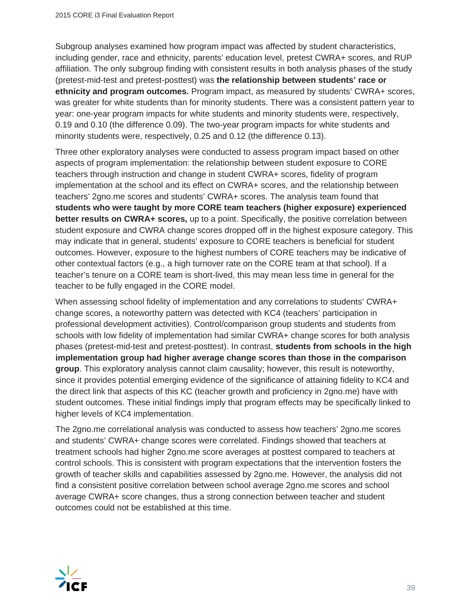Subgroup analyses examined how program impact was affected by student characteristics, including gender, race and ethnicity, parents' education level, pretest CWRA+ scores, and RUP affiliation. The only subgroup finding with consistent results in both analysis phases of the study (pretest-mid-test and pretest-posttest) was **the relationship between students' race or ethnicity and program outcomes.** Program impact, as measured by students' CWRA+ scores, was greater for white students than for minority students. There was a consistent pattern year to year: one-year program impacts for white students and minority students were, respectively, 0.19 and 0.10 (the difference 0.09). The two-year program impacts for white students and minority students were, respectively, 0.25 and 0.12 (the difference 0.13).

Three other exploratory analyses were conducted to assess program impact based on other aspects of program implementation: the relationship between student exposure to CORE teachers through instruction and change in student CWRA+ scores, fidelity of program implementation at the school and its effect on CWRA+ scores, and the relationship between teachers' 2gno.me scores and students' CWRA+ scores. The analysis team found that **students who were taught by more CORE team teachers (higher exposure) experienced better results on CWRA+ scores,** up to a point. Specifically, the positive correlation between student exposure and CWRA change scores dropped off in the highest exposure category. This may indicate that in general, students' exposure to CORE teachers is beneficial for student outcomes. However, exposure to the highest numbers of CORE teachers may be indicative of other contextual factors (e.g., a high turnover rate on the CORE team at that school). If a teacher's tenure on a CORE team is short-lived, this may mean less time in general for the teacher to be fully engaged in the CORE model.

When assessing school fidelity of implementation and any correlations to students' CWRA+ change scores, a noteworthy pattern was detected with KC4 (teachers' participation in professional development activities). Control/comparison group students and students from schools with low fidelity of implementation had similar CWRA+ change scores for both analysis phases (pretest-mid-test and pretest-posttest). In contrast, **students from schools in the high implementation group had higher average change scores than those in the comparison group**. This exploratory analysis cannot claim causality; however, this result is noteworthy, since it provides potential emerging evidence of the significance of attaining fidelity to KC4 and the direct link that aspects of this KC (teacher growth and proficiency in 2gno.me) have with student outcomes. These initial findings imply that program effects may be specifically linked to higher levels of KC4 implementation.

The 2gno.me correlational analysis was conducted to assess how teachers' 2gno.me scores and students' CWRA+ change scores were correlated. Findings showed that teachers at treatment schools had higher 2gno.me score averages at posttest compared to teachers at control schools. This is consistent with program expectations that the intervention fosters the growth of teacher skills and capabilities assessed by 2gno.me. However, the analysis did not find a consistent positive correlation between school average 2gno.me scores and school average CWRA+ score changes, thus a strong connection between teacher and student outcomes could not be established at this time.

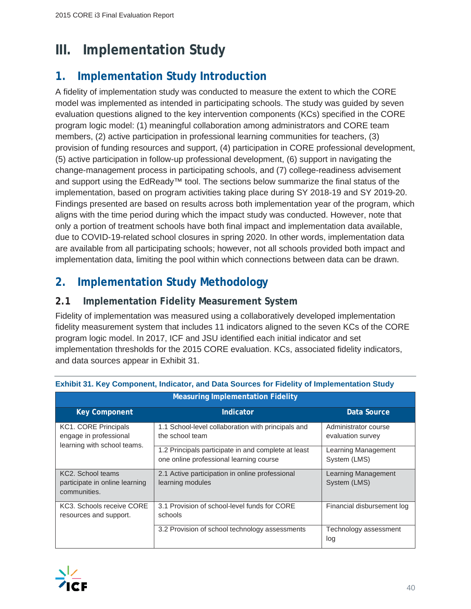# **III. Implementation Study**

# **1. Implementation Study Introduction**

A fidelity of implementation study was conducted to measure the extent to which the CORE model was implemented as intended in participating schools. The study was guided by seven evaluation questions aligned to the key intervention components (KCs) specified in the CORE program logic model: (1) meaningful collaboration among administrators and CORE team members, (2) active participation in professional learning communities for teachers, (3) provision of funding resources and support, (4) participation in CORE professional development, (5) active participation in follow-up professional development, (6) support in navigating the change-management process in participating schools, and (7) college-readiness advisement and support using the EdReady™ tool. The sections below summarize the final status of the implementation, based on program activities taking place during SY 2018-19 and SY 2019-20. Findings presented are based on results across both implementation year of the program, which aligns with the time period during which the impact study was conducted. However, note that only a portion of treatment schools have both final impact and implementation data available, due to COVID-19-related school closures in spring 2020. In other words, implementation data are available from all participating schools; however, not all schools provided both impact and implementation data, limiting the pool within which connections between data can be drawn.

# **2. Implementation Study Methodology**

#### **2.1 Implementation Fidelity Measurement System**

Fidelity of implementation was measured using a collaboratively developed implementation fidelity measurement system that includes 11 indicators aligned to the seven KCs of the CORE program logic model. In 2017, ICF and JSU identified each initial indicator and set implementation thresholds for the 2015 CORE evaluation. KCs, associated fidelity indicators, and data sources appear in Exhibit 31.

| <b>Measuring Implementation Fidelity</b>                                      |                                                                                                |                                           |  |  |
|-------------------------------------------------------------------------------|------------------------------------------------------------------------------------------------|-------------------------------------------|--|--|
| <b>Key Component</b>                                                          | Indicator                                                                                      | Data Source                               |  |  |
| KC1. CORE Principals<br>engage in professional<br>learning with school teams. | 1.1 School-level collaboration with principals and<br>the school team                          | Administrator course<br>evaluation survey |  |  |
|                                                                               | 1.2 Principals participate in and complete at least<br>one online professional learning course | Learning Management<br>System (LMS)       |  |  |
| KC2. School teams<br>participate in online learning<br>communities.           | 2.1 Active participation in online professional<br>learning modules                            | Learning Management<br>System (LMS)       |  |  |
| KC3. Schools receive CORE<br>resources and support.                           | 3.1 Provision of school-level funds for CORE<br>schools                                        | Financial disbursement log                |  |  |
|                                                                               | 3.2 Provision of school technology assessments                                                 | Technology assessment<br>log              |  |  |

#### **Exhibit 31. Key Component, Indicator, and Data Sources for Fidelity of Implementation Study**

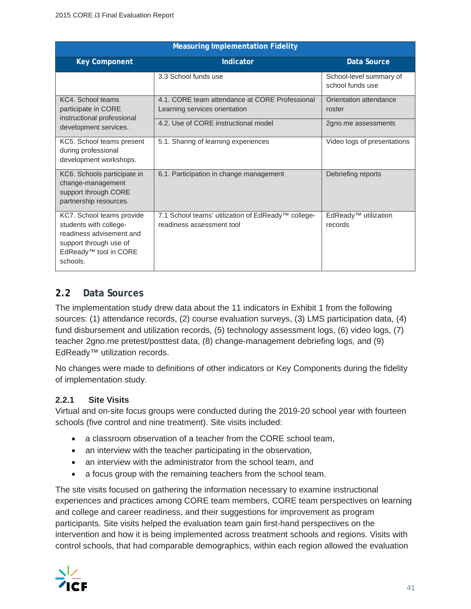| <b>Measuring Implementation Fidelity</b>                                                                                                                   |                                                                                 |                                             |  |  |
|------------------------------------------------------------------------------------------------------------------------------------------------------------|---------------------------------------------------------------------------------|---------------------------------------------|--|--|
| <b>Key Component</b>                                                                                                                                       | Indicator                                                                       | Data Source                                 |  |  |
|                                                                                                                                                            | 3.3 School funds use                                                            | School-level summary of<br>school funds use |  |  |
| KC4. School teams<br>participate in CORE<br>instructional professional                                                                                     | 4.1. CORE team attendance at CORE Professional<br>Learning services orientation | Orientation attendance<br>roster            |  |  |
| development services.                                                                                                                                      | 4.2. Use of CORE instructional model                                            | 2gno.me assessments                         |  |  |
| KC5. School teams present<br>during professional<br>development workshops.                                                                                 | 5.1. Sharing of learning experiences                                            | Video logs of presentations                 |  |  |
| KC6. Schools participate in<br>change-management<br>support through CORE<br>partnership resources.                                                         | 6.1. Participation in change management                                         | Debriefing reports                          |  |  |
| KC7. School teams provide<br>students with college-<br>readiness advisement and<br>support through use of<br>EdReady <sup>™</sup> tool in CORE<br>schools. | 7.1 School teams' utilization of EdReady™ college-<br>readiness assessment tool | EdReady <sup>™</sup> utilization<br>records |  |  |

#### **2.2 Data Sources**

The implementation study drew data about the 11 indicators in Exhibit 1 from the following sources: (1) attendance records, (2) course evaluation surveys, (3) LMS participation data, (4) fund disbursement and utilization records, (5) technology assessment logs, (6) video logs, (7) teacher 2gno.me pretest/posttest data, (8) change-management debriefing logs, and (9) EdReady™ utilization records.

No changes were made to definitions of other indicators or Key Components during the fidelity of implementation study.

#### **2.2.1 Site Visits**

Virtual and on-site focus groups were conducted during the 2019-20 school year with fourteen schools (five control and nine treatment). Site visits included:

- a classroom observation of a teacher from the CORE school team,
- an interview with the teacher participating in the observation,
- an interview with the administrator from the school team, and
- a focus group with the remaining teachers from the school team.

The site visits focused on gathering the information necessary to examine instructional experiences and practices among CORE team members, CORE team perspectives on learning and college and career readiness, and their suggestions for improvement as program participants. Site visits helped the evaluation team gain first-hand perspectives on the intervention and how it is being implemented across treatment schools and regions. Visits with control schools, that had comparable demographics, within each region allowed the evaluation

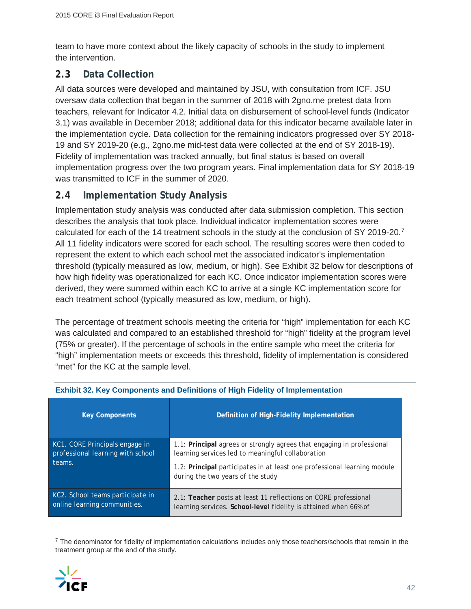team to have more context about the likely capacity of schools in the study to implement the intervention.

#### **2.3 Data Collection**

All data sources were developed and maintained by JSU, with consultation from ICF. JSU oversaw data collection that began in the summer of 2018 with 2gno.me pretest data from teachers, relevant for Indicator 4.2. Initial data on disbursement of school-level funds (Indicator 3.1) was available in December 2018; additional data for this indicator became available later in the implementation cycle. Data collection for the remaining indicators progressed over SY 2018- 19 and SY 2019-20 (e.g., 2gno.me mid-test data were collected at the end of SY 2018-19). Fidelity of implementation was tracked annually, but final status is based on overall implementation progress over the two program years. Final implementation data for SY 2018-19 was transmitted to ICF in the summer of 2020.

#### **2.4 Implementation Study Analysis**

Implementation study analysis was conducted after data submission completion. This section describes the analysis that took place. Individual indicator implementation scores were calculated for each of the 14 treatment schools in the study at the conclusion of SY 2019-20.7 All 11 fidelity indicators were scored for each school. The resulting scores were then coded to represent the extent to which each school met the associated indicator's implementation threshold (typically measured as low, medium, or high). See Exhibit 32 below for descriptions of how high fidelity was operationalized for each KC. Once indicator implementation scores were derived, they were summed within each KC to arrive at a single KC implementation score for each treatment school (typically measured as low, medium, or high).

The percentage of treatment schools meeting the criteria for "high" implementation for each KC was calculated and compared to an established threshold for "high" fidelity at the program level (75% or greater). If the percentage of schools in the entire sample who meet the criteria for "high" implementation meets or exceeds this threshold, fidelity of implementation is considered "met" for the KC at the sample level.

| <b>Key Components</b>                                                         | Definition of High-Fidelity Implementation                                                                                                                                                                                                   |
|-------------------------------------------------------------------------------|----------------------------------------------------------------------------------------------------------------------------------------------------------------------------------------------------------------------------------------------|
| KC1. CORE Principals engage in<br>professional learning with school<br>teams. | 1.1: Principal agrees or strongly agrees that engaging in professional<br>learning services led to meaningful collaboration<br>1.2: Principal participates in at least one professional learning module<br>during the two years of the study |
| KC2. School teams participate in<br>online learning communities.              | 2.1: Teacher posts at least 11 reflections on CORE professional<br>learning services. School-level fidelity is attained when 66% of                                                                                                          |

#### **Exhibit 32. Key Components and Definitions of High Fidelity of Implementation**

<sup>&</sup>lt;sup>7</sup> The denominator for fidelity of implementation calculations includes only those teachers/schools that remain in the treatment group at the end of the study.

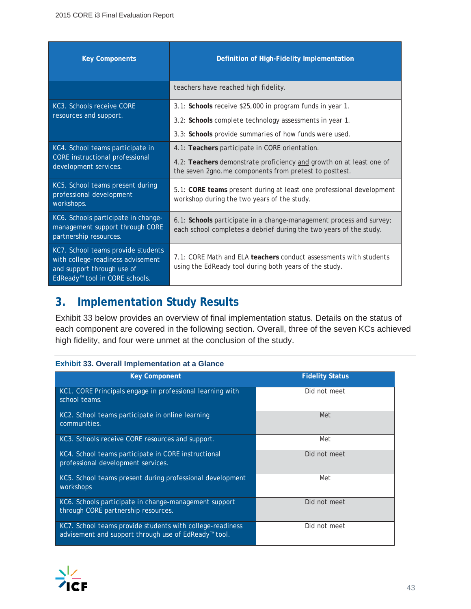| <b>Key Components</b>                                                                                                                               | Definition of High-Fidelity Implementation                                                                                                |
|-----------------------------------------------------------------------------------------------------------------------------------------------------|-------------------------------------------------------------------------------------------------------------------------------------------|
|                                                                                                                                                     | teachers have reached high fidelity.                                                                                                      |
| KC3. Schools receive CORE                                                                                                                           | 3.1: Schools receive \$25,000 in program funds in year 1.                                                                                 |
| resources and support.                                                                                                                              | 3.2: Schools complete technology assessments in year 1.                                                                                   |
|                                                                                                                                                     | 3.3: Schools provide summaries of how funds were used.                                                                                    |
| KC4. School teams participate in                                                                                                                    | 4.1: Teachers participate in CORE orientation.                                                                                            |
| <b>CORE</b> instructional professional<br>development services.                                                                                     | 4.2: Teachers demonstrate proficiency and growth on at least one of<br>the seven 2gno.me components from pretest to posttest.             |
| KC5. School teams present during<br>professional development<br>workshops.                                                                          | 5.1: CORE teams present during at least one professional development<br>workshop during the two years of the study.                       |
| KC6. Schools participate in change-<br>management support through CORE<br>partnership resources.                                                    | 6.1: Schools participate in a change-management process and survey;<br>each school completes a debrief during the two years of the study. |
| KC7. School teams provide students<br>with college-readiness advisement<br>and support through use of<br>EdReady <sup>™</sup> tool in CORE schools. | 7.1: CORE Math and ELA teachers conduct assessments with students<br>using the EdReady tool during both years of the study.               |

# **3. Implementation Study Results**

Exhibit 33 below provides an overview of final implementation status. Details on the status of each component are covered in the following section. Overall, three of the seven KCs achieved high fidelity, and four were unmet at the conclusion of the study.

#### **Exhibit 33. Overall Implementation at a Glance**

| <b>Key Component</b>                                                                                                          | <b>Fidelity Status</b> |
|-------------------------------------------------------------------------------------------------------------------------------|------------------------|
| KC1. CORE Principals engage in professional learning with<br>school teams.                                                    | Did not meet           |
| KC2. School teams participate in online learning<br>communities.                                                              | Met                    |
| KC3. Schools receive CORE resources and support.                                                                              | Met                    |
| KC4. School teams participate in CORE instructional<br>professional development services.                                     | Did not meet           |
| KC5. School teams present during professional development<br>workshops                                                        | Met                    |
| KC6. Schools participate in change-management support<br>through CORE partnership resources.                                  | Did not meet           |
| KC7. School teams provide students with college-readiness<br>advisement and support through use of EdReady <sup>™</sup> tool. | Did not meet           |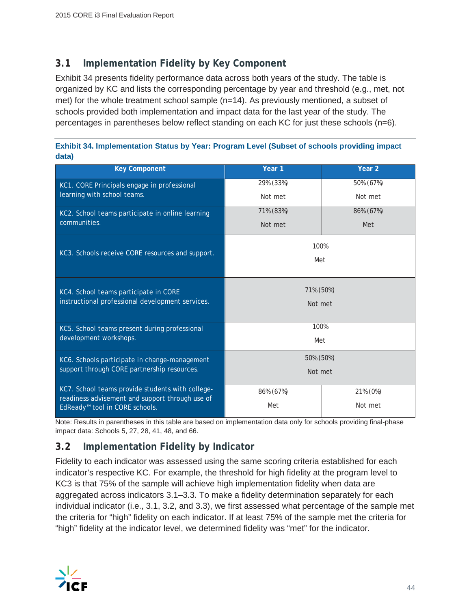#### **3.1 Implementation Fidelity by Key Component**

Exhibit 34 presents fidelity performance data across both years of the study. The table is organized by KC and lists the corresponding percentage by year and threshold (e.g., met, not met) for the whole treatment school sample (n=14). As previously mentioned, a subset of schools provided both implementation and impact data for the last year of the study. The percentages in parentheses below reflect standing on each KC for just these schools (n=6).

| Exhibit 34. Implementation Status by Year: Program Level (Subset of schools providing impact |  |
|----------------------------------------------------------------------------------------------|--|
| data)                                                                                        |  |

| <b>Key Component</b>                             | Year 1    | Year <sub>2</sub> |  |  |
|--------------------------------------------------|-----------|-------------------|--|--|
| KC1. CORE Principals engage in professional      | 29% (33%) | 50% (67%)         |  |  |
| learning with school teams.                      | Not met   | Not met           |  |  |
| KC2. School teams participate in online learning | 71% (83%) | 86% (67%)         |  |  |
| communities.                                     | Not met   | Met               |  |  |
|                                                  | 100%      |                   |  |  |
| KC3. Schools receive CORE resources and support. | Met       |                   |  |  |
|                                                  |           |                   |  |  |
| KC4. School teams participate in CORE            | 71% (50%) |                   |  |  |
| instructional professional development services. | Not met   |                   |  |  |
|                                                  |           |                   |  |  |
| KC5. School teams present during professional    | 100%      |                   |  |  |
| development workshops.                           | Met       |                   |  |  |
| KC6. Schools participate in change-management    | 50% (50%) |                   |  |  |
| support through CORE partnership resources.      | Not met   |                   |  |  |
| KC7. School teams provide students with college- | 86% (67%) | 21% (0%)          |  |  |
| readiness advisement and support through use of  | Met       | Not met           |  |  |
| EdReady <sup>™</sup> tool in CORE schools.       |           |                   |  |  |

Note: Results in parentheses in this table are based on implementation data only for schools providing final-phase impact data: Schools 5, 27, 28, 41, 48, and 66.

#### **3.2 Implementation Fidelity by Indicator**

Fidelity to each indicator was assessed using the same scoring criteria established for each indicator's respective KC. For example, the threshold for high fidelity at the program level to KC3 is that 75% of the sample will achieve high implementation fidelity when data are aggregated across indicators 3.1–3.3. To make a fidelity determination separately for each individual indicator (i.e., 3.1, 3.2, and 3.3), we first assessed what percentage of the sample met the criteria for "high" fidelity on each indicator. If at least 75% of the sample met the criteria for "high" fidelity at the indicator level, we determined fidelity was "met" for the indicator.

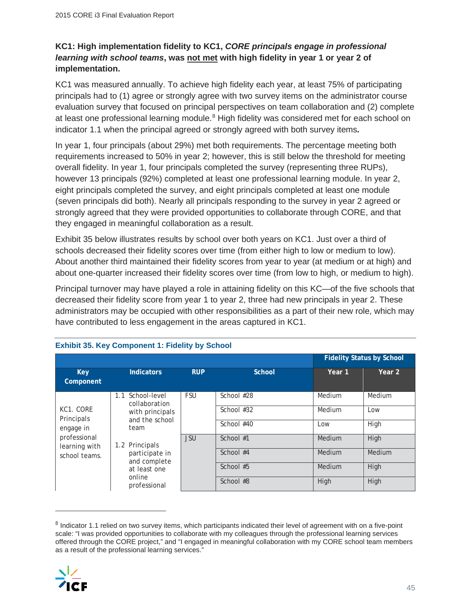#### **KC1: High implementation fidelity to KC1,** *CORE principals engage in professional learning with school teams***, was not met with high fidelity in year 1 or year 2 of implementation.**

KC1 was measured annually. To achieve high fidelity each year, at least 75% of participating principals had to (1) agree or strongly agree with two survey items on the administrator course evaluation survey that focused on principal perspectives on team collaboration and (2) complete at least one professional learning module.<sup>8</sup> High fidelity was considered met for each school on indicator 1.1 when the principal agreed or strongly agreed with both survey items*.*

In year 1, four principals (about 29%) met both requirements. The percentage meeting both requirements increased to 50% in year 2; however, this is still below the threshold for meeting overall fidelity. In year 1, four principals completed the survey (representing three RUPs), however 13 principals (92%) completed at least one professional learning module. In year 2, eight principals completed the survey, and eight principals completed at least one module (seven principals did both). Nearly all principals responding to the survey in year 2 agreed or strongly agreed that they were provided opportunities to collaborate through CORE, and that they engaged in meaningful collaboration as a result.

Exhibit 35 below illustrates results by school over both years on KC1. Just over a third of schools decreased their fidelity scores over time (from either high to low or medium to low). About another third maintained their fidelity scores from year to year (at medium or at high) and about one-quarter increased their fidelity scores over time (from low to high, or medium to high).

Principal turnover may have played a role in attaining fidelity on this KC—of the five schools that decreased their fidelity score from year 1 to year 2, three had new principals in year 2. These administrators may be occupied with other responsibilities as a part of their new role, which may have contributed to less engagement in the areas captured in KC1.

|                                                                                                                                         |                                |            |               |        | <b>Fidelity Status by School</b> |  |  |
|-----------------------------------------------------------------------------------------------------------------------------------------|--------------------------------|------------|---------------|--------|----------------------------------|--|--|
| Key<br>Component                                                                                                                        | <b>Indicators</b>              | <b>RUP</b> | <b>School</b> | Year 1 | Year 2                           |  |  |
| School-level<br>1.1<br>collaboration<br>KC1. CORE<br>Principals<br>and the school<br>engage in<br>team<br>professional<br>learning with |                                | <b>FSU</b> | School #28    | Medium | Medium                           |  |  |
|                                                                                                                                         | with principals                | <b>JSU</b> | School #32    | Medium | Low                              |  |  |
|                                                                                                                                         |                                |            | School #40    | Low    | High                             |  |  |
|                                                                                                                                         | 1.2 Principals                 |            | School $#1$   | Medium | High                             |  |  |
| school teams.                                                                                                                           | participate in<br>and complete |            | School #4     | Medium | Medium                           |  |  |
|                                                                                                                                         | at least one                   |            | School #5     | Medium | High                             |  |  |
|                                                                                                                                         | online<br>professional         |            | School #8     | High   | High                             |  |  |

#### **Exhibit 35. Key Component 1: Fidelity by School**

<sup>&</sup>lt;sup>8</sup> Indicator 1.1 relied on two survey items, which participants indicated their level of agreement with on a five-point scale: "I was provided opportunities to collaborate with my colleagues through the professional learning services offered through the CORE project," and "I engaged in meaningful collaboration with my CORE school team members as a result of the professional learning services."

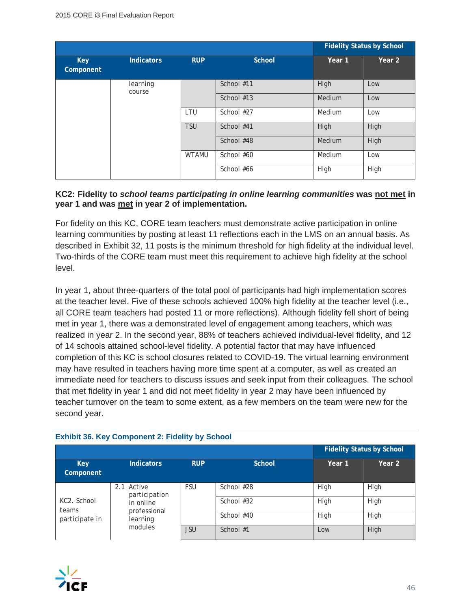|                         |                    |              | <b>Fidelity Status by School</b> |        |        |
|-------------------------|--------------------|--------------|----------------------------------|--------|--------|
| <b>Key</b><br>Component | <b>Indicators</b>  | <b>RUP</b>   | <b>School</b>                    | Year 1 | Year 2 |
|                         | learning<br>course |              | School #11                       | High   | Low    |
|                         |                    | School #13   | Medium                           | Low    |        |
|                         | LTU                |              | School #27                       | Medium | Low    |
|                         |                    | <b>TSU</b>   | School #41                       | High   | High   |
|                         |                    |              | School #48                       | Medium | High   |
|                         |                    | <b>WTAMU</b> | School #60                       | Medium | Low    |
|                         |                    |              | School #66                       | High   | High   |

#### **KC2: Fidelity to** *school teams participating in online learning communities* **was not met in year 1 and was met in year 2 of implementation.**

For fidelity on this KC, CORE team teachers must demonstrate active participation in online learning communities by posting at least 11 reflections each in the LMS on an annual basis. As described in Exhibit 32, 11 posts is the minimum threshold for high fidelity at the individual level. Two-thirds of the CORE team must meet this requirement to achieve high fidelity at the school level.

In year 1, about three-quarters of the total pool of participants had high implementation scores at the teacher level. Five of these schools achieved 100% high fidelity at the teacher level (i.e., all CORE team teachers had posted 11 or more reflections). Although fidelity fell short of being met in year 1, there was a demonstrated level of engagement among teachers, which was realized in year 2. In the second year, 88% of teachers achieved individual-level fidelity, and 12 of 14 schools attained school-level fidelity. A potential factor that may have influenced completion of this KC is school closures related to COVID-19. The virtual learning environment may have resulted in teachers having more time spent at a computer, as well as created an immediate need for teachers to discuss issues and seek input from their colleagues. The school that met fidelity in year 1 and did not meet fidelity in year 2 may have been influenced by teacher turnover on the team to some extent, as a few members on the team were new for the second year.

|                                                     |                                                                                    |            |              | <b>Fidelity Status by School</b> |        |  |
|-----------------------------------------------------|------------------------------------------------------------------------------------|------------|--------------|----------------------------------|--------|--|
| <b>Key</b><br>Component                             | <b>Indicators</b>                                                                  | <b>RUP</b> | School       | Year 1                           | Year 2 |  |
| KC <sub>2</sub> . School<br>teams<br>participate in | 2.1<br>Active<br>participation<br>in online<br>professional<br>learning<br>modules | <b>FSU</b> | School #28   | High                             | High   |  |
|                                                     |                                                                                    |            | School $#32$ | High                             | High   |  |
|                                                     |                                                                                    |            | School #40   | High                             | High   |  |
|                                                     |                                                                                    | <b>JSU</b> | School #1    | Low                              | High   |  |

#### **Exhibit 36. Key Component 2: Fidelity by School**

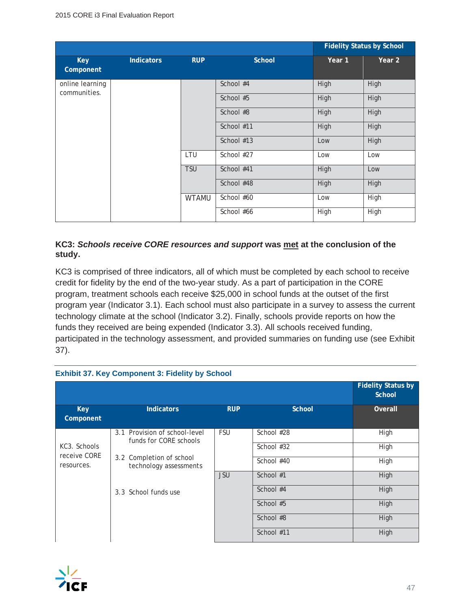|                                 |                   |              |               |        | <b>Fidelity Status by School</b> |
|---------------------------------|-------------------|--------------|---------------|--------|----------------------------------|
| <b>Key</b><br>Component         | <b>Indicators</b> | <b>RUP</b>   | <b>School</b> | Year 1 | Year 2                           |
| online learning<br>communities. |                   |              | School #4     | High   | High                             |
|                                 |                   |              | School #5     | High   | High                             |
|                                 |                   |              | School #8     | High   | High                             |
|                                 |                   |              | School #11    | High   | High                             |
|                                 |                   |              | School #13    | Low    | High                             |
|                                 |                   | LTU          | School #27    | Low    | Low                              |
|                                 |                   | <b>TSU</b>   | School #41    | High   | Low                              |
|                                 |                   |              | School #48    | High   | High                             |
|                                 |                   | <b>WTAMU</b> | School #60    | Low    | High                             |
|                                 |                   |              | School #66    | High   | High                             |

#### **KC3:** *Schools receive CORE resources and support* **was met at the conclusion of the study.**

KC3 is comprised of three indicators, all of which must be completed by each school to receive credit for fidelity by the end of the two-year study. As a part of participation in the CORE program, treatment schools each receive \$25,000 in school funds at the outset of the first program year (Indicator 3.1). Each school must also participate in a survey to assess the current technology climate at the school (Indicator 3.2). Finally, schools provide reports on how the funds they received are being expended (Indicator 3.3). All schools received funding, participated in the technology assessment, and provided summaries on funding use (see Exhibit 37).

|                                            |                                                         |            |               | <b>Fidelity Status by</b><br><b>School</b> |
|--------------------------------------------|---------------------------------------------------------|------------|---------------|--------------------------------------------|
| <b>Key</b><br>Component                    | Indicators                                              | <b>RUP</b> | <b>School</b> | Overall                                    |
| KC3. Schools<br>receive CORE<br>resources. | 3.1 Provision of school-level<br>funds for CORE schools | <b>FSU</b> | School #28    | High                                       |
|                                            |                                                         |            | School #32    | High                                       |
|                                            | 3.2 Completion of school<br>technology assessments      |            | School #40    | High                                       |
|                                            |                                                         | <b>JSU</b> | School #1     | High                                       |
|                                            | 3.3 School funds use                                    |            | School #4     | High                                       |
|                                            |                                                         |            | School #5     | High                                       |
|                                            |                                                         |            | School #8     | High                                       |
|                                            |                                                         |            | School #11    | High                                       |

#### **Exhibit 37. Key Component 3: Fidelity by School**

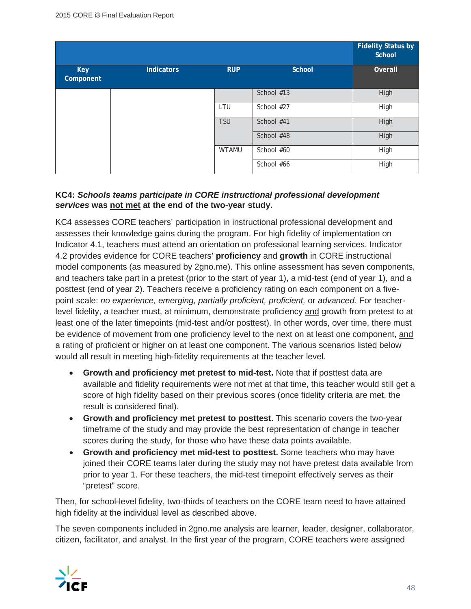|                         |            |              |               | <b>Fidelity Status by</b><br>School |
|-------------------------|------------|--------------|---------------|-------------------------------------|
| <b>Key</b><br>Component | Indicators | <b>RUP</b>   | <b>School</b> | Overall                             |
|                         |            |              | School #13    | High                                |
|                         |            | LTU          | School #27    | High                                |
|                         |            | <b>TSU</b>   | School #41    | High                                |
|                         |            |              | School #48    | High                                |
|                         |            | <b>WTAMU</b> | School #60    | High                                |
|                         |            |              | School #66    | High                                |

#### **KC4:** *Schools teams participate in CORE instructional professional development services* **was not met at the end of the two-year study.**

KC4 assesses CORE teachers' participation in instructional professional development and assesses their knowledge gains during the program. For high fidelity of implementation on Indicator 4.1, teachers must attend an orientation on professional learning services. Indicator 4.2 provides evidence for CORE teachers' **proficiency** and **growth** in CORE instructional model components (as measured by 2gno.me). This online assessment has seven components, and teachers take part in a pretest (prior to the start of year 1), a mid-test (end of year 1), and a posttest (end of year 2). Teachers receive a proficiency rating on each component on a fivepoint scale: *no experience, emerging, partially proficient, proficient,* or *advanced.* For teacherlevel fidelity, a teacher must, at minimum, demonstrate proficiency and growth from pretest to at least one of the later timepoints (mid-test and/or posttest). In other words, over time, there must be evidence of movement from one proficiency level to the next on at least one component, and a rating of proficient or higher on at least one component. The various scenarios listed below would all result in meeting high-fidelity requirements at the teacher level.

- **Growth and proficiency met pretest to mid-test.** Note that if posttest data are available and fidelity requirements were not met at that time, this teacher would still get a score of high fidelity based on their previous scores (once fidelity criteria are met, the result is considered final).
- **Growth and proficiency met pretest to posttest.** This scenario covers the two-year timeframe of the study and may provide the best representation of change in teacher scores during the study, for those who have these data points available.
- **Growth and proficiency met mid-test to posttest.** Some teachers who may have joined their CORE teams later during the study may not have pretest data available from prior to year 1. For these teachers, the mid-test timepoint effectively serves as their "pretest" score.

Then, for school-level fidelity, two-thirds of teachers on the CORE team need to have attained high fidelity at the individual level as described above.

The seven components included in 2gno.me analysis are learner, leader, designer, collaborator, citizen, facilitator, and analyst. In the first year of the program, CORE teachers were assigned

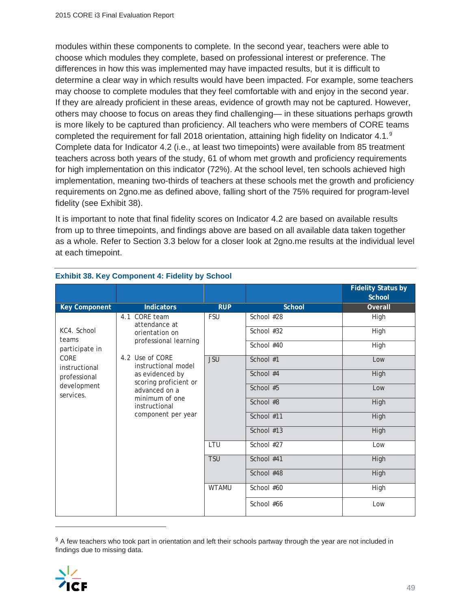modules within these components to complete. In the second year, teachers were able to choose which modules they complete, based on professional interest or preference. The differences in how this was implemented may have impacted results, but it is difficult to determine a clear way in which results would have been impacted. For example, some teachers may choose to complete modules that they feel comfortable with and enjoy in the second year. If they are already proficient in these areas, evidence of growth may not be captured. However, others may choose to focus on areas they find challenging— in these situations perhaps growth is more likely to be captured than proficiency. All teachers who were members of CORE teams completed the requirement for fall 2018 orientation, attaining high fidelity on Indicator 4.1.9 Complete data for Indicator 4.2 (i.e., at least two timepoints) were available from 85 treatment teachers across both years of the study, 61 of whom met growth and proficiency requirements for high implementation on this indicator (72%). At the school level, ten schools achieved high implementation, meaning two-thirds of teachers at these schools met the growth and proficiency requirements on 2gno.me as defined above, falling short of the 75% required for program-level fidelity (see Exhibit 38).

It is important to note that final fidelity scores on Indicator 4.2 are based on available results from up to three timepoints, and findings above are based on all available data taken together as a whole. Refer to Section 3.3 below for a closer look at 2gno.me results at the individual level at each timepoint.

|                          |                                                                             |              |               | <b>Fidelity Status by</b><br>School |
|--------------------------|-----------------------------------------------------------------------------|--------------|---------------|-------------------------------------|
| <b>Key Component</b>     | <b>Indicators</b>                                                           | <b>RUP</b>   | <b>School</b> | Overall                             |
|                          | 4.1 CORE team<br>attendance at                                              | <b>FSU</b>   | School #28    | High                                |
| KC4. School<br>teams     | orientation on<br>professional learning                                     |              | School #32    | High                                |
| participate in           |                                                                             |              | School #40    | High                                |
| CORE<br>instructional    | 4.2 Use of CORE<br>instructional model                                      | <b>JSU</b>   | School #1     | Low                                 |
| professional             | as evidenced by<br>scoring proficient or<br>advanced on a<br>minimum of one |              | School #4     | High                                |
| development<br>services. |                                                                             |              | School #5     | Low                                 |
|                          | instructional                                                               |              | School #8     | High                                |
|                          | component per year                                                          |              | School #11    | High                                |
|                          |                                                                             |              | School #13    | High                                |
|                          |                                                                             | LTU          | School #27    | Low                                 |
|                          |                                                                             | <b>TSU</b>   | School #41    | High                                |
|                          |                                                                             |              | School #48    | High                                |
|                          |                                                                             | <b>WTAMU</b> | School #60    | High                                |
|                          |                                                                             |              | School #66    | Low                                 |

#### **Exhibit 38. Key Component 4: Fidelity by School**

<sup>&</sup>lt;sup>9</sup> A few teachers who took part in orientation and left their schools partway through the year are not included in findings due to missing data.

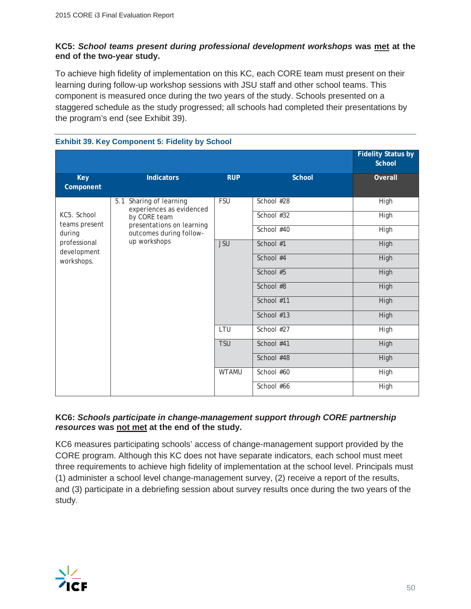#### **KC5:** *School teams present during professional development workshops* **was met at the end of the two-year study.**

To achieve high fidelity of implementation on this KC, each CORE team must present on their learning during follow-up workshop sessions with JSU staff and other school teams. This component is measured once during the two years of the study. Schools presented on a staggered schedule as the study progressed; all schools had completed their presentations by the program's end (see Exhibit 39).

|                             | <b>EXIMPLE 39. Ney Component 3. Figure by School</b> |              |               |                                            |
|-----------------------------|------------------------------------------------------|--------------|---------------|--------------------------------------------|
|                             |                                                      |              |               | <b>Fidelity Status by</b><br><b>School</b> |
| <b>Key</b><br>Component     | <b>Indicators</b>                                    | <b>RUP</b>   | <b>School</b> | Overall                                    |
|                             | 5.1 Sharing of learning<br>experiences as evidenced  | <b>FSU</b>   | School #28    | High                                       |
| KC5. School                 | by CORE team                                         |              | School #32    | High                                       |
| teams present<br>during     | presentations on learning<br>outcomes during follow- |              | School #40    | High                                       |
| professional<br>development | up workshops                                         | <b>JSU</b>   | School #1     | <b>High</b>                                |
| workshops.                  |                                                      |              | School #4     | High                                       |
|                             |                                                      |              | School #5     | High                                       |
|                             |                                                      |              | School #8     | <b>High</b>                                |
|                             |                                                      |              | School #11    | High                                       |
|                             |                                                      |              | School #13    | High                                       |
|                             |                                                      | LTU          | School #27    | High                                       |
|                             |                                                      | <b>TSU</b>   | School #41    | High                                       |
|                             |                                                      |              | School #48    | High                                       |
|                             |                                                      | <b>WTAMU</b> | School #60    | High                                       |
|                             |                                                      |              | School #66    | High                                       |

#### **Exhibit 39. Key Component 5: Fidelity by School**

#### **KC6:** *Schools participate in change-management support through CORE partnership resources* **was not met at the end of the study.**

KC6 measures participating schools' access of change-management support provided by the CORE program. Although this KC does not have separate indicators, each school must meet three requirements to achieve high fidelity of implementation at the school level. Principals must (1) administer a school level change-management survey, (2) receive a report of the results, and (3) participate in a debriefing session about survey results once during the two years of the study*.*

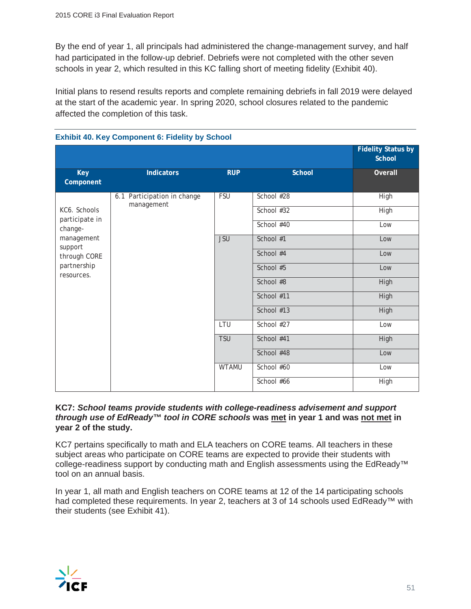By the end of year 1, all principals had administered the change-management survey, and half had participated in the follow-up debrief. Debriefs were not completed with the other seven schools in year 2, which resulted in this KC falling short of meeting fidelity (Exhibit 40).

Initial plans to resend results reports and complete remaining debriefs in fall 2019 were delayed at the start of the academic year. In spring 2020, school closures related to the pandemic affected the completion of this task.

|                           |                                           |              |               | <b>Fidelity Status by</b><br><b>School</b> |
|---------------------------|-------------------------------------------|--------------|---------------|--------------------------------------------|
| <b>Key</b><br>Component   | <b>Indicators</b>                         | <b>RUP</b>   | <b>School</b> | Overall                                    |
|                           | 6.1 Participation in change<br>management | <b>FSU</b>   | School #28    | High                                       |
| KC6. Schools              |                                           |              | School #32    | High                                       |
| participate in<br>change- |                                           |              | School #40    | Low                                        |
| management                | support                                   | <b>JSU</b>   | School #1     | Low                                        |
| through CORE              |                                           |              | School #4     | Low                                        |
| partnership<br>resources. |                                           |              | School #5     | Low                                        |
|                           |                                           |              | School #8     | High                                       |
|                           |                                           |              | School #11    | High                                       |
|                           |                                           |              | School #13    | <b>High</b>                                |
|                           |                                           | LTU          | School #27    | Low                                        |
|                           |                                           | <b>TSU</b>   | School #41    | High                                       |
|                           |                                           |              | School #48    | Low                                        |
|                           |                                           | <b>WTAMU</b> | School #60    | Low                                        |
|                           |                                           |              | School #66    | High                                       |

#### **Exhibit 40. Key Component 6: Fidelity by School**

#### **KC7:** *School teams provide students with college-readiness advisement and support through use of EdReady™ tool in CORE schools* **was met in year 1 and was not met in year 2 of the study.**

KC7 pertains specifically to math and ELA teachers on CORE teams. All teachers in these subject areas who participate on CORE teams are expected to provide their students with college-readiness support by conducting math and English assessments using the EdReady<sup>™</sup> tool on an annual basis.

In year 1, all math and English teachers on CORE teams at 12 of the 14 participating schools had completed these requirements. In year 2, teachers at 3 of 14 schools used EdReady<sup>™</sup> with their students (see Exhibit 41).

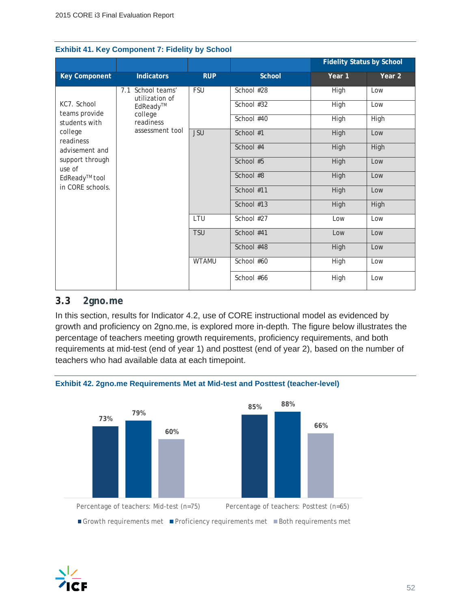|                              |                                     |              |               | <b>Fidelity Status by School</b> |        |
|------------------------------|-------------------------------------|--------------|---------------|----------------------------------|--------|
| <b>Key Component</b>         | <b>Indicators</b>                   | <b>RUP</b>   | <b>School</b> | Year 1                           | Year 2 |
|                              | 7.1 School teams'<br>utilization of | <b>FSU</b>   | School #28    | High                             | Low    |
| KC7. School<br>teams provide | EdReady™                            |              | School #32    | High                             | Low    |
| students with                | college<br>readiness                |              | School #40    | High                             | High   |
| college<br>readiness         | assessment tool                     | <b>JSU</b>   | School #1     | High                             | Low    |
| advisement and               |                                     |              | School #4     | High                             | High   |
| support through<br>use of    |                                     |              | School #5     | High                             | Low    |
| EdReady <sup>™</sup> tool    |                                     |              | School #8     | High                             | Low    |
| in CORE schools.             |                                     |              | School #11    | High                             | Low    |
|                              |                                     |              | School #13    | High                             | High   |
|                              |                                     | LTU          | School #27    | Low                              | Low    |
|                              |                                     | <b>TSU</b>   | School #41    | Low                              | Low    |
|                              |                                     |              | School #48    | High                             | Low    |
|                              |                                     | <b>WTAMU</b> | School #60    | High                             | Low    |
|                              |                                     |              | School #66    | High                             | Low    |

#### **Exhibit 41. Key Component 7: Fidelity by School**

#### **3.3 2gno.me**

In this section, results for Indicator 4.2, use of CORE instructional model as evidenced by growth and proficiency on 2gno.me, is explored more in-depth. The figure below illustrates the percentage of teachers meeting growth requirements, proficiency requirements, and both requirements at mid-test (end of year 1) and posttest (end of year 2), based on the number of teachers who had available data at each timepoint.



**Exhibit 42. 2gno.me Requirements Met at Mid-test and Posttest (teacher-level)**

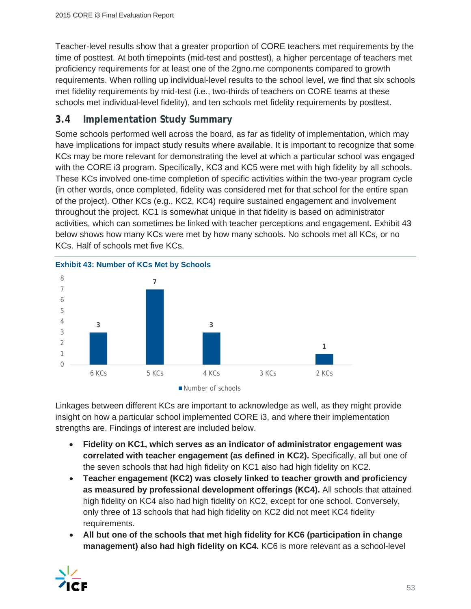Teacher-level results show that a greater proportion of CORE teachers met requirements by the time of posttest. At both timepoints (mid-test and posttest), a higher percentage of teachers met proficiency requirements for at least one of the 2gno.me components compared to growth requirements. When rolling up individual-level results to the school level, we find that six schools met fidelity requirements by mid-test (i.e., two-thirds of teachers on CORE teams at these schools met individual-level fidelity), and ten schools met fidelity requirements by posttest.

#### **3.4 Implementation Study Summary**

Some schools performed well across the board, as far as fidelity of implementation, which may have implications for impact study results where available. It is important to recognize that some KCs may be more relevant for demonstrating the level at which a particular school was engaged with the CORE i3 program. Specifically, KC3 and KC5 were met with high fidelity by all schools. These KCs involved one-time completion of specific activities within the two-year program cycle (in other words, once completed, fidelity was considered met for that school for the entire span of the project). Other KCs (e.g., KC2, KC4) require sustained engagement and involvement throughout the project. KC1 is somewhat unique in that fidelity is based on administrator activities, which can sometimes be linked with teacher perceptions and engagement. Exhibit 43 below shows how many KCs were met by how many schools. No schools met all KCs, or no KCs. Half of schools met five KCs.



Linkages between different KCs are important to acknowledge as well, as they might provide insight on how a particular school implemented CORE i3, and where their implementation strengths are. Findings of interest are included below.

- x **Fidelity on KC1, which serves as an indicator of administrator engagement was correlated with teacher engagement (as defined in KC2).** Specifically, all but one of the seven schools that had high fidelity on KC1 also had high fidelity on KC2.
- **EXECTE:** Teacher engagement (KC2) was closely linked to teacher growth and proficiency **as measured by professional development offerings (KC4).** All schools that attained high fidelity on KC4 also had high fidelity on KC2, except for one school. Conversely, only three of 13 schools that had high fidelity on KC2 did not meet KC4 fidelity requirements.
- All but one of the schools that met high fidelity for KC6 (participation in change **management) also had high fidelity on KC4.** KC6 is more relevant as a school-level

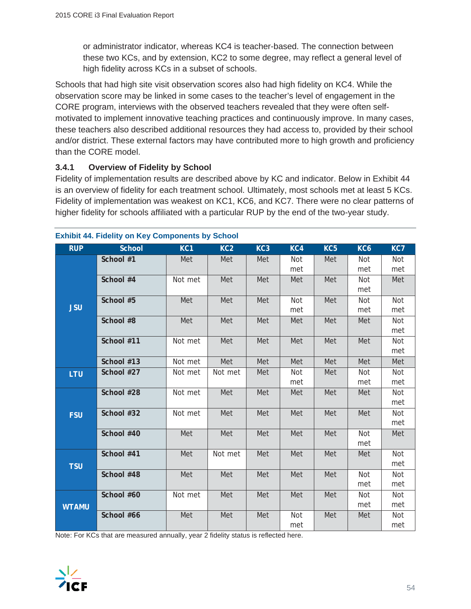or administrator indicator, whereas KC4 is teacher-based. The connection between these two KCs, and by extension, KC2 to some degree, may reflect a general level of high fidelity across KCs in a subset of schools.

Schools that had high site visit observation scores also had high fidelity on KC4. While the observation score may be linked in some cases to the teacher's level of engagement in the CORE program, interviews with the observed teachers revealed that they were often selfmotivated to implement innovative teaching practices and continuously improve. In many cases, these teachers also described additional resources they had access to, provided by their school and/or district. These external factors may have contributed more to high growth and proficiency than the CORE model.

#### **3.4.1 Overview of Fidelity by School**

Fidelity of implementation results are described above by KC and indicator. Below in Exhibit 44 is an overview of fidelity for each treatment school. Ultimately, most schools met at least 5 KCs. Fidelity of implementation was weakest on KC1, KC6, and KC7. There were no clear patterns of higher fidelity for schools affiliated with a particular RUP by the end of the two-year study.

| <b>RUP</b>   | <b>School</b> | KC <sub>1</sub> | KC <sub>2</sub> | KC <sub>3</sub> | KC4 | KC <sub>5</sub> | KC <sub>6</sub> | KC7 |
|--------------|---------------|-----------------|-----------------|-----------------|-----|-----------------|-----------------|-----|
|              | School #1     | Met             | Met             | Met             | Not | Met             | Not             | Not |
|              |               |                 |                 |                 | met |                 | met             | met |
|              | School #4     | Not met         | Met             | Met             | Met | Met             | Not             | Met |
|              |               |                 |                 |                 |     |                 | met             |     |
|              | School #5     | Met             | Met             | Met             | Not | Met             | Not             | Not |
| <b>JSU</b>   |               |                 |                 |                 | met |                 | met             | met |
|              | School #8     | Met             | Met             | Met             | Met | Met             | Met             | Not |
|              |               |                 |                 |                 |     |                 |                 | met |
|              | School #11    | Not met         | Met             | Met             | Met | Met             | Met             | Not |
|              |               |                 |                 |                 |     |                 |                 | met |
|              | School #13    | Not met         | Met             | Met             | Met | Met             | Met             | Met |
| LTU          | School #27    | Not met         | Not met         | Met             | Not | Met             | Not             | Not |
|              |               |                 |                 |                 | met |                 | met             | met |
|              | School #28    | Not met         | Met             | Met             | Met | Met             | Met             | Not |
|              |               |                 |                 |                 |     |                 |                 | met |
| <b>FSU</b>   | School #32    | Not met         | Met             | Met             | Met | Met             | Met             | Not |
|              |               |                 |                 |                 |     |                 |                 | met |
|              | School #40    | Met             | Met             | Met             | Met | Met             | Not             | Met |
|              |               |                 |                 |                 |     |                 | met             |     |
|              | School #41    | Met             | Not met         | Met             | Met | Met             | Met             | Not |
| <b>TSU</b>   |               |                 |                 |                 |     |                 |                 | met |
|              | School #48    | Met             | Met             | Met             | Met | Met             | Not             | Not |
|              | School #60    |                 |                 |                 |     |                 | met             | met |
|              |               | Not met         | Met             | Met             | Met | Met             | Not             | Not |
| <b>WTAMU</b> |               |                 |                 |                 |     |                 | met             | met |
|              | School #66    | Met             | Met             | Met             | Not | Met             | Met             | Not |
|              |               |                 |                 |                 | met |                 |                 | met |

#### **Exhibit 44. Fidelity on Key Components by School**

Note: For KCs that are measured annually, year 2 fidelity status is reflected here.

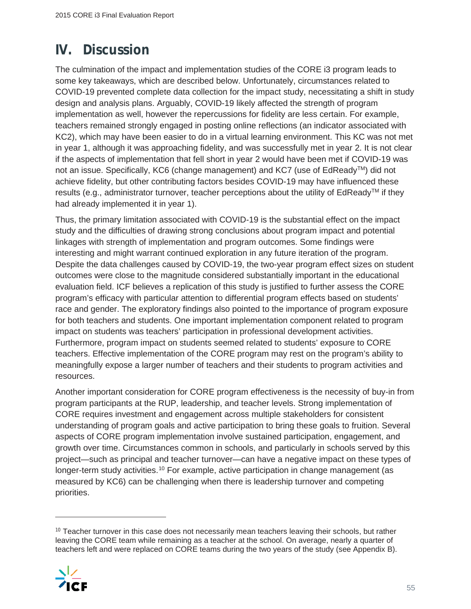# **IV. Discussion**

The culmination of the impact and implementation studies of the CORE i3 program leads to some key takeaways, which are described below. Unfortunately, circumstances related to COVID-19 prevented complete data collection for the impact study, necessitating a shift in study design and analysis plans. Arguably, COVID-19 likely affected the strength of program implementation as well, however the repercussions for fidelity are less certain. For example, teachers remained strongly engaged in posting online reflections (an indicator associated with KC2), which may have been easier to do in a virtual learning environment. This KC was not met in year 1, although it was approaching fidelity, and was successfully met in year 2. It is not clear if the aspects of implementation that fell short in year 2 would have been met if COVID-19 was not an issue. Specifically, KC6 (change management) and KC7 (use of EdReady<sup>™</sup>) did not achieve fidelity, but other contributing factors besides COVID-19 may have influenced these results (e.g., administrator turnover, teacher perceptions about the utility of  $EdReady<sup>TM</sup>$  if they had already implemented it in year 1).

Thus, the primary limitation associated with COVID-19 is the substantial effect on the impact study and the difficulties of drawing strong conclusions about program impact and potential linkages with strength of implementation and program outcomes. Some findings were interesting and might warrant continued exploration in any future iteration of the program. Despite the data challenges caused by COVID-19, the two-year program effect sizes on student outcomes were close to the magnitude considered substantially important in the educational evaluation field. ICF believes a replication of this study is justified to further assess the CORE program's efficacy with particular attention to differential program effects based on students' race and gender. The exploratory findings also pointed to the importance of program exposure for both teachers and students. One important implementation component related to program impact on students was teachers' participation in professional development activities. Furthermore, program impact on students seemed related to students' exposure to CORE teachers. Effective implementation of the CORE program may rest on the program's ability to meaningfully expose a larger number of teachers and their students to program activities and resources.

Another important consideration for CORE program effectiveness is the necessity of buy-in from program participants at the RUP, leadership, and teacher levels. Strong implementation of CORE requires investment and engagement across multiple stakeholders for consistent understanding of program goals and active participation to bring these goals to fruition. Several aspects of CORE program implementation involve sustained participation, engagement, and growth over time. Circumstances common in schools, and particularly in schools served by this project—such as principal and teacher turnover—can have a negative impact on these types of longer-term study activities.<sup>10</sup> For example, active participation in change management (as measured by KC6) can be challenging when there is leadership turnover and competing priorities.

 $10$  Teacher turnover in this case does not necessarily mean teachers leaving their schools, but rather leaving the CORE team while remaining as a teacher at the school. On average, nearly a quarter of teachers left and were replaced on CORE teams during the two years of the study (see Appendix B).

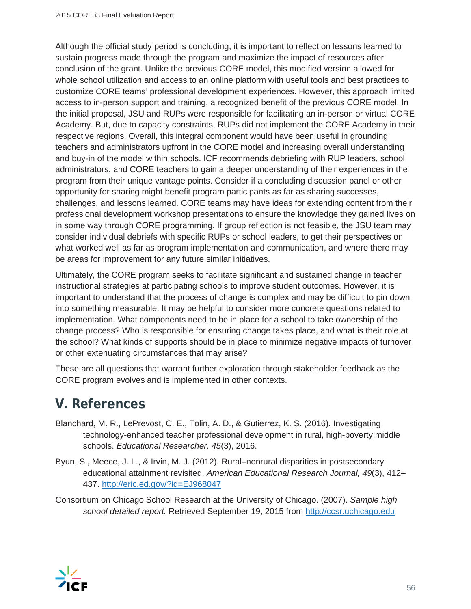Although the official study period is concluding, it is important to reflect on lessons learned to sustain progress made through the program and maximize the impact of resources after conclusion of the grant. Unlike the previous CORE model, this modified version allowed for whole school utilization and access to an online platform with useful tools and best practices to customize CORE teams' professional development experiences. However, this approach limited access to in-person support and training, a recognized benefit of the previous CORE model. In the initial proposal, JSU and RUPs were responsible for facilitating an in-person or virtual CORE Academy. But, due to capacity constraints, RUPs did not implement the CORE Academy in their respective regions. Overall, this integral component would have been useful in grounding teachers and administrators upfront in the CORE model and increasing overall understanding and buy-in of the model within schools. ICF recommends debriefing with RUP leaders, school administrators, and CORE teachers to gain a deeper understanding of their experiences in the program from their unique vantage points. Consider if a concluding discussion panel or other opportunity for sharing might benefit program participants as far as sharing successes, challenges, and lessons learned. CORE teams may have ideas for extending content from their professional development workshop presentations to ensure the knowledge they gained lives on in some way through CORE programming. If group reflection is not feasible, the JSU team may consider individual debriefs with specific RUPs or school leaders, to get their perspectives on what worked well as far as program implementation and communication, and where there may be areas for improvement for any future similar initiatives.

Ultimately, the CORE program seeks to facilitate significant and sustained change in teacher instructional strategies at participating schools to improve student outcomes. However, it is important to understand that the process of change is complex and may be difficult to pin down into something measurable. It may be helpful to consider more concrete questions related to implementation. What components need to be in place for a school to take ownership of the change process? Who is responsible for ensuring change takes place, and what is their role at the school? What kinds of supports should be in place to minimize negative impacts of turnover or other extenuating circumstances that may arise?

These are all questions that warrant further exploration through stakeholder feedback as the CORE program evolves and is implemented in other contexts.

# **V. References**

- Blanchard, M. R., LePrevost, C. E., Tolin, A. D., & Gutierrez, K. S. (2016). Investigating technology-enhanced teacher professional development in rural, high-poverty middle schools. *Educational Researcher, 45*(3), 2016.
- Byun, S., Meece, J. L., & Irvin, M. J. (2012). Rural–nonrural disparities in postsecondary educational attainment revisited. *American Educational Research Journal, 49*(3), 412– 437. http://eric.ed.gov/?id=EJ968047
- Consortium on Chicago School Research at the University of Chicago. (2007). *Sample high school detailed report.* Retrieved September 19, 2015 from http://ccsr.uchicago.edu

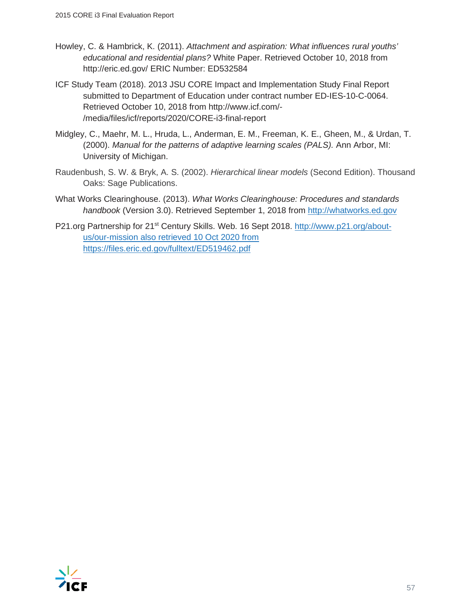- Howley, C. & Hambrick, K. (2011). *Attachment and aspiration: What influences rural youths' educational and residential plans?* White Paper. Retrieved October 10, 2018 from http://eric.ed.gov/ ERIC Number: ED532584
- ICF Study Team (2018). 2013 JSU CORE Impact and Implementation Study Final Report submitted to Department of Education under contract number ED-IES-10-C-0064. Retrieved October 10, 2018 from http://www.icf.com/- /media/files/icf/reports/2020/CORE-i3-final-report
- Midgley, C., Maehr, M. L., Hruda, L., Anderman, E. M., Freeman, K. E., Gheen, M., & Urdan, T. (2000). *Manual for the patterns of adaptive learning scales (PALS).* Ann Arbor, MI: University of Michigan.
- Raudenbush, S. W. & Bryk, A. S. (2002). *Hierarchical linear models* (Second Edition). Thousand Oaks: Sage Publications.
- What Works Clearinghouse. (2013). *What Works Clearinghouse: Procedures and standards handbook* (Version 3.0). Retrieved September 1, 2018 from http://whatworks.ed.gov
- P21.org Partnership for 21<sup>st</sup> Century Skills. Web. 16 Sept 2018. http://www.p21.org/aboutus/our-mission also retrieved 10 Oct 2020 from https://files.eric.ed.gov/fulltext/ED519462.pdf

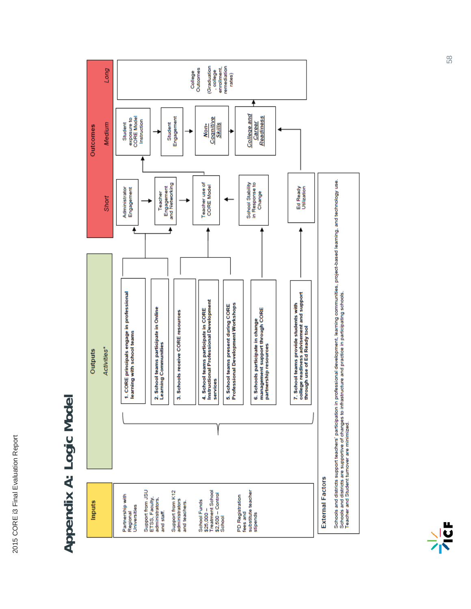# Appendix A: Logic Model **Appendix A: Logic Model**



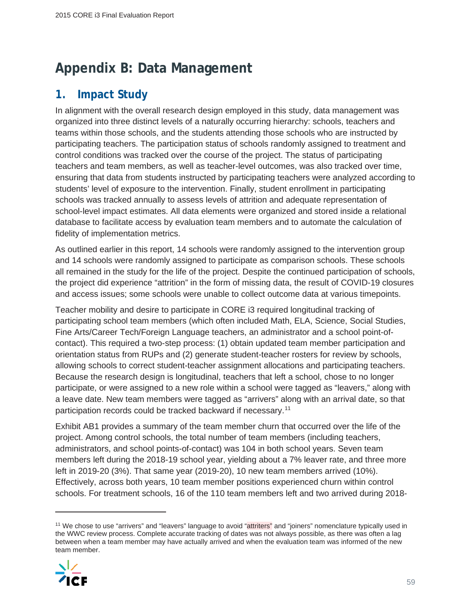# **Appendix B: Data Management**

### **1. Impact Study**

In alignment with the overall research design employed in this study, data management was organized into three distinct levels of a naturally occurring hierarchy: schools, teachers and teams within those schools, and the students attending those schools who are instructed by participating teachers. The participation status of schools randomly assigned to treatment and control conditions was tracked over the course of the project. The status of participating teachers and team members, as well as teacher-level outcomes, was also tracked over time, ensuring that data from students instructed by participating teachers were analyzed according to students' level of exposure to the intervention. Finally, student enrollment in participating schools was tracked annually to assess levels of attrition and adequate representation of school-level impact estimates. All data elements were organized and stored inside a relational database to facilitate access by evaluation team members and to automate the calculation of fidelity of implementation metrics.

As outlined earlier in this report, 14 schools were randomly assigned to the intervention group and 14 schools were randomly assigned to participate as comparison schools. These schools all remained in the study for the life of the project. Despite the continued participation of schools, the project did experience "attrition" in the form of missing data, the result of COVID-19 closures and access issues; some schools were unable to collect outcome data at various timepoints.

Teacher mobility and desire to participate in CORE i3 required longitudinal tracking of participating school team members (which often included Math, ELA, Science, Social Studies, Fine Arts/Career Tech/Foreign Language teachers, an administrator and a school point-ofcontact). This required a two-step process: (1) obtain updated team member participation and orientation status from RUPs and (2) generate student-teacher rosters for review by schools, allowing schools to correct student-teacher assignment allocations and participating teachers. Because the research design is longitudinal, teachers that left a school, chose to no longer participate, or were assigned to a new role within a school were tagged as "leavers," along with a leave date. New team members were tagged as "arrivers" along with an arrival date, so that participation records could be tracked backward if necessary.11

Exhibit AB1 provides a summary of the team member churn that occurred over the life of the project. Among control schools, the total number of team members (including teachers, administrators, and school points-of-contact) was 104 in both school years. Seven team members left during the 2018-19 school year, yielding about a 7% leaver rate, and three more left in 2019-20 (3%). That same year (2019-20), 10 new team members arrived (10%). Effectively, across both years, 10 team member positions experienced churn within control schools. For treatment schools, 16 of the 110 team members left and two arrived during 2018-

<sup>&</sup>lt;sup>11</sup> We chose to use "arrivers" and "leavers" language to avoid "attriters" and "ioiners" nomenclature typically used in the WWC review process. Complete accurate tracking of dates was not always possible, as there was often a lag between when a team member may have actually arrived and when the evaluation team was informed of the new team member.

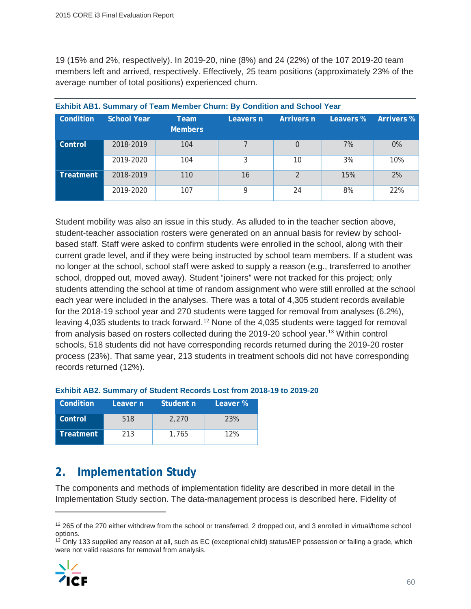19 (15% and 2%, respectively). In 2019-20, nine (8%) and 24 (22%) of the 107 2019-20 team members left and arrived, respectively. Effectively, 25 team positions (approximately 23% of the average number of total positions) experienced churn.

| Condition        | School Year | Team<br><b>Members</b> | Leavers n | Arrivers n    | Leavers % | <b>Arrivers %</b> |
|------------------|-------------|------------------------|-----------|---------------|-----------|-------------------|
| Control          | 2018-2019   | 104                    |           | $\Omega$      | 7%        | 0%                |
|                  | 2019-2020   | 104                    | 3         | 10            | 3%        | 10%               |
| <b>Treatment</b> | 2018-2019   | 110                    | 16        | $\mathcal{P}$ | 15%       | 2%                |
|                  | 2019-2020   | 107                    | a         | 24            | 8%        | 22%               |

**Exhibit AB1. Summary of Team Member Churn: By Condition and School Year**

Student mobility was also an issue in this study. As alluded to in the teacher section above, student-teacher association rosters were generated on an annual basis for review by schoolbased staff. Staff were asked to confirm students were enrolled in the school, along with their current grade level, and if they were being instructed by school team members. If a student was no longer at the school, school staff were asked to supply a reason (e.g., transferred to another school, dropped out, moved away). Student "joiners" were not tracked for this project; only students attending the school at time of random assignment who were still enrolled at the school each year were included in the analyses. There was a total of 4,305 student records available for the 2018-19 school year and 270 students were tagged for removal from analyses (6.2%), leaving 4,035 students to track forward.<sup>12</sup> None of the 4,035 students were tagged for removal from analysis based on rosters collected during the 2019-20 school year.<sup>13</sup> Within control schools, 518 students did not have corresponding records returned during the 2019-20 roster process (23%). That same year, 213 students in treatment schools did not have corresponding records returned (12%).

#### **Exhibit AB2. Summary of Student Records Lost from 2018-19 to 2019-20**

| Condition | Leaver n | Student n | Leaver % |
|-----------|----------|-----------|----------|
| Control   | 518      | 2.270     | 23%      |
| Treatment | 213      | 1,765     | 12%      |

# **2. Implementation Study**

The components and methods of implementation fidelity are described in more detail in the Implementation Study section. The data-management process is described here. Fidelity of

 $13$  Only 133 supplied any reason at all, such as EC (exceptional child) status/IEP possession or failing a grade, which were not valid reasons for removal from analysis.



<sup>&</sup>lt;sup>12</sup> 265 of the 270 either withdrew from the school or transferred, 2 dropped out, and 3 enrolled in virtual/home school options.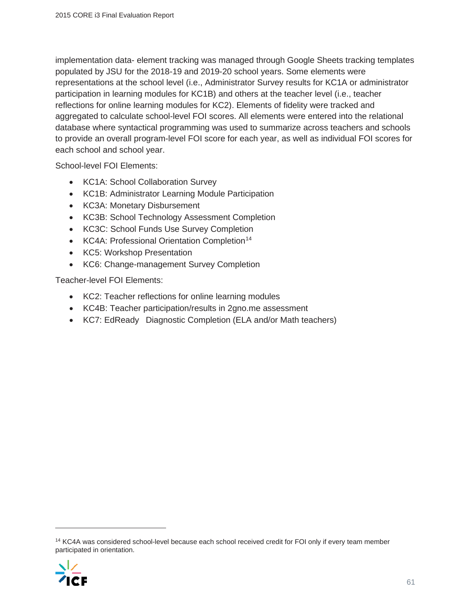implementation data- element tracking was managed through Google Sheets tracking templates populated by JSU for the 2018-19 and 2019-20 school years. Some elements were representations at the school level (i.e., Administrator Survey results for KC1A or administrator participation in learning modules for KC1B) and others at the teacher level (i.e., teacher reflections for online learning modules for KC2). Elements of fidelity were tracked and aggregated to calculate school-level FOI scores. All elements were entered into the relational database where syntactical programming was used to summarize across teachers and schools to provide an overall program-level FOI score for each year, as well as individual FOI scores for each school and school year.

School-level FOI Elements:

- KC1A: School Collaboration Survey
- KC1B: Administrator Learning Module Participation
- KC3A: Monetary Disbursement
- KC3B: School Technology Assessment Completion
- KC3C: School Funds Use Survey Completion
- KC4A: Professional Orientation Completion<sup>14</sup>
- KC5: Workshop Presentation
- KC6: Change-management Survey Completion

Teacher-level FOI Elements:

- KC2: Teacher reflections for online learning modules
- KC4B: Teacher participation/results in 2gno.me assessment
- KC7: EdReady Diagnostic Completion (ELA and/or Math teachers)

<sup>&</sup>lt;sup>14</sup> KC4A was considered school-level because each school received credit for FOI only if every team member participated in orientation.

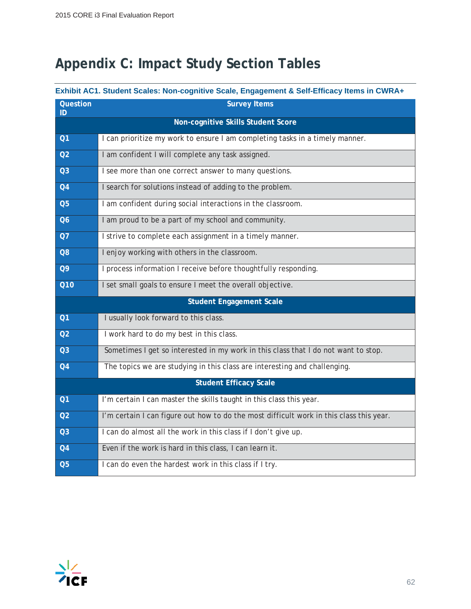# **Appendix C: Impact Study Section Tables**

#### **Exhibit AC1. Student Scales: Non-cognitive Scale, Engagement & Self-Efficacy Items in CWRA+**

| Question<br>ID | <b>Survey Items</b>                                                                     |
|----------------|-----------------------------------------------------------------------------------------|
|                | Non-cognitive Skills Student Score                                                      |
| Q <sub>1</sub> | I can prioritize my work to ensure I am completing tasks in a timely manner.            |
| Q <sub>2</sub> | I am confident I will complete any task assigned.                                       |
| Q <sub>3</sub> | I see more than one correct answer to many questions.                                   |
| Q <sub>4</sub> | I search for solutions instead of adding to the problem.                                |
| Q <sub>5</sub> | I am confident during social interactions in the classroom.                             |
| Q6             | I am proud to be a part of my school and community.                                     |
| Q7             | I strive to complete each assignment in a timely manner.                                |
| Q8             | I enjoy working with others in the classroom.                                           |
| <b>Q9</b>      | I process information I receive before thoughtfully responding.                         |
| <b>Q10</b>     | I set small goals to ensure I meet the overall objective.                               |
|                | <b>Student Engagement Scale</b>                                                         |
| Q <sub>1</sub> | I usually look forward to this class.                                                   |
| Q <sub>2</sub> | I work hard to do my best in this class.                                                |
| Q <sub>3</sub> | Sometimes I get so interested in my work in this class that I do not want to stop.      |
| Q <sub>4</sub> | The topics we are studying in this class are interesting and challenging.               |
|                | <b>Student Efficacy Scale</b>                                                           |
| Q <sub>1</sub> | I'm certain I can master the skills taught in this class this year.                     |
| Q <sub>2</sub> | I'm certain I can figure out how to do the most difficult work in this class this year. |
| Q <sub>3</sub> | I can do almost all the work in this class if I don't give up.                          |
| Q <sub>4</sub> | Even if the work is hard in this class, I can learn it.                                 |
| Q <sub>5</sub> | I can do even the hardest work in this class if I try.                                  |

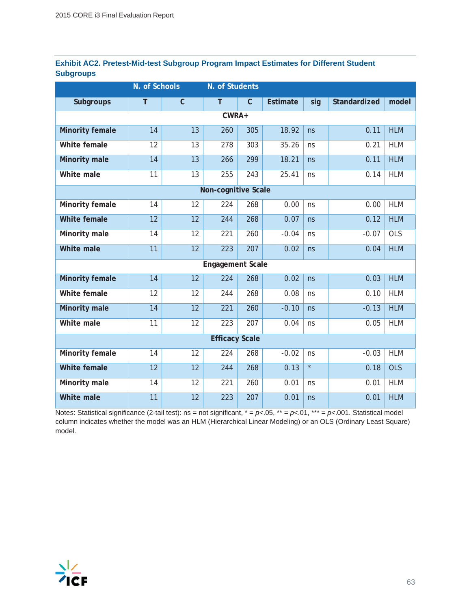|                  | Exhibit AC2. Pretest-Mid-test Subgroup Program Impact Estimates for Different Student |  |  |
|------------------|---------------------------------------------------------------------------------------|--|--|
| <b>Subgroups</b> |                                                                                       |  |  |

|                        | N. of Schools |              | N. of Students          |             |                 |         |              |            |
|------------------------|---------------|--------------|-------------------------|-------------|-----------------|---------|--------------|------------|
| <b>Subgroups</b>       | T             | $\mathsf{C}$ | T                       | $\mathsf C$ | <b>Estimate</b> | sig     | Standardized | model      |
|                        |               |              | CWRA+                   |             |                 |         |              |            |
| <b>Minority female</b> | 14            | 13           | 260                     | 305         | 18.92           | ns      | 0.11         | <b>HLM</b> |
| White female           | 12            | 13           | 278                     | 303         | 35.26           | ns      | 0.21         | <b>HLM</b> |
| <b>Minority male</b>   | 14            | 13           | 266                     | 299         | 18.21           | ns      | 0.11         | <b>HLM</b> |
| White male             | 11            | 13           | 255                     | 243         | 25.41           | ns      | 0.14         | <b>HLM</b> |
|                        |               |              | Non-cognitive Scale     |             |                 |         |              |            |
| Minority female        | 14            | 12           | 224                     | 268         | 0.00            | ns      | 0.00         | <b>HLM</b> |
| <b>White female</b>    | 12            | 12           | 244                     | 268         | 0.07            | ns      | 0.12         | <b>HLM</b> |
| Minority male          | 14            | 12           | 221                     | 260         | $-0.04$         | ns      | $-0.07$      | OLS        |
| White male             | 11            | 12           | 223                     | 207         | 0.02            | ns      | 0.04         | <b>HLM</b> |
|                        |               |              | <b>Engagement Scale</b> |             |                 |         |              |            |
| <b>Minority female</b> | 14            | 12           | 224                     | 268         | 0.02            | ns      | 0.03         | <b>HLM</b> |
| White female           | 12            | 12           | 244                     | 268         | 0.08            | ns      | 0.10         | <b>HLM</b> |
| <b>Minority male</b>   | 14            | 12           | 221                     | 260         | $-0.10$         | ns      | $-0.13$      | <b>HLM</b> |
| White male             | 11            | 12           | 223                     | 207         | 0.04            | ns      | 0.05         | <b>HLM</b> |
|                        |               |              | <b>Efficacy Scale</b>   |             |                 |         |              |            |
| Minority female        | 14            | 12           | 224                     | 268         | $-0.02$         | ns      | $-0.03$      | <b>HLM</b> |
| <b>White female</b>    | 12            | 12           | 244                     | 268         | 0.13            | $\star$ | 0.18         | <b>OLS</b> |
| Minority male          | 14            | 12           | 221                     | 260         | 0.01            | ns      | 0.01         | <b>HLM</b> |
| White male             | 11            | 12           | 223                     | 207         | 0.01            | ns      | 0.01         | <b>HLM</b> |

Notes: Statistical significance (2-tail test): ns = not significant, \* = *p<*.05, \*\* = *p<*.01, \*\*\* = *p<*.001. Statistical model column indicates whether the model was an HLM (Hierarchical Linear Modeling) or an OLS (Ordinary Least Square) model.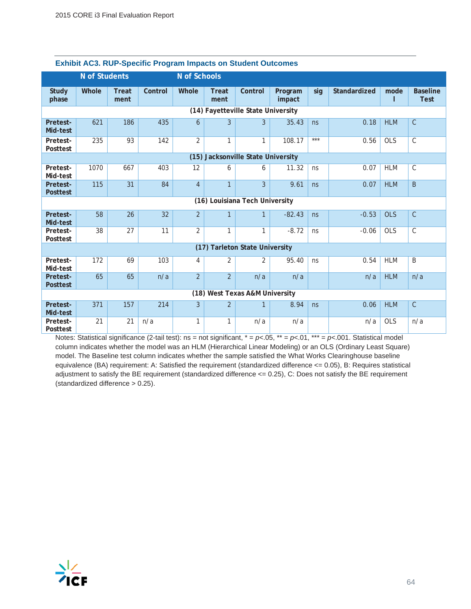|                             | <b>N</b> of Students |                      |         | N of Schools   |                |                                    |                   |       |              |            |                                |
|-----------------------------|----------------------|----------------------|---------|----------------|----------------|------------------------------------|-------------------|-------|--------------|------------|--------------------------------|
| <b>Study</b><br>phase       | Whole                | <b>Treat</b><br>ment | Control | Whole          | Treat<br>ment  | Control                            | Program<br>impact | sig   | Standardized | mode       | <b>Baseline</b><br><b>Test</b> |
|                             |                      |                      |         |                |                | (14) Fayetteville State University |                   |       |              |            |                                |
| Pretest-<br>Mid-test        | 621                  | 186                  | 435     | 6              | 3              | 3                                  | 35.43             | ns    | 0.18         | <b>HLM</b> | $\overline{C}$                 |
| Pretest-<br>Posttest        | 235                  | 93                   | 142     | $\overline{2}$ | 1              | $\mathbf{1}$                       | 108.17            | $***$ | 0.56         | <b>OLS</b> | $\overline{C}$                 |
|                             |                      |                      |         |                |                | (15) Jacksonville State University |                   |       |              |            |                                |
| Pretest-<br>Mid-test        | 1070                 | 667                  | 403     | 12             | 6              | 6                                  | 11.32             | ns    | 0.07         | <b>HLM</b> | $\mathsf{C}$                   |
| Pretest-<br><b>Posttest</b> | 115                  | 31                   | 84      | $\overline{4}$ | $\mathbf{1}$   | 3                                  | 9.61              | ns    | 0.07         | <b>HLM</b> | B                              |
|                             |                      |                      |         |                |                | (16) Louisiana Tech University     |                   |       |              |            |                                |
| Pretest-<br>Mid-test        | 58                   | 26                   | 32      | $\overline{2}$ | $\mathbf{1}$   | $\mathbf{1}$                       | $-82.43$          | ns    | $-0.53$      | <b>OLS</b> | $\overline{C}$                 |
| Pretest-<br>Posttest        | 38                   | 27                   | 11      | $\overline{2}$ | 1              | $\mathbf{1}$                       | $-8.72$           | ns    | $-0.06$      | <b>OLS</b> | C                              |
|                             |                      |                      |         |                |                | (17) Tarleton State University     |                   |       |              |            |                                |
| Pretest-<br>Mid-test        | 172                  | 69                   | 103     | 4              | 2              | $\overline{2}$                     | 95.40             | ns    | 0.54         | <b>HLM</b> | B                              |
| Pretest-<br><b>Posttest</b> | 65                   | 65                   | n/a     | $\overline{2}$ | $\overline{2}$ | n/a                                | n/a               |       | n/a          | <b>HLM</b> | n/a                            |
|                             |                      |                      |         |                |                | (18) West Texas A&M University     |                   |       |              |            |                                |
| Pretest-<br>Mid-test        | 371                  | 157                  | 214     | $\overline{3}$ | $\overline{2}$ | $\mathbf{1}$                       | 8.94              | ns    | 0.06         | <b>HLM</b> | $\overline{C}$                 |
| Pretest-<br>Posttest        | 21                   | 21                   | n/a     | 1              | 1              | n/a                                | n/a               |       | n/a          | <b>OLS</b> | n/a                            |

#### **Exhibit AC3. RUP-Specific Program Impacts on Student Outcomes**

Notes: Statistical significance (2-tail test): ns = not significant, \* = *p<*.05, \*\* = *p<*.01, \*\*\* = *p<*.001. Statistical model column indicates whether the model was an HLM (Hierarchical Linear Modeling) or an OLS (Ordinary Least Square) model. The Baseline test column indicates whether the sample satisfied the What Works Clearinghouse baseline equivalence (BA) requirement: A: Satisfied the requirement (standardized difference <= 0.05), B: Requires statistical adjustment to satisfy the BE requirement (standardized difference <= 0.25), C: Does not satisfy the BE requirement (standardized difference > 0.25).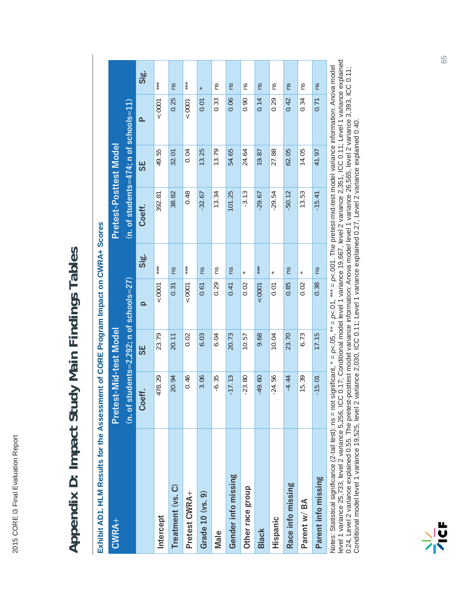# Appendix D: Impact Study Main Findings Tables **Appendix D: Impact Study Main Findings Tables**

| $\frac{1}{2}$                         |
|---------------------------------------|
| $\frac{1}{2}$                         |
| i<br>Danim Links<br>Company Links     |
|                                       |
| $\frac{1}{\sqrt{2}}$<br>$\frac{1}{2}$ |
| שוופכ <del>ט</del> פי                 |
|                                       |
|                                       |
| i<br>Elizabeth<br>C                   |
| ú                                     |

|                                                                                                                                                                                                                                | 5<br>5<br>5<br>5<br>5                     | <br> <br> <br> |          |        |                                         |       |           |              |
|--------------------------------------------------------------------------------------------------------------------------------------------------------------------------------------------------------------------------------|-------------------------------------------|----------------|----------|--------|-----------------------------------------|-------|-----------|--------------|
| CWRA+                                                                                                                                                                                                                          | Pretest-Mid-test Model                    |                |          |        | Pretest-Posttest Model                  |       |           |              |
|                                                                                                                                                                                                                                | $(n. of students=2,292; n of schools=27)$ |                |          |        | $(n.$ of students=474; n of schools=11) |       |           |              |
|                                                                                                                                                                                                                                | eff.<br>ပိ                                | 5S             | $\Omega$ | Sig.   | Coeff.                                  | 55    | <u>a.</u> | $rac{1}{56}$ |
| Intercept                                                                                                                                                                                                                      | 478.29                                    | 23.79          | 0001     | ***    | 392.81                                  | 49.55 | 10001     | ***          |
| Treatment (vs. C)                                                                                                                                                                                                              | 20.94                                     | 20.11          | 0.31     | ns     | 38.82                                   | 32.01 | 0.25      | Su           |
| Pretest CWRA+                                                                                                                                                                                                                  | 0.46                                      | 0.02           | 0001     | $***$  | 0.48                                    | 0.04  | 10001     | $***$        |
| Grade 10 (vs. 9)                                                                                                                                                                                                               | 3.06                                      | 6.03           | 0.61     | Su     | $-32.67$                                | 13.25 | 0.01      | ×            |
| Male                                                                                                                                                                                                                           | $-6.35$                                   | 6.04           | 0.29     | m      | 13.34                                   | 13.79 | 0.33      | ns           |
| Gender info missing                                                                                                                                                                                                            | $-17.13$                                  | 20.73          | 0.41     | Su     | 101.25                                  | 54.65 | 0.06      | Su           |
| Other race group                                                                                                                                                                                                               | $-23.80$                                  | 10.57          | 0.02     |        | $-3.13$                                 | 24.64 | 0.90      | SU           |
| <b>Black</b>                                                                                                                                                                                                                   | $-49.60$                                  | 9.68           | 0001     | $***$  | $-29.67$                                | 19.87 | 0.14      | Su           |
| Hispanic                                                                                                                                                                                                                       | $-24.56$                                  | 10.04          | 0.01     | $\ast$ | $-29.54$                                | 27.88 | 0.29      | Su           |
| Race info missing                                                                                                                                                                                                              | $-4.44$                                   | 23.70          | 0.85     | SU     | $-50.12$                                | 62.05 | 0.42      | Su           |
| Parent w/BA                                                                                                                                                                                                                    | 15.39                                     | 6.73           | 0.02     |        | 13.53                                   | 14.05 | 0.34      | m            |
| Parent info missing                                                                                                                                                                                                            | $-15.01$                                  | 17.15          | 0.38     | Su     | $-15.41$                                | 41.97 | 0.71      | SU           |
| Notee: Statistical significance (2.tail test): ns = not significant * = n< 05 * = n< 05 *** = n< 06 *** = n< 06 *** = n< 06 *** = n< 06 *** = n< 06 *** = n< 06 *** = n< 06 *** = n< 06 *** = n< 06 *** = n< 06 *** = n< 06 ** |                                           |                |          |        |                                         |       |           |              |

level 1 variance 25,733, level 2 variance 5,256, ICC 0.17; Conditional model level 1 variance 19,667, level 2 variance 2,351, ICC 0.11; Level 1 variance explained nvores: Statistical signincance (z-tali test): ns = not signincant, ¨ = ρ<.∪1, ¨ ¨ = ρ<.∪1, ¨ ¨ = ρ<.∪00. . Ine pretest-mid-test model variance information: Anova model<br>level 1 variance 25,733, level 2 variance 5,256, IC Notes: Statistical significance (2-tail test): ns = not significant, \* = *p<*.05, \*\* = *p<*.01, \*\*\* = *p<*.001. The pretest-mid-test model variance information: Anova model 0.24, Level 2 variance explained 0.55. The pretest-posttest model variance information: Anova model level 1 variance 26,565, level 2 variance 3,393, ICC 0.11;<br>Conditional model level 1 variance 19,525, level 2 variance 2,0 0.24, Level 2 variance explained 0.55. The pretest-posttest model variance information: Anova model level 1 variance 26,565, level 2 variance 3,393, ICC 0.11; Conditional model level 1 variance 19,525, level 2 variance 2,030, ICC 0.11; Level 1 variance explained 0.27, Level 2 variance explained 0.40.

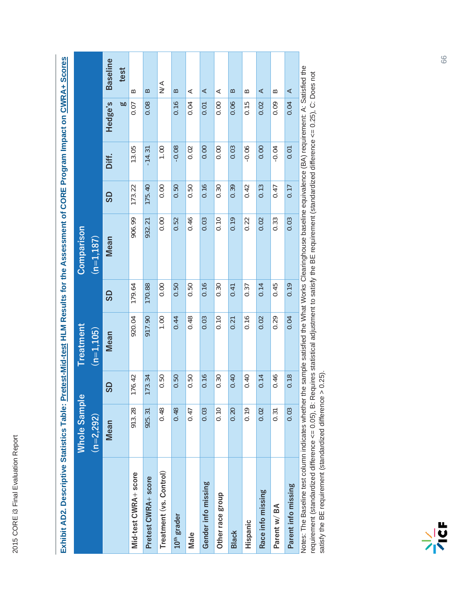2015 CORE i3 Final Evaluation Report 2015 CORE i3 Final Evaluation Report

|                         | <b>Whole Sampl</b> | $\bf \omega$ | <b>Treatment</b> |        | Comparison  |        |          |           |                   |
|-------------------------|--------------------|--------------|------------------|--------|-------------|--------|----------|-----------|-------------------|
|                         | $(n=2,292)$        |              | $(n=1, 105)$     |        | $(n=1,187)$ |        |          |           |                   |
|                         | Mean               | <b>GS</b>    | Mean             | GS     | Mean        | GS     | Diff.    | Hedge's   | <b>Baseline</b>   |
|                         |                    |              |                  |        |             |        |          | <b>bo</b> | test              |
| Mid-test CWRA+ score    | 913.28             | 176.42       | 920.04           | 179.64 | 906.99      | 173.22 | 13.05    | 0.07      | B                 |
| Pretest CWRA+ score     | 925.31             | 173.34       | 917.90           | 170.88 | 932.21      | 175.40 | $-14.31$ | 0.08      | $\approx$         |
| Treatment (vs. Control) | 0.48               | 0.50         | 00.1             | 0.00   | 0.00        | 0.00   | 0.00     |           | $\frac{1}{2}$     |
| 10 <sup>th</sup> grader | 0.48               | 0.50         | 0.44             | 0.50   | 0.52        | 0.50   | $-0.08$  | 0.16      | $\approx$         |
| Male                    | 0.47               | 0.50         | 0.48             | 0.50   | 0.46        | 0.50   | 0.02     | 0.04      | ⋖                 |
| Gender info missing     | 0.03               | 0.16         | 0.03             | 0.16   | 0.03        | 0.16   | 0.00     | 0.01      | ⋖                 |
| Other race group        | 0.10               | 0.30         | 0.10             | 0.30   | 0.10        | 0.30   | 0.00     | 0.00      | ⋖                 |
| Black                   | 0.20               | 0.40         | 0.21             | 0.41   | 0.19        | 0.39   | 0.03     | 0.06      | $\mathbf{\Omega}$ |
| Hispanic                | 0.19               | 0.40         | 0.16             | 0.37   | 0.22        | 0.42   | $-0.06$  | 0.15      | $\approx$         |
| Race info missing       | 0.02               | 0.14         | 0.02             | 0.14   | 0.02        | 0.13   | 0.00     | 0.02      | ⋖                 |
| Parent w/BA             | 0.31               | 0.46         | 0.29             | 0.45   | 0.33        | 0.47   | $-0.04$  | 0.09      | ≃                 |
| Parent info missing     | 0.03               | 0.18         | 0.04             | 0.19   | 0.03        | 0.17   | 0.01     | 0.04      | ⋖                 |
|                         |                    |              |                  |        |             |        |          |           |                   |

Exhibit AD2. Descriptive Statistics Table: Pretest-Mid-test HLM Results for the Assessment of CORE Program Impact on CWRA+ Scores **Exhibit AD2. Descriptive Statistics Table: Pretest-Mid-test HLM Results for the Assessment of CORE Program Impact on CWRA+ Scores**

Notes: The Baseline test column indicates whether the sample satisfied the What Works Clearinghouse baseline equivalence (BA) requirement: A: Satisfied the Notes: The Baseline test column indicates whether the sample satisfied the What Works Clearinghouse baseline equivalence (BA) requirement: A: Satisfied the requirement (standardized difference <= 0.05), B: Requires statistical adjustment to satisfy the BE requirement (standardized difference <= 0.25), C: Does not satisfy the BE requirement (standardized difference > 0.25).

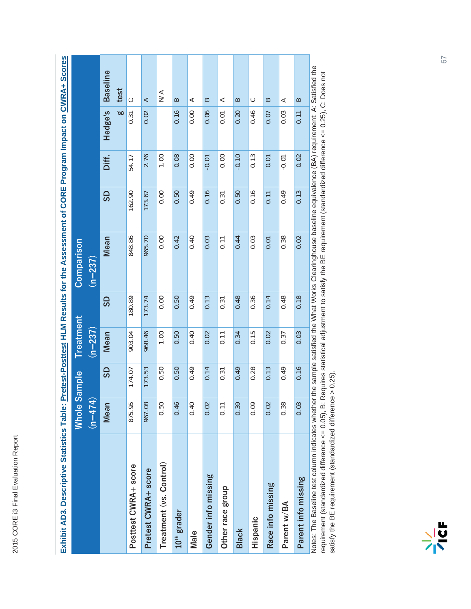| Exhibit AD3. Descriptive Statistics Table:                                                                                                                  |               |           |           |           | Pretest-Posttest HLM Results for the Assessment of CORE Program Impact on CWRA+ Scores |           |         |         |                   |
|-------------------------------------------------------------------------------------------------------------------------------------------------------------|---------------|-----------|-----------|-----------|----------------------------------------------------------------------------------------|-----------|---------|---------|-------------------|
|                                                                                                                                                             | <b>Whole</b>  | Sample    | Treatment |           | Comparison                                                                             |           |         |         |                   |
|                                                                                                                                                             | $( n = 474 )$ |           | $(n=237)$ |           | $(n=237)$                                                                              |           |         |         |                   |
|                                                                                                                                                             | Mean          | <b>GS</b> | Mean      | <b>GS</b> | Mean                                                                                   | <b>QS</b> | Diff.   | Hedge's | <b>Baseline</b>   |
|                                                                                                                                                             |               |           |           |           |                                                                                        |           |         | ೲ       | test              |
| Posttest CWRA+ score                                                                                                                                        | 875.95        | 174.07    | 903.04    | 180.89    | 848.86                                                                                 | 162.90    | 54.17   | 0.31    | $\circ$           |
| Pretest CWRA+ score                                                                                                                                         | 967.08        | 173.53    | 968.46    | 173.74    | 965.70                                                                                 | 173.67    | 2.76    | 0.02    | ⋖                 |
| Treatment (vs. Control)                                                                                                                                     | 0.50          | 0.50      | 0.00      | 0.00      | 0.00                                                                                   | 0.00      | 00.1    |         | $\sum_{i=1}^{n}$  |
| $10th$ grader                                                                                                                                               | 0.46          | 0.50      | 0.50      | 0.50      | 0.42                                                                                   | 0.50      | 0.08    | 0.16    | $\approx$         |
| Male                                                                                                                                                        | 0.40          | 0.49      | 0.40      | 0.49      | 0.40                                                                                   | 0.49      | 0.00    | 0.00    | ⋖                 |
| Gender into missing                                                                                                                                         | 0.02          | 0.14      | 0.02      | 0.13      | 0.03                                                                                   | 0.16      | $-0.01$ | 0.06    | $\approx$         |
| Other race group                                                                                                                                            | 0.11          | 0.31      | 0.11      | 0.31      | 0.11                                                                                   | 0.31      | 0.00    | 0.01    | ⋖                 |
| <b>Black</b>                                                                                                                                                | 0.39          | 0.49      | 0.34      | 0.48      | 0.44                                                                                   | 0.50      | $-0.10$ | 0.20    | $\approx$         |
| Hispanic                                                                                                                                                    | 0.09          | 0.28      | 0.15      | 0.36      | 0.03                                                                                   | 0.16      | 0.13    | 0.46    | ပ                 |
| Race info missing                                                                                                                                           | 0.02          | 0.13      | 0.02      | 0.14      | 0.01                                                                                   | 0.11      | 0.01    | 0.07    | $\mathbf{\Omega}$ |
| Parent w/BA                                                                                                                                                 | 0.38          | 0.49      | 0.37      | 0.48      | 0.38                                                                                   | 0.49      | $-0.01$ | 0.03    | ⋖                 |
| Parent info missing                                                                                                                                         | 0.03          | 0.16      | 0.03      | 0.18      | 0.02                                                                                   | 0.13      | 0.02    | 0.11    | $\approx$         |
| Notes: The Baseline test column indicates whether the sample satisfied the What Works Clearinghouse baseline equivalence (BA) requirement: A: Satisfied the |               |           |           |           |                                                                                        |           |         |         |                   |

2015 CORE i3 Final Evaluation Report

2015 CORE i3 Final Evaluation Report

Notes: The Baseline test column indicates whether the sample satisfied the What Works Clearinghouse baseline equivalence (BA) requirement: A: Satisfied the Notes: The Baseline test column indicates whether the sample satisfied the What Works Clearinghouse baseline equivalence (BA) requirement: A: Satisfied th<br>requirement (standardized difference <= 0.05), B: Requires statist requirement (standardized difference <= 0.05), B: Requires statistical adjustment to satisfy the BE requirement (standardized difference <= 0.25), C: Does not satisfy the BE requirement (standardized difference > 0.25).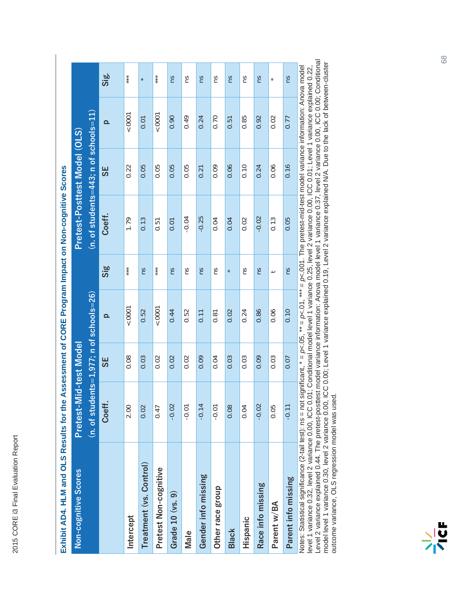| Exhibit AD4. HLM and OLS Results for the Assessment of CORE Program Impact on Non-cognitive Scores |                                           |           |          |                        |                                         |           |          |        |
|----------------------------------------------------------------------------------------------------|-------------------------------------------|-----------|----------|------------------------|-----------------------------------------|-----------|----------|--------|
| Non-cognitive Scores                                                                               | Pretest-Mid-test Model                    |           |          |                        | Pretest-Posttest Model (OLS)            |           |          |        |
|                                                                                                    | $(n. of students=1.977; n of schools=26)$ |           |          |                        | $(n.$ of students=443; n of schools=11) |           |          |        |
|                                                                                                    | Coeff.                                    | <b>SE</b> | $\Omega$ | $\overline{\text{Si}}$ | Coeff.                                  | <b>3S</b> | $\Omega$ | Sig.   |
| Intercept                                                                                          | 2.00                                      | 0.08      | 0001     | $***$                  | 1.79                                    | 0.22      | 10001    | $***$  |
| Treatment (vs. Control)                                                                            | 0.02                                      | 0.03      | 0.52     | ns                     | 0.13                                    | 0.05      | 0.01     | $\ast$ |
| Pretest Non-cognitive                                                                              | 0.47                                      | 0.02      | 50001    | ***                    | 0.51                                    | 0.05      | 0001     | ***    |
| Grade 10 (vs. 9)                                                                                   | $-0.02$                                   | 0.02      | 0.44     | Su                     | 0.01                                    | 0.05      | 0.90     | Su     |
| Male                                                                                               | $-0.01$                                   | 0.02      | 0.52     | ns                     | $-0.04$                                 | 0.05      | 0.49     | ns     |
| Gender info missing                                                                                | 4<br>$-0.1$                               | 0.09      | 0.11     | Su                     | $-0.25$                                 | 0.21      | 0.24     | SU     |
| Other race group                                                                                   | $-0.01$                                   | 0.04      | 0.81     | SU                     | 0.04                                    | 0.09      | 0.70     | SU     |
| <b>Black</b>                                                                                       | 0.08                                      | 0.03      | 0.02     | ×                      | 0.04                                    | 0.06      | 0.51     | Su     |
| Hispanic                                                                                           | 0.04                                      | 0.03      | 0.24     | ns                     | 0.02                                    | 0.10      | 0.85     | ns     |
| Race info missing                                                                                  | $-0.02$                                   | 0.09      | 0.86     | ns                     | $-0.02$                                 | 0.24      | 0.92     | ns     |
| Parent w/BA                                                                                        | 0.05                                      | 0.03      | 0.06     | ⊣                      | 0.13                                    | 0.06      | 0.02     | $\ast$ |
| Parent info missing                                                                                | $-0.1$                                    | 0.07      | 0.10     | ns                     | 0.05                                    | 0.16      | 0.77     | SU     |
|                                                                                                    |                                           |           |          |                        |                                         |           |          |        |

Notes: Statistical significance (2-tail test): ns = not significant, \* = p<.05, \*\* = p<.01, \*\*\* = p<.001. The pretest-mid-test model variance information: Anova model<br>level 1 variance 0.32, level 2 variance 0.00, ICC 0.01; Level 2 variance explained 0.44. The pretest-posttest model variance information: Anova model level 1 variance 0.37, level 2 variance 0.00, ICC 0.00; Conditional model level 1 variance 0.30, level 2 variance 0.00, ICC 0.00; Level 1 variance explained 0.19, Level 2 variance explained N/A. Due to the lack of between-cluster Notes: Statistical significance (2-tail test): ns = not significant, \* = *p<*.05, \*\* = *p<*.01, \*\*\* = *p<*.001. The pretest-mid-test model variance information: Anova model level 1 variance 0.32, level 2 variance 0.00, ICC 0.01; Conditional model level 1 variance 0.25, level 2 variance 0.00, ICC 0.01; Level 1 variance explained 0.22, outcome variance, OLS regression model was used.

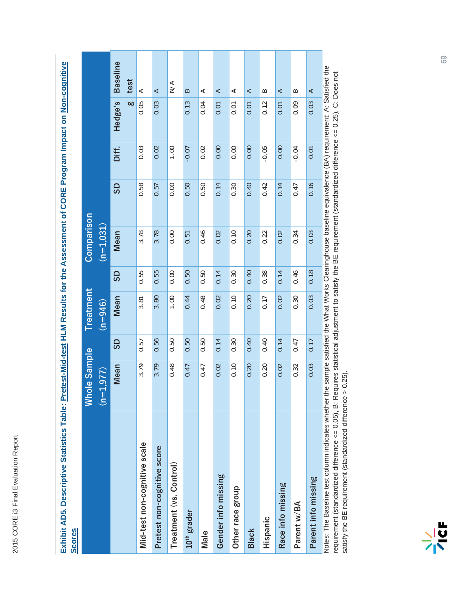| י באר הא האר<br>הלכת ה                                                                                                    |              |
|---------------------------------------------------------------------------------------------------------------------------|--------------|
| ֧֧֧֧ׅ֧֧֧֧֧֧֧ׅ֧֧֧֧֛֚֚֚֚֚֚֚֚֚֚֚֚֚֚֚֚֚֚֚֚֚֚֚֚֚֡֬֓֓֓֜֓֓֝֓֝֓֜֟֜֜                                                               |              |
|                                                                                                                           |              |
|                                                                                                                           |              |
| QUOCS:                                                                                                                    |              |
|                                                                                                                           |              |
|                                                                                                                           |              |
| ֧֖֖֧֦֧֧֚֚֚֚֚֚֚֚֚֚֚֚֚֚֚֚֚֝֝֝֬֝֓ <b>֓</b> ֧֚֓֝֬֝                                                                            |              |
| Ĩ                                                                                                                         |              |
|                                                                                                                           |              |
|                                                                                                                           |              |
|                                                                                                                           |              |
|                                                                                                                           |              |
|                                                                                                                           |              |
|                                                                                                                           |              |
| -<br>-<br>-<br>-<br>-<br>-<br>-<br>-<br><br>-<br><br><br><br><br><br><br><br><br><br><br><br><br><br><br><br><br><br><br> |              |
|                                                                                                                           |              |
|                                                                                                                           |              |
|                                                                                                                           |              |
| hibit AD5. De                                                                                                             |              |
|                                                                                                                           | <b>COTES</b> |
|                                                                                                                           |              |

|                                                                                                                                                                                                                                                                                                                                                                                              | <b>Whole Sample</b> |           | Treatment |           | Comparison  |      |         |           |                  |
|----------------------------------------------------------------------------------------------------------------------------------------------------------------------------------------------------------------------------------------------------------------------------------------------------------------------------------------------------------------------------------------------|---------------------|-----------|-----------|-----------|-------------|------|---------|-----------|------------------|
|                                                                                                                                                                                                                                                                                                                                                                                              | $(n=1,977)$         |           | $(n=946)$ |           | $(n=1,031)$ |      |         |           |                  |
|                                                                                                                                                                                                                                                                                                                                                                                              | Mean                | <b>GS</b> | Mean      | <b>GS</b> | Mean        | GS   | Diff.   | Hedge's   | <b>Baseline</b>  |
|                                                                                                                                                                                                                                                                                                                                                                                              |                     |           |           |           |             |      |         | <b>bo</b> | test             |
| Mid-test non-cognitive scale                                                                                                                                                                                                                                                                                                                                                                 | 3.79                | 0.57      | 3.81      | 0.55      | 3.78        | 0.58 | 0.03    | 0.05      | ⋖                |
| Pretest non-cognitive score                                                                                                                                                                                                                                                                                                                                                                  | 3.79                | 0.56      | 3.80      | 0.55      | 3.78        | 0.57 | 0.02    | 0.03      | ⋖                |
| Treatment (vs. Control)                                                                                                                                                                                                                                                                                                                                                                      | 0.48                | 0.50      | 1.00      | 0.00      | 0.00        | 0.00 | 1.00    |           | $\sum_{i=1}^{n}$ |
| 10 <sup>th</sup> grader                                                                                                                                                                                                                                                                                                                                                                      | 0.47                | 0.50      | 0.44      | 0.50      | 0.51        | 0.50 | $-0.07$ | 0.13      | $\approx$        |
| Male                                                                                                                                                                                                                                                                                                                                                                                         | 0.47                | 0.50      | 0.48      | 0.50      | 0.46        | 0.50 | 0.02    | 0.04      | ⋖                |
| Gender info missing                                                                                                                                                                                                                                                                                                                                                                          | 0.02                | 0.14      | 0.02      | 0.14      | 0.02        | 0.14 | 0.00    | 0.01      | ⋖                |
| Other race group                                                                                                                                                                                                                                                                                                                                                                             | 0.10                | 0.30      | 0.10      | 0.30      | 0.10        | 0.30 | 0.00    | 0.01      | ⋖                |
| <b>Black</b>                                                                                                                                                                                                                                                                                                                                                                                 | 0.20                | 0.40      | 0.20      | 0.40      | 0.20        | 0.40 | 0.00    | 0.01      | ⋖                |
| Hispanic                                                                                                                                                                                                                                                                                                                                                                                     | 0.20                | 0.40      | 0.17      | 0.38      | 0.22        | 0.42 | $-0.05$ | 0.12      | $\approx$        |
| Race info missing                                                                                                                                                                                                                                                                                                                                                                            | 0.02                | 0.14      | 0.02      | 0.14      | 0.02        | 0.14 | 0.00    | 0.01      | ⋖                |
| Parent w/BA                                                                                                                                                                                                                                                                                                                                                                                  | 0.32                | 0.47      | 0.30      | 0.46      | 0.34        | 0.47 | $-0.04$ | 0.09      | $\approx$        |
| Parent info missing                                                                                                                                                                                                                                                                                                                                                                          | 0.03                | 0.17      | 0.03      | 0.18      | 0.03        | 0.16 | 0.01    | 0.03      | ⋖                |
| Notes: The Baseline test column indicates whether the sample satisfied the What Works Clearinghouse baseline equivalence (BA) requirement: A: Satisfied the<br>th a contributed from the contributed of D (D C D : lines of interesting to the stripts of the content of the content of the content of D (D C D : lines of the content of the content of the content of the content of D C D |                     |           |           |           |             |      |         |           |                  |

requirement (standardized difference <= 0.05), B: Requires statistical adjustment to satisfy the BE requirement (standardized difference <= 0.25), C: Does not<br>satisfy the BE requirement (standardized difference > 0.25). requirement (standardized difference <= 0.05), B: Requires statistical adjustment to satisfy the BE requirement (standardized difference <= 0.25), C: Does not satisfy the BE requirement (standardized difference > 0.25).

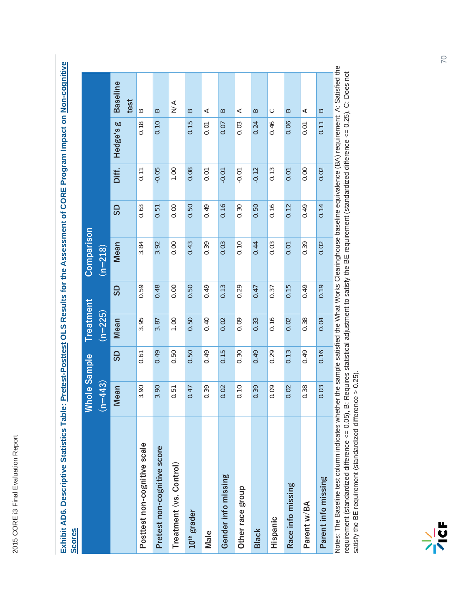| <b>Scores</b>                |             |             |                                                 |           |            |      |         |              |                               |
|------------------------------|-------------|-------------|-------------------------------------------------|-----------|------------|------|---------|--------------|-------------------------------|
|                              | ⋚           | hole Sample | <b>Treatment</b>                                |           | Comparison |      |         |              |                               |
|                              | $(n=443)$   |             | $(n=225)$                                       |           | $(n=218)$  |      |         |              |                               |
|                              | Mean        | GS          | Mean                                            | <b>GS</b> | Mean       | GS   | Diff.   | ø<br>Hedge's | <b>Baseline</b>               |
| Posttest non-cognitive scale | 3.90        | 0.61        | 3.95                                            | 0.59      | 3.84       | 0.63 | 0.11    | 0.18         | test<br>$\approx$             |
| Pretest non-cognitive score  | 3.90        | 0.49        | 3.87                                            | 0.48      | 3.92       | 0.51 | $-0.05$ | 0.10         | $\approx$                     |
| Treatment (vs. Control)      | 0.51        | 0.50        | 1.00                                            | 0.00      | 0.00       | 0.00 | 0.00    |              | $\leq$                        |
| $10th$ grader                | 0.47        | 0.50        | 0.50                                            | 0.50      | 0.43       | 0.50 | 0.08    | 0.15         | $\mathbf{\Omega}$             |
| Male                         | 0.39        | 0.49        | 0.40                                            | 0.49      | 0.39       | 0.49 | 0.01    | 0.01         | ⋖                             |
| Gender info missing          | 0.02        | 0.15        | 0.02                                            | 0.13      | 0.03       | 0.16 | $-0.01$ | 0.07         | $\approx$                     |
| Other race group             | 0.10        | 0.30        | 0.09                                            | 0.29      | 0.10       | 0.30 | $-0.01$ | 0.03         | ⋖                             |
| <b>Black</b>                 | 0.39        | 0.49        | 0.33                                            | 0.47      | 0.44       | 0.50 | $-0.12$ | 0.24         | $\mathbf{\underline{\infty}}$ |
| Hispanic                     | 0.09        | 0.29        | 0.16                                            | 0.37      | 0.03       | 0.16 | 0.13    | 0.46         | $\circ$                       |
| Race info missing            | 0.02        | 0.13        | 0.02                                            | 0.15      | 0.01       | 0.12 | 0.01    | 0.06         | $\mathbf{\Omega}$             |
| Parent w/BA                  | 0.38        | 0.49        | 0.38                                            | 0.49      | 0.39       | 0.49 | 0.00    | 0.01         | ⋖                             |
| Parent info missing          | 0.03        | 0.16        | 0.04                                            | 0.19      | 0.02       | 0.14 | 0.02    | 0.11         | $\approx$                     |
| É                            | ماء ماء ، ، |             | alia (14 - 14 Alian Alia) مماله المرد (14 Alia) |           | ć          |      |         |              | í<br>D A l                    |

Notes: The Baseline test column indicates whether the sample satisfied the What Works Clearinghouse baseline equivalence (BA) requirement: A: Satisfied the<br>requirement (standardized difference <= 0.05), B: Requires statist Notes: The Baseline test column indicates whether the sample satisfied the What Works Clearinghouse baseline equivalence (BA) requirement: A: Satisfied the requirement (standardized difference <= 0.05), B: Requires statistical adjustment to satisfy the BE requirement (standardized difference <= 0.25), C: Does not satisfy the BE requirement (standardized difference > 0.25). satisfy the BE requirement (standardized difference > 0.25).

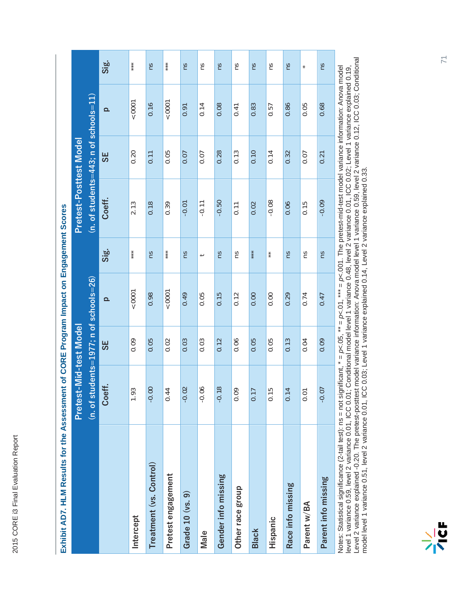| Exhibit AD7. HLM Results for the Assessment of CORE Program Impact on Engagement Scores |                                              |                         |                          |                          |                                             |                                |            |                |
|-----------------------------------------------------------------------------------------|----------------------------------------------|-------------------------|--------------------------|--------------------------|---------------------------------------------|--------------------------------|------------|----------------|
|                                                                                         | Pretest-Mid-test Model                       |                         |                          |                          | Pretest-Posttest Model                      |                                |            |                |
|                                                                                         | $(n. of students = 1977; n of schools = 26)$ |                         |                          |                          | $(n. of students = 443; n of schools = 11)$ |                                |            |                |
|                                                                                         | Coeff.                                       | <b>3S</b>               | $\Omega$                 | Sig.                     | Coeff.                                      | <b>SE</b>                      | $\Omega$   | Sig.           |
| Intercept                                                                               | .93<br>$\overline{ }$                        | 0.09                    | 10001                    | ***                      | 2.13                                        | 0.20                           | 0007       | $* * *$        |
| Treatment (vs. Control)                                                                 | $-0.00$                                      | 0.05                    | 0.98                     | Su                       | 0.18                                        | 0.11                           | 0.16       | Su             |
| Pretest engagement                                                                      | 44<br>$\circ$                                | 0.02                    | 0001                     | ***                      | 0.39                                        | 0.05                           | 0001       | $***$          |
| Grade 10 (vs. 9)                                                                        | $-0.02$                                      | 0.03                    | 0.49                     | Su                       | $-0.01$                                     | 0.07                           | 0.91       | Su             |
| Male                                                                                    | $-0.06$                                      | 0.03                    | 0.05                     | $\overline{\phantom{0}}$ | $-0.11$                                     | 0.07                           | 0.14       | ns             |
| Gender info missing                                                                     | $-0.18$                                      | 0.12                    | 0.15                     | Su                       | $-0.50$                                     | 0.28                           | 0.08       | Su             |
| Other race group                                                                        | $\overline{0}$<br>$\circ$                    | 0.06                    | 0.12                     | Su                       | $\frac{1}{10}$                              | 0.13                           | 0.41       | ms             |
| <b>Black</b>                                                                            | 17<br>$\circ$                                | 0.05                    | 0.00                     |                          | 0.02                                        | 0.10                           | 0.83       | ns             |
| Hispanic                                                                                | $-15$<br>0                                   | 0.05                    | 0.00                     | $*$                      | $-0.08$                                     | 0.14                           | 0.57       | Su             |
| Race info missing                                                                       | $\overline{14}$<br>0                         | 0.13                    | 0.29                     | m                        | 0.06                                        | 0.32                           | 0.86       | m              |
| Parent w/BA                                                                             | $\overline{O}$<br>0                          | 0.04                    | 0.74                     | Su                       | 0.15                                        | 0.07                           | 0.05       | $\star$        |
| Parent info missing                                                                     | $-0.07$                                      | 0.09                    | 0.47                     | SU                       | $-0.09$                                     | 0.21                           | 0.68       | Su             |
| $\overline{A}$<br>متناهين الممننمنيمين                                                  | د:£: مسعد: ہ                                 | $*$<br>$\sum_{i=1}^{n}$ | $***$<br>$\tilde{\zeta}$ | ŕ<br>č                   | ام د امانت                                  | ے<br>عدا<br>j<br>$\frac{1}{4}$ | سدا مستنصف | $\overline{a}$ |

Notes: Statistical significance (2-tail test): ns = not significant, \* = p<.05, \*\* = p<.01, \*\*\* = p<.001. The pretest-mid-test model variance information: Anova model<br>level 1 variance 0.59, level 2 variance 0.01, ICC 0.01; Level 2 variance explained -0.20. The pretest-posttest model variance information: Anova model level 1 variance 0.59, level 2 variance 0.12, ICC 0.03; Conditional Notes: Statistical significance (2-tail test): ns = not significant, \* = *p<*.05, \*\* = *p<*.01, \*\*\* = *p<*.001. The pretest-mid-test model variance information: Anova model level 1 variance 0.59, level 2 variance 0.01, ICC 0.01; Conditional model level 1 variance 0.48, level 2 variance 0.01, ICC 0.02; Level 1 variance explained 0.19, model level 1 variance 0.51, level 2 variance 0.01, ICC 0.03; Level 1 variance explained 0.14, Level 2 variance explained 0.33.

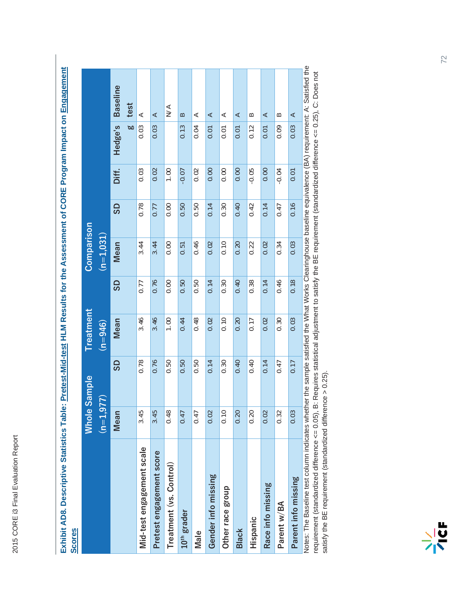| EXIIIDIL ADO. Descriptive otalistics Tabi<br><b>Scores</b> |             |                     |           |      |                   |      |         |         | ILENTERSYSTET I TO JOURNALE I TO SAND LA LA LA SANDA DE SANDARE DE SANDARE DE SANDA EN 1991-DIEN-DIEN-DURALE LA |
|------------------------------------------------------------|-------------|---------------------|-----------|------|-------------------|------|---------|---------|-----------------------------------------------------------------------------------------------------------------|
|                                                            |             | <b>Whole Sample</b> | Treatment |      | <b>Comparison</b> |      |         |         |                                                                                                                 |
|                                                            | $(n=1,977)$ |                     | $(n=946)$ |      | $(n=1, 031)$      |      |         |         |                                                                                                                 |
|                                                            | Mean        | <b>GS</b>           | Mean      | GS   | Mean              | GS   | Diff.   | Hedge's | <b>Baseline</b>                                                                                                 |
|                                                            |             |                     |           |      |                   |      |         | ø       | test                                                                                                            |
| Mid-test engagement scale                                  | 3.45        | 0.78                | 3.46      | 0.77 | 3.44              | 0.78 | 0.03    | 0.03    | ⋖                                                                                                               |
| Pretest engagement score                                   | 3.45        | 0.76                | 3.46      | 0.76 | 3.44              | 0.77 | 0.02    | 0.03    | ⋖                                                                                                               |
| Treatment (vs. Control)                                    | 0.48        | 0.50                | 1.00      | 0.00 | 0.00              | 0.00 | 1.00    |         | $\leq$                                                                                                          |
| 10 <sup>th</sup> grader                                    | 0.47        | 0.50                | 0.44      | 0.50 | 0.51              | 0.50 | $-0.07$ | 0.13    | $\mathbf{a}$                                                                                                    |
| Male                                                       | 0.47        | 0.50                | 0.48      | 0.50 | 0.46              | 0.50 | 0.02    | 0.04    | ⋖                                                                                                               |
| Gender info missing                                        | 0.02        | 0.14                | 0.02      | 0.14 | 0.02              | 0.14 | 0.00    | 0.01    | ⋖                                                                                                               |
| Other race group                                           | 0.10        | 0.30                | 0.10      | 0.30 | 0.10              | 0.30 | 0.00    | 0.01    | ⋖                                                                                                               |
| <b>Black</b>                                               | 0.20        | 0.40                | 0.20      | 0.40 | 0.20              | 0.40 | 0.00    | 0.01    | $\prec$                                                                                                         |
| Hispanic                                                   | 0.20        | 0.40                | 0.17      | 0.38 | 0.22              | 0.42 | $-0.05$ | 0.12    | $\approx$                                                                                                       |
| Race info missing                                          | 0.02        | 0.14                | 0.02      | 0.14 | 0.02              | 0.14 | 0.00    | 0.01    | ⋖                                                                                                               |
| Parent w/BA                                                | 0.32        | 0.47                | 0.30      | 0.46 | 0.34              | 0.47 | $-0.04$ | 0.09    | $\approx$                                                                                                       |

Exhibit AD8. Descriptive Statistics Table: Pretest-Mid-test HLM Results for the Assessment of CORE Program Impact on Engagement **Exhibit AD8. Descriptive Statistics Table: Pretest-Mid-test HLM Results for the Assessment of CORE Program Impact on Engagement**

Notes: The Baseline test column indicates whether the sample satisfied the What Works Clearinghouse baseline equivalence (BA) requirement: A: Satisfied the Notes: The Baseline test column indicates whether the sample satisfied the What Works Clearinghouse baseline equivalence (BA) requirement: A: Satisfied the requirement (standardized difference <= 0.05), B: Requires statistical adjustment to satisfy the BE requirement (standardized difference <= 0.25), C: Does not<br>satisfy the BE requirement (standardized difference > 0.25). requirement (standardized difference <= 0.05), B: Requires statistical adjustment to satisfy the BE requirement (standardized difference <= 0.25), C: Does not **Barent info missing comparate the comparate of the comparate of the comparate informissing comparate information of the comparate of A** satisfy the BE requirement (standardized difference > 0.25). Parent info missing

 $\prec$ 

 $\overline{0.03}$ 

 $\overline{0.01}$ 

 $\frac{16}{16}$ 

 $\overline{0.03}$ 

 $\overline{0.18}$ 

 $\overline{0.03}$ 

 $\overline{0.17}$ 

 $\overline{0.03}$ 

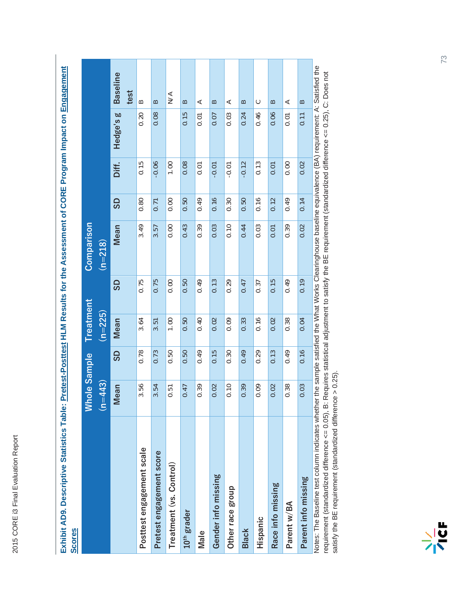| Exhibit AD9. Descriptive Statistics Table:<br><b>Scores</b> |                     |      |           |           | Pretest-Posttest HLM Results for the Assessment of CORE Program Impact on Engagement                         |           |         |              |                 |
|-------------------------------------------------------------|---------------------|------|-----------|-----------|--------------------------------------------------------------------------------------------------------------|-----------|---------|--------------|-----------------|
|                                                             | <b>Whole Sample</b> |      | Treatment |           | Comparison                                                                                                   |           |         |              |                 |
|                                                             | $(n=443)$           |      | $(n=225)$ |           | $(n=218)$                                                                                                    |           |         |              |                 |
|                                                             | <b>Mean</b>         | GS   | Mean      | <b>GS</b> | Mean                                                                                                         | <b>GS</b> | Diff.   | ğ<br>Hedge's | <b>Baseline</b> |
|                                                             |                     |      |           |           |                                                                                                              |           |         |              | test            |
| Posttest engagement scale                                   | 3.56                | 0.78 | 3.64      | 0.75      | 3.49                                                                                                         | 0.80      | 0.15    | 0.20         | $\approx$       |
| Pretest engagement score                                    | 3.54                | 0.73 | 3.51      | 0.75      | 3.57                                                                                                         | 0.71      | $-0.06$ | 0.08         | $\approx$       |
| Treatment (vs. Control)                                     | 0.51                | 0.50 | 0.00      | 0.00      | 0.00                                                                                                         | 0.00      | 1.00    |              | $\leq$          |
| $10th$ grader                                               | 0.47                | 0.50 | 0.50      | 0.50      | 0.43                                                                                                         | 0.50      | 0.08    | 0.15         | $\overline{a}$  |
| Male                                                        | 0.39                | 0.49 | 0.40      | 0.49      | 0.39                                                                                                         | 0.49      | 0.01    | 0.01         | ⋖               |
| Gender info missing                                         | 0.02                | 0.15 | 0.02      | 0.13      | 0.03                                                                                                         | 0.16      | $-0.01$ | 0.07         | $\approx$       |
| Other race group                                            | 0.10                | 0.30 | 0.09      | 0.29      | 0.10                                                                                                         | 0.30      | $-0.01$ | 0.03         | ⋖               |
| <b>Black</b>                                                | 0.39                | 0.49 | 0.33      | 0.47      | 0.44                                                                                                         | 0.50      | $-0.12$ | 0.24         | $\approx$       |
| Hispanic                                                    | 0.09                | 0.29 | 0.16      | 0.37      | 0.03                                                                                                         | 0.16      | 0.13    | 0.46         | $\circ$         |
| Race info missing                                           | 0.02                | 0.13 | 0.02      | 0.15      | 0.01                                                                                                         | 0.12      | 0.01    | 0.06         | $\approx$       |
| Parent w/BA                                                 | 0.38                | 0.49 | 0.38      | 0.49      | 0.39                                                                                                         | 0.49      | 0.00    | 0.01         | ⋖               |
| Parent info missing                                         | 0.03                | 0.16 | 0.04      | 0.19      | 0.02                                                                                                         | 0.14      | 0.02    | 0.11         | $\mathbf{a}$    |
| Notes: The Baseline test column indicates wheth             |                     |      |           |           | er the sample satisfied the What Works Clearinghouse baseline equivalence (BA) requirement: A: Satisfied the |           |         |              |                 |

Notes: The Baseline test column indicates whether the sample satisfied the What Works Clearinghouse baseline equivalence (BA) requirement: A: Satisfied the Notes: The Baseline test column indicates whether the sample satisfied the What Works Clearinghouse baseline equivalence (BA) requirement: A: Satisfied th<br>requirement (standardized difference <= 0.05), B: Requires statist requirement (standardized difference <= 0.05), B: Requires statistical adjustment to satisfy the BE requirement (standardized difference <= 0.25), C: Does not satisfy the BE requirement (standardized difference > 0.25).

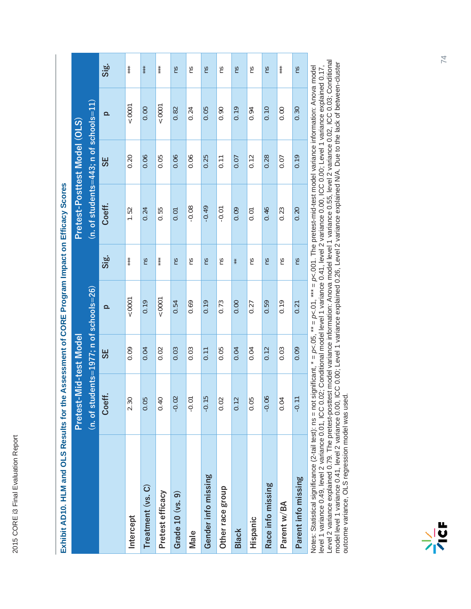| Exhibit AD10. HLM and OLS Results for the Assessment of CORE Program Impact on Efficacy Scores |                                          |      |          |       |                                             |                   |          |       |
|------------------------------------------------------------------------------------------------|------------------------------------------|------|----------|-------|---------------------------------------------|-------------------|----------|-------|
|                                                                                                | Pretest-Mid-test Model                   |      |          |       | Pretest-Posttest Model (OLS)                |                   |          |       |
|                                                                                                | $(n. of students=1977; n of schools=26)$ |      |          |       | $(n. of students = 443; n of schools = 11)$ |                   |          |       |
|                                                                                                | Coeff.                                   | 5S   | $\Omega$ | Sig.  | Coeff.                                      | <b>SE</b>         | $\Omega$ | Sig.  |
| Intercept                                                                                      | 2.30                                     | 0.09 | 0001     | $***$ | 1.52                                        | 0.20              | 0001     | ***   |
| Treatment (vs. C)                                                                              | 0.05                                     | 0.04 | 0.19     | ns    | 0.24                                        | 0.06              | 0.00     | ***   |
| Pretest efficacy                                                                               | 0.40                                     | 0.02 | 0001     | $***$ | 0.55                                        | 0.05              | 10001    | $***$ |
| Grade 10 (vs. 9)                                                                               | $-0.02$                                  | 0.03 | 0.54     | Su    | 0.01                                        | 0.06              | 0.82     | Su    |
| Male                                                                                           | $-0.01$                                  | 0.03 | 0.69     | ns    | $-0.08$                                     | 0.06              | 0.24     | ns    |
| Gender info missing                                                                            | 5<br>$-0.1$                              | 0.11 | 0.19     | Su    | $-0.49$                                     | 0.25              | 0.05     | Su    |
| Other race group                                                                               | 0.02                                     | 0.05 | 0.73     | ns    | $-0.01$                                     | $\overline{0.11}$ | 0.90     | ns    |
| <b>Black</b>                                                                                   | 0.12                                     | 0.04 | 0.00     | $*$   | 0.09                                        | 0.07              | 0.19     | Su    |
| Hispanic                                                                                       | 0.05                                     | 0.04 | 0.27     | ns    | 0.01                                        | 0.12              | 0.94     | ns    |
| Race info missing                                                                              | $-0.06$                                  | 0.12 | 0.59     | Su    | 0.46                                        | 0.28              | 0.10     | Su    |
| Parent w/BA                                                                                    | 0.04                                     | 0.03 | 0.19     | Su    | 0.23                                        | 0.07              | 0.00     | $***$ |
| Parent info missing                                                                            | $-0.1$                                   | 0.09 | 0.21     | ns    | 0.20                                        | 0.19              | 0.30     | ns    |
|                                                                                                |                                          |      |          |       |                                             |                   |          |       |

## **Exhibit AD10. HLM and OLS Results for the Assessment of CORE Program Impact on Efficacy Scores** Ć Ĕ  $\overline{\phantom{a}}$ l. ź p  $\overline{\phantom{a}}$  $\overline{\overline{6}}$ in in in AD-40 ALE LES Ï

Notes: Statistical significance (2-tail test): ns = not significant, \* = p<.05, \*\* = p<.01, \*\*\* = p<.001. The pretest-mid-test model variance information: Anova model<br>level 1 variance 0.49, level 2 variance 0.01, ICC 0.02; Level 2 variance explained 0.79. The pretest-posttest model variance information: Anova model level 1 variance 0.55, level 2 variance 0.02, ICC 0.03; Conditional model level 1 variance 0.41, level 2 variance 0.00, ICC 0.00; Level 1 variance explained 0.26, Level 2 variance explained N/A. Due to the lack of between-cluster model level 1 variance 0.41, level 2 variance 0.00, ICC 0.00; Level 1 variance explained 0.26, Level 2 variance explained N/A. Due to the lack of between-cluster Notes: Statistical significance (2-tail test): ns = not significant, \* = *p<*.05, \*\* = *p<*.01, \*\*\* = *p<*.001. The pretest-mid-test model variance information: Anova model level 1 variance 0.49, level 2 variance 0.01, ICC 0.02; Conditional model level 1 variance 0.41, level 2 variance 0.00, ICC 0.00; Level 1 variance explained 0.17, outcome variance, OLS regression model was used. outcome variance, OLS regression model was used.

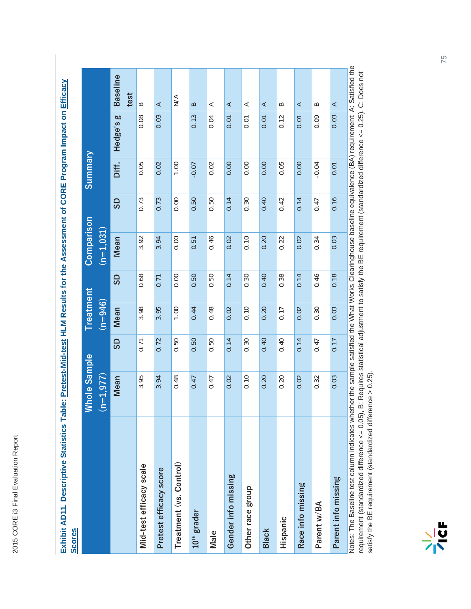| Exhibit AD11. Descriptive Statistics Table: Pretest-Mid-test HLM Results for the Assessment of CORE Program Impact on Efficacy<br><b>Scores</b>             |                     |      |           |           |                                                                       |      |                |           |                 |
|-------------------------------------------------------------------------------------------------------------------------------------------------------------|---------------------|------|-----------|-----------|-----------------------------------------------------------------------|------|----------------|-----------|-----------------|
|                                                                                                                                                             | <b>Whole Sample</b> |      | Treatment |           | Comparison                                                            |      | <b>Summary</b> |           |                 |
|                                                                                                                                                             | $(n=1,977)$         |      | $(n=946)$ |           | $\overline{(\mathsf{n}{=}\mathsf{1},\mathsf{0}\mathsf{3}\mathsf{1})}$ |      |                |           |                 |
|                                                                                                                                                             | Mean                | GS   | Mean      | <b>GS</b> | Mean                                                                  | 9S   | Diff.          | Hedge's g | <b>Baseline</b> |
|                                                                                                                                                             |                     |      |           |           |                                                                       |      |                |           | test            |
| Mid-test efficacy scale                                                                                                                                     | 3.95                | 0.71 | 3.98      | 0.68      | 3.92                                                                  | 0.73 | 0.05           | 0.08      | $\approx$       |
| Pretest efficacy score                                                                                                                                      | 3.94                | 0.72 | 3.95      | 0.71      | 3.94                                                                  | 0.73 | 0.02           | 0.03      | ⋖               |
| Treatment (vs. Control)                                                                                                                                     | 0.48                | 0.50 | 1.00      | 0.00      | 0.00                                                                  | 0.00 | 00.1           |           | $\leq$          |
| 10 <sup>th</sup> grader                                                                                                                                     | 0.47                | 0.50 | 0.44      | 0.50      | 0.51                                                                  | 0.50 | $-0.07$        | 0.13      | $\mathbf{a}$    |
| Male                                                                                                                                                        | 0.47                | 0.50 | 0.48      | 0.50      | 0.46                                                                  | 0.50 | 0.02           | 0.04      | ⋖               |
| Gender info missing                                                                                                                                         | 0.02                | 0.14 | 0.02      | 0.14      | 0.02                                                                  | 0.14 | 0.00           | 0.01      | ⋖               |
| Other race group                                                                                                                                            | 0.10                | 0.30 | 0.10      | 0.30      | 0.10                                                                  | 0.30 | 0.00           | 0.01      | ⋖               |
| <b>Black</b>                                                                                                                                                | 0.20                | 0.40 | 0.20      | 0.40      | 0.20                                                                  | 0.40 | 0.00           | 0.01      | ⋖               |
| Hispanic                                                                                                                                                    | 0.20                | 0.40 | 0.17      | 0.38      | 0.22                                                                  | 0.42 | $-0.05$        | 0.12      | B               |
| Race info missing                                                                                                                                           | 0.02                | 0.14 | 0.02      | 0.14      | 0.02                                                                  | 0.14 | 0.00           | 0.01      | ⋖               |
| Parent w/BA                                                                                                                                                 | 0.32                | 0.47 | 0.30      | 0.46      | 0.34                                                                  | 0.47 | $-0.04$        | 0.09      | $\approx$       |
| Parent info missing                                                                                                                                         | 0.03                | 0.17 | 0.03      | 0.18      | 0.03                                                                  | 0.16 | 0.01           | 0.03      | ⋖               |
| Notes: The Baseline test column indicates whether the sample satisfied the What Works Clearinghouse baseline equivalence (BA) requirement: A: Satisfied the |                     |      |           |           |                                                                       |      |                |           |                 |

Notes: The Baseline test column indicates whether the sample satisfied the What Works Clearinghouse baseline equivalence (BA) requirement: A: Satisfied the nvues. The Dasenine test columi inducates wirelinei ure samsined the wirlat works Orealinghouse paseline equivalence (Dr.) requirement, r. Does not<br>requirement (standardized difference <= 0.05), B: Requires statistical ad requirement (standardized difference <= 0.05), B: Requires statistical adjustment to satisfy the BE requirement (standardized difference <= 0.25), C: Does not satisfy the BE requirement (standardized difference > 0.25).

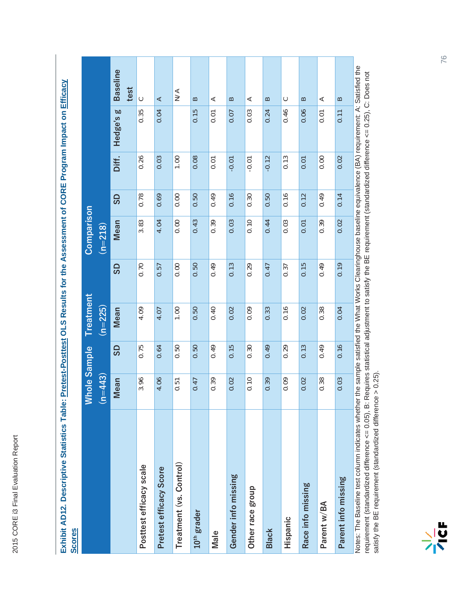| l                     |  |
|-----------------------|--|
|                       |  |
|                       |  |
|                       |  |
| n<br>U<br>j           |  |
|                       |  |
|                       |  |
|                       |  |
|                       |  |
|                       |  |
|                       |  |
|                       |  |
|                       |  |
|                       |  |
|                       |  |
|                       |  |
| ì                     |  |
|                       |  |
| Evhihit AD10 Docenio! |  |
|                       |  |
|                       |  |
|                       |  |

|                                                                                                                                                             | <b>Whole Sample</b><br>$(n=443)$ |      | Treatment<br>$(n=225)$ |           | Comparison<br>$(n=218)$ |      |         |           |                   |
|-------------------------------------------------------------------------------------------------------------------------------------------------------------|----------------------------------|------|------------------------|-----------|-------------------------|------|---------|-----------|-------------------|
|                                                                                                                                                             | Mean                             | GS   | Mean                   | <b>GS</b> | Mean                    | GS   | Diff.   | Hedge's g | <b>Baseline</b>   |
|                                                                                                                                                             |                                  |      |                        |           |                         |      |         |           | test              |
| Posttest efficacy scale                                                                                                                                     | 3.96                             | 0.75 | 4.09                   | 0.70      | 3.83                    | 0.78 | 0.26    | 0.35      | $\circ$           |
| Pretest efficacy Score                                                                                                                                      | 4.06                             | 0.64 | 4.07                   | 0.57      | 4.04                    | 0.69 | 0.03    | 0.04      | ⋖                 |
| Treatment (vs. Control)                                                                                                                                     | 0.51                             | 0.50 | 1.00                   | 0.00      | 0.00                    | 0.00 | 1.00    |           | $\sum_{i=1}^{n}$  |
| 10 <sup>th</sup> grader                                                                                                                                     | 0.47                             | 0.50 | 0.50                   | 0.50      | 0.43                    | 0.50 | 0.08    | 0.15      | $\mathbf{\Omega}$ |
| Male                                                                                                                                                        | 0.39                             | 0.49 | 0.40                   | 0.49      | 0.39                    | 0.49 | 0.01    | 0.01      | ⋖                 |
| Gender info missing                                                                                                                                         | 0.02                             | 0.15 | 0.02                   | 0.13      | 0.03                    | 0.16 | $-0.01$ | 0.07      | $\mathbf{\Omega}$ |
| Other race group                                                                                                                                            | 0.10                             | 0.30 | 0.09                   | 0.29      | 0.10                    | 0.30 | $-0.01$ | 0.03      | ⋖                 |
| <b>Black</b>                                                                                                                                                | 0.39                             | 0.49 | 0.33                   | 0.47      | 0.44                    | 0.50 | $-0.12$ | 0.24      | $\mathbf{\Omega}$ |
| Hispanic                                                                                                                                                    | 0.09                             | 0.29 | 0.16                   | 0.37      | 0.03                    | 0.16 | 0.13    | 0.46      | C                 |
| Race info missing                                                                                                                                           | 0.02                             | 0.13 | 0.02                   | 0.15      | 0.01                    | 0.12 | 0.01    | 0.06      | $\mathbf{\Omega}$ |
| Parent w/BA                                                                                                                                                 | 0.38                             | 0.49 | 0.38                   | 0.49      | 0.39                    | 0.49 | 0.00    | 0.01      | ⋖                 |
| Parent info missing                                                                                                                                         | 0.03                             | 0.16 | 0.04                   | 0.19      | 0.02                    | 0.14 | 0.02    | 0.11      | $\approx$         |
| Notes: The Baseline test column indicates whether the sample satisfied the What Works Clearinghouse baseline equivalence (BA) requirement: A: Satisfied the |                                  |      |                        |           |                         |      |         |           |                   |

requirement (standardized difference <= 0.05), B: Requires statistical adjustment to satisfy the BE requirement (standardized difference <= 0.25), C: Does not<br>satisfy the BE requirement (standardized difference > 0.25). requirement (standardized difference <= 0.05), B: Requires statistical adjustment to satisfy the BE requirement (standardized difference <= 0.25), C: Does not satisfy the BE requirement (standardized difference > 0.25).

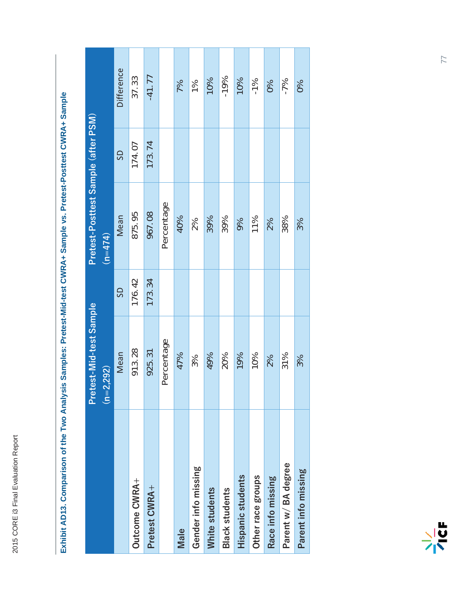|                       | Pretest-Mid-test Sample                      |        | Pretest-Posttest Sample (after PSM) |        |               |
|-----------------------|----------------------------------------------|--------|-------------------------------------|--------|---------------|
|                       | $=2,292)$<br>$\tilde{\boldsymbol{\epsilon}}$ |        | $(n=474)$                           |        |               |
|                       | Mean                                         | G      | Mean                                | SD     | Difference    |
| Outcome CWRA+         | 913.28                                       | 176.42 | 875.95                              | 174.07 | 37.33         |
| Pretest CWRA+         | 925.31                                       | 173.34 | 967.08                              | 173.74 | $-41.77$      |
|                       | Percentage                                   |        | Percentage                          |        |               |
| Male                  | 47%                                          |        | 40%                                 |        | 7%            |
| Gender info missing   | 3%                                           |        | 2%                                  |        | $\frac{9}{6}$ |
| White students        | 49%                                          |        | 39%                                 |        | 10%           |
| <b>Black students</b> | 20%                                          |        | 39%                                 |        | $-19%$        |
| Hispanic students     | 19%                                          |        | 9%                                  |        | 10%           |
| Other race groups     | 10%                                          |        | 11%                                 |        | $-1\%$        |
| Race info missing     | 2%                                           |        | 2%                                  |        | $\delta$      |
| Parent w/ BA degree   | 31%                                          |        | 38%                                 |        | $-7%$         |
| Parent info missing   | 3%                                           |        | 3%                                  |        | $\delta$      |

## Exhibit AD13. Comparison of the Two Analysis Samples: Pretest-Mid-test CWRA+ Sample vs. Pretest-Posttest CWRA+ Sample **Exhibit AD13. Comparison of the Two Analysis Samples: Pretest-Mid-test CWRA+ Sample vs. Pretest-Posttest CWRA+ Sample**